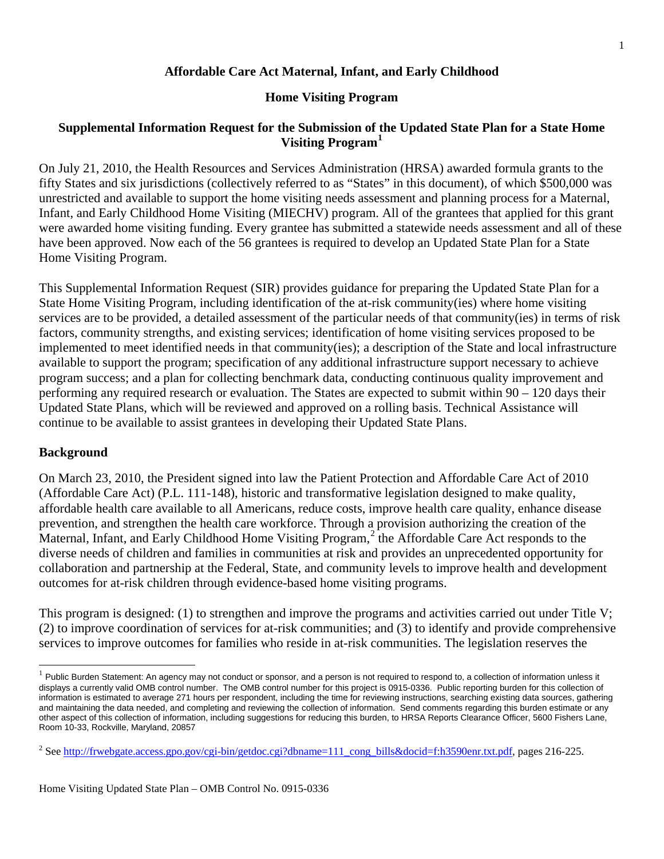### **Affordable Care Act Maternal, Infant, and Early Childhood**

#### **Home Visiting Program**

### **Supplemental Information Request for the Submission of the Updated State Plan for a State Home Visiting Program[1](#page-0-0)**

On July 21, 2010, the Health Resources and Services Administration (HRSA) awarded formula grants to the fifty States and six jurisdictions (collectively referred to as "States" in this document), of which \$500,000 was unrestricted and available to support the home visiting needs assessment and planning process for a Maternal, Infant, and Early Childhood Home Visiting (MIECHV) program. All of the grantees that applied for this grant were awarded home visiting funding. Every grantee has submitted a statewide needs assessment and all of these have been approved. Now each of the 56 grantees is required to develop an Updated State Plan for a State Home Visiting Program.

This Supplemental Information Request (SIR) provides guidance for preparing the Updated State Plan for a State Home Visiting Program, including identification of the at-risk community(ies) where home visiting services are to be provided, a detailed assessment of the particular needs of that community(ies) in terms of risk factors, community strengths, and existing services; identification of home visiting services proposed to be implemented to meet identified needs in that community(ies); a description of the State and local infrastructure available to support the program; specification of any additional infrastructure support necessary to achieve program success; and a plan for collecting benchmark data, conducting continuous quality improvement and performing any required research or evaluation. The States are expected to submit within 90 – 120 days their Updated State Plans, which will be reviewed and approved on a rolling basis. Technical Assistance will continue to be available to assist grantees in developing their Updated State Plans.

#### **Background**

On March 23, 2010, the President signed into law the Patient Protection and Affordable Care Act of 2010 (Affordable Care Act) (P.L. 111-148), historic and transformative legislation designed to make quality, affordable health care available to all Americans, reduce costs, improve health care quality, enhance disease prevention, and strengthen the health care workforce. Through a provision authorizing the creation of the Maternal, Infant, and Early Childhood Home Visiting Program,<sup>[2](#page-0-1)</sup> the Affordable Care Act responds to the diverse needs of children and families in communities at risk and provides an unprecedented opportunity for collaboration and partnership at the Federal, State, and community levels to improve health and development outcomes for at-risk children through evidence-based home visiting programs.

This program is designed: (1) to strengthen and improve the programs and activities carried out under Title V; (2) to improve coordination of services for at-risk communities; and (3) to identify and provide comprehensive services to improve outcomes for families who reside in at-risk communities. The legislation reserves the

<span id="page-0-0"></span> $<sup>1</sup>$  Public Burden Statement: An agency may not conduct or sponsor, and a person is not required to respond to, a collection of information unless it</sup> displays a currently valid OMB control number. The OMB control number for this project is 0915-0336. Public reporting burden for this collection of information is estimated to average 271 hours per respondent, including the time for reviewing instructions, searching existing data sources, gathering and maintaining the data needed, and completing and reviewing the collection of information. Send comments regarding this burden estimate or any other aspect of this collection of information, including suggestions for reducing this burden, to HRSA Reports Clearance Officer, 5600 Fishers Lane, Room 10-33, Rockville, Maryland, 20857

<span id="page-0-1"></span><sup>&</sup>lt;sup>2</sup> Se[e http://frwebgate.access.gpo.gov/cgi-bin/getdoc.cgi?dbname=111\\_cong\\_bills&docid=f:h3590enr.txt.pdf,](http://frwebgate.access.gpo.gov/cgi-bin/getdoc.cgi?dbname=111_cong_bills&docid=f:h3590enr.txt.pdf) pages 216-225.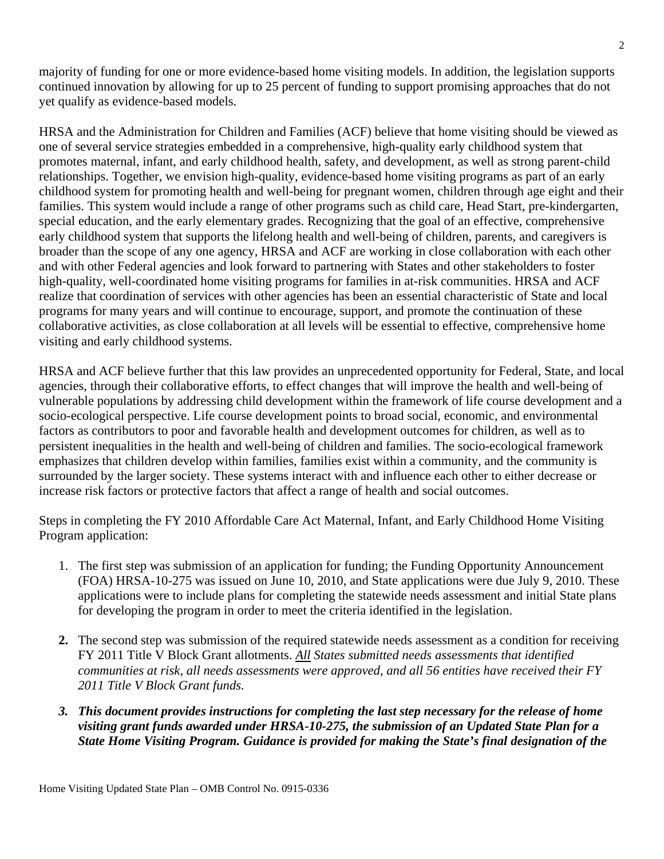majority of funding for one or more evidence-based home visiting models. In addition, the legislation supports continued innovation by allowing for up to 25 percent of funding to support promising approaches that do not yet qualify as evidence-based models.

HRSA and the Administration for Children and Families (ACF) believe that home visiting should be viewed as one of several service strategies embedded in a comprehensive, high-quality early childhood system that promotes maternal, infant, and early childhood health, safety, and development, as well as strong parent-child relationships. Together, we envision high-quality, evidence-based home visiting programs as part of an early childhood system for promoting health and well-being for pregnant women, children through age eight and their families. This system would include a range of other programs such as child care, Head Start, pre-kindergarten, special education, and the early elementary grades. Recognizing that the goal of an effective, comprehensive early childhood system that supports the lifelong health and well-being of children, parents, and caregivers is broader than the scope of any one agency, HRSA and ACF are working in close collaboration with each other and with other Federal agencies and look forward to partnering with States and other stakeholders to foster high-quality, well-coordinated home visiting programs for families in at-risk communities. HRSA and ACF realize that coordination of services with other agencies has been an essential characteristic of State and local programs for many years and will continue to encourage, support, and promote the continuation of these collaborative activities, as close collaboration at all levels will be essential to effective, comprehensive home visiting and early childhood systems.

HRSA and ACF believe further that this law provides an unprecedented opportunity for Federal, State, and local agencies, through their collaborative efforts, to effect changes that will improve the health and well-being of vulnerable populations by addressing child development within the framework of life course development and a socio-ecological perspective. Life course development points to broad social, economic, and environmental factors as contributors to poor and favorable health and development outcomes for children, as well as to persistent inequalities in the health and well-being of children and families. The socio-ecological framework emphasizes that children develop within families, families exist within a community, and the community is surrounded by the larger society. These systems interact with and influence each other to either decrease or increase risk factors or protective factors that affect a range of health and social outcomes.

Steps in completing the FY 2010 Affordable Care Act Maternal, Infant, and Early Childhood Home Visiting Program application:

- 1. The first step was submission of an application for funding; the Funding Opportunity Announcement (FOA) HRSA-10-275 was issued on June 10, 2010, and State applications were due July 9, 2010. These applications were to include plans for completing the statewide needs assessment and initial State plans for developing the program in order to meet the criteria identified in the legislation.
- **2.** The second step was submission of the required statewide needs assessment as a condition for receiving FY 2011 Title V Block Grant allotments. *[All](file:///C:\Documents%20and%20Settings\lsupplee\Local%20Settings\Temporary%20Internet%20Files\ayowell\Local%20Settings\Temporary%20Internet%20Files\Local%20Settings\ayowell\Local%20Settings\Temporary%20Internet%20Files\ayowell\Local%20Settings\Temporary%20Internet%20Files\dgreen\Local%20Settings\Temporary%20Internet%20Files\Content.Outlook\YBOW6RUY\All) States submitted needs assessments that identified communities at risk, all needs assessments were approved, and all 56 entities have received their FY 2011 Title V Block Grant funds.*
- *3. This document provides instructions for completing the last step necessary for the release of home visiting grant funds awarded under HRSA-10-275, the submission of an Updated State Plan for a State Home Visiting Program. Guidance is provided for making the State's final designation of the*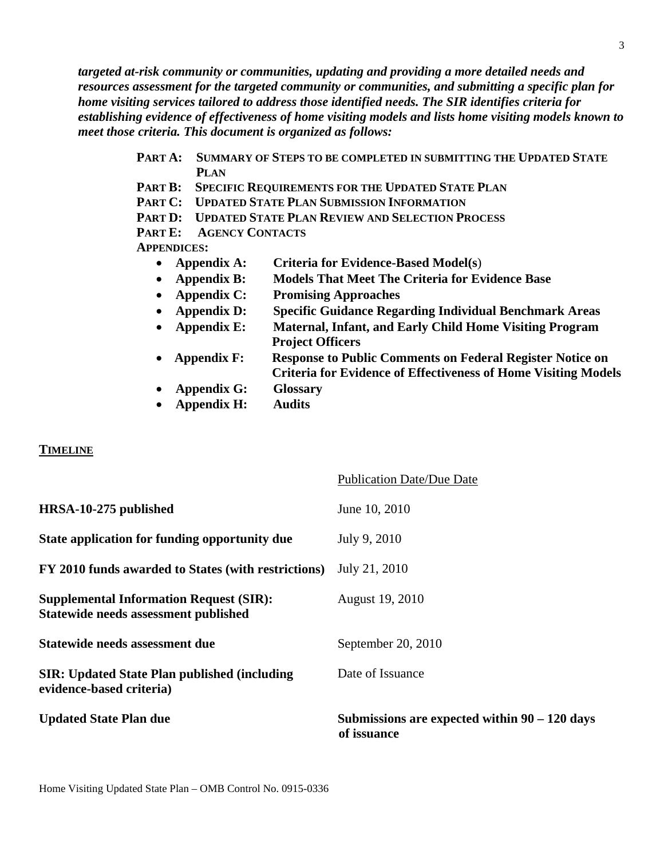*targeted at-risk community or communities, updating and providing a more detailed needs and resources assessment for the targeted community or communities, and submitting a specific plan for home visiting services tailored to address those identified needs. The SIR identifies criteria for establishing evidence of effectiveness of home visiting models and lists home visiting models known to meet those criteria. This document is organized as follows:* 

- **PART A: SUMMARY OF STEPS TO BE COMPLETED IN SUBMITTING THE UPDATED STATE PLAN**
- **PART B: SPECIFIC REQUIREMENTS FOR THE UPDATED STATE PLAN**
- **PART C: UPDATED STATE PLAN SUBMISSION INFORMATION**
- **PART D: UPDATED STATE PLAN REVIEW AND SELECTION PROCESS**

**PART E: AGENCY CONTACTS**

**APPENDICES:**

- **Appendix A: Criteria for Evidence-Based Model(s**)
- **Appendix B: Models That Meet The Criteria for Evidence Base**
- **Appendix C: Promising Approaches**
- **Appendix D: Specific Guidance Regarding Individual Benchmark Areas**
- **Appendix E: Maternal, Infant, and Early Child Home Visiting Program Project Officers**
- **Appendix F: Response to Public Comments on Federal Register Notice on Criteria for Evidence of Effectiveness of Home Visiting Models**
- **Appendix G: Glossary**
- **Appendix H: Audits**

#### **TIMELINE**

| <b>Updated State Plan due</b>                                                          | Submissions are expected within $90 - 120$ days<br>of issuance |
|----------------------------------------------------------------------------------------|----------------------------------------------------------------|
| <b>SIR: Updated State Plan published (including)</b><br>evidence-based criteria)       | Date of Issuance                                               |
| Statewide needs assessment due                                                         | September 20, 2010                                             |
| <b>Supplemental Information Request (SIR):</b><br>Statewide needs assessment published | August 19, 2010                                                |
| FY 2010 funds awarded to States (with restrictions)                                    | July 21, 2010                                                  |
| State application for funding opportunity due                                          | July 9, 2010                                                   |
| HRSA-10-275 published                                                                  | June 10, 2010                                                  |
|                                                                                        | <b>Publication Date/Due Date</b>                               |

Home Visiting Updated State Plan – OMB Control No. 0915-0336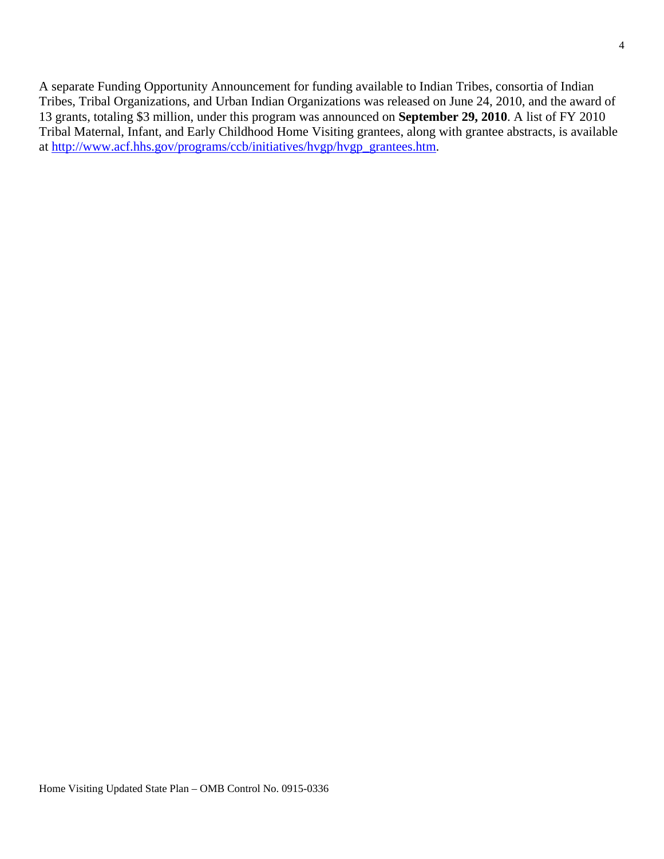A separate Funding Opportunity Announcement for funding available to Indian Tribes, consortia of Indian Tribes, Tribal Organizations, and Urban Indian Organizations was released on June 24, 2010, and the award of 13 grants, totaling \$3 million, under this program was announced on **September 29, 2010**. A list of FY 2010 Tribal Maternal, Infant, and Early Childhood Home Visiting grantees, along with grantee abstracts, is available at [http://www.acf.hhs.gov/programs/ccb/initiatives/hvgp/hvgp\\_grantees.htm.](http://www.acf.hhs.gov/programs/ccb/initiatives/hvgp/hvgp_grantees.htm)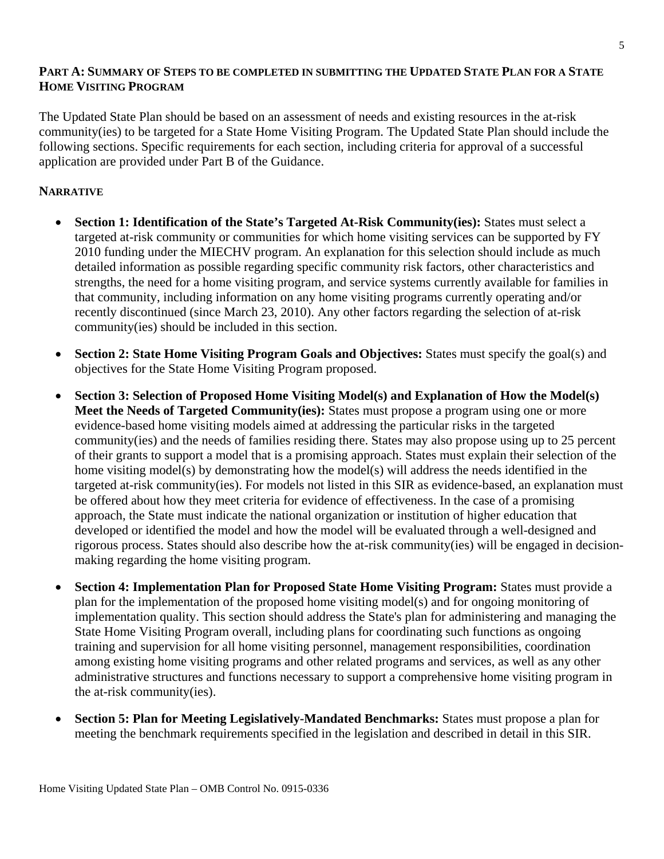### **PART A: SUMMARY OF STEPS TO BE COMPLETED IN SUBMITTING THE UPDATED STATE PLAN FOR A STATE HOME VISITING PROGRAM**

The Updated State Plan should be based on an assessment of needs and existing resources in the at-risk community(ies) to be targeted for a State Home Visiting Program. The Updated State Plan should include the following sections. Specific requirements for each section, including criteria for approval of a successful application are provided under Part B of the Guidance.

### **NARRATIVE**

- **Section 1: Identification of the State's Targeted At-Risk Community(ies):** States must select a targeted at-risk community or communities for which home visiting services can be supported by FY 2010 funding under the MIECHV program. An explanation for this selection should include as much detailed information as possible regarding specific community risk factors, other characteristics and strengths, the need for a home visiting program, and service systems currently available for families in that community, including information on any home visiting programs currently operating and/or recently discontinued (since March 23, 2010). Any other factors regarding the selection of at-risk community(ies) should be included in this section.
- **Section 2: State Home Visiting Program Goals and Objectives:** States must specify the goal(s) and objectives for the State Home Visiting Program proposed.
- **Section 3: Selection of Proposed Home Visiting Model(s) and Explanation of How the Model(s) Meet the Needs of Targeted Community(ies):** States must propose a program using one or more evidence-based home visiting models aimed at addressing the particular risks in the targeted community(ies) and the needs of families residing there. States may also propose using up to 25 percent of their grants to support a model that is a promising approach. States must explain their selection of the home visiting model(s) by demonstrating how the model(s) will address the needs identified in the targeted at-risk community(ies). For models not listed in this SIR as evidence-based, an explanation must be offered about how they meet criteria for evidence of effectiveness. In the case of a promising approach, the State must indicate the national organization or institution of higher education that developed or identified the model and how the model will be evaluated through a well-designed and rigorous process. States should also describe how the at-risk community(ies) will be engaged in decisionmaking regarding the home visiting program.
- **Section 4: Implementation Plan for Proposed State Home Visiting Program:** States must provide a plan for the implementation of the proposed home visiting model(s) and for ongoing monitoring of implementation quality. This section should address the State's plan for administering and managing the State Home Visiting Program overall, including plans for coordinating such functions as ongoing training and supervision for all home visiting personnel, management responsibilities, coordination among existing home visiting programs and other related programs and services, as well as any other administrative structures and functions necessary to support a comprehensive home visiting program in the at-risk community(ies).
- **Section 5: Plan for Meeting Legislatively-Mandated Benchmarks:** States must propose a plan for meeting the benchmark requirements specified in the legislation and described in detail in this SIR.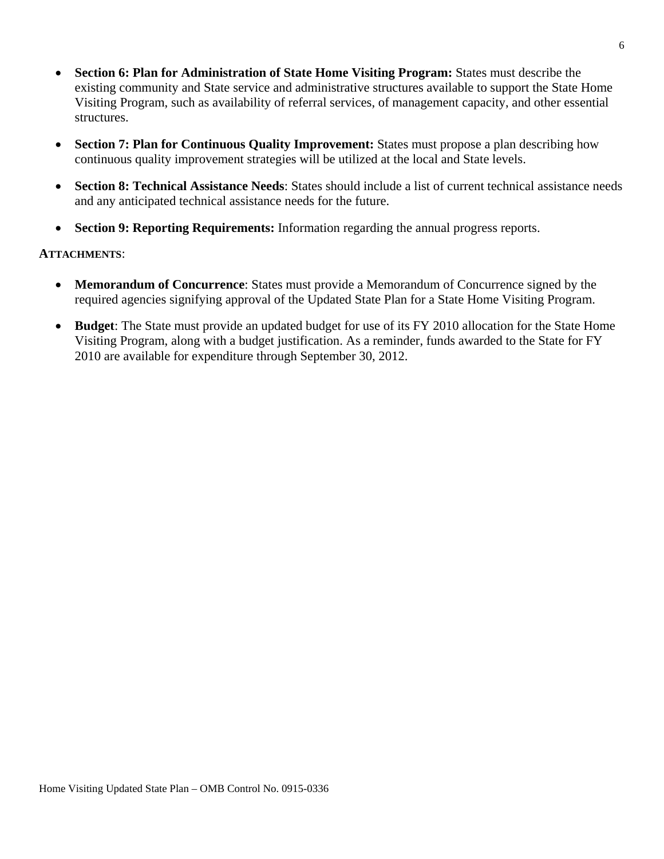- **Section 6: Plan for Administration of State Home Visiting Program:** States must describe the existing community and State service and administrative structures available to support the State Home Visiting Program, such as availability of referral services, of management capacity, and other essential structures.
- **Section 7: Plan for Continuous Quality Improvement:** States must propose a plan describing how continuous quality improvement strategies will be utilized at the local and State levels.
- **Section 8: Technical Assistance Needs**: States should include a list of current technical assistance needs and any anticipated technical assistance needs for the future.
- **Section 9: Reporting Requirements:** Information regarding the annual progress reports.

#### **ATTACHMENTS**:

- **Memorandum of Concurrence**: States must provide a Memorandum of Concurrence signed by the required agencies signifying approval of the Updated State Plan for a State Home Visiting Program.
- **Budget**: The State must provide an updated budget for use of its FY 2010 allocation for the State Home Visiting Program, along with a budget justification. As a reminder, funds awarded to the State for FY 2010 are available for expenditure through September 30, 2012.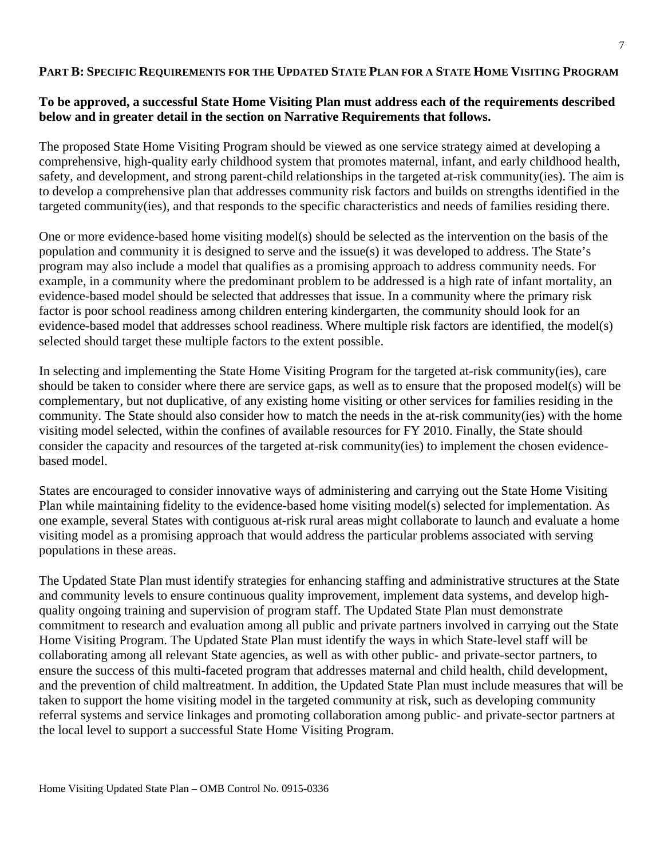### **PART B: SPECIFIC REQUIREMENTS FOR THE UPDATED STATE PLAN FOR A STATE HOME VISITING PROGRAM**

## **To be approved, a successful State Home Visiting Plan must address each of the requirements described below and in greater detail in the section on Narrative Requirements that follows.**

The proposed State Home Visiting Program should be viewed as one service strategy aimed at developing a comprehensive, high-quality early childhood system that promotes maternal, infant, and early childhood health, safety, and development, and strong parent-child relationships in the targeted at-risk community(ies). The aim is to develop a comprehensive plan that addresses community risk factors and builds on strengths identified in the targeted community(ies), and that responds to the specific characteristics and needs of families residing there.

One or more evidence-based home visiting model(s) should be selected as the intervention on the basis of the population and community it is designed to serve and the issue(s) it was developed to address. The State's program may also include a model that qualifies as a promising approach to address community needs. For example, in a community where the predominant problem to be addressed is a high rate of infant mortality, an evidence-based model should be selected that addresses that issue. In a community where the primary risk factor is poor school readiness among children entering kindergarten, the community should look for an evidence-based model that addresses school readiness. Where multiple risk factors are identified, the model(s) selected should target these multiple factors to the extent possible.

In selecting and implementing the State Home Visiting Program for the targeted at-risk community(ies), care should be taken to consider where there are service gaps, as well as to ensure that the proposed model(s) will be complementary, but not duplicative, of any existing home visiting or other services for families residing in the community. The State should also consider how to match the needs in the at-risk community(ies) with the home visiting model selected, within the confines of available resources for FY 2010. Finally, the State should consider the capacity and resources of the targeted at-risk community(ies) to implement the chosen evidencebased model.

States are encouraged to consider innovative ways of administering and carrying out the State Home Visiting Plan while maintaining fidelity to the evidence-based home visiting model(s) selected for implementation. As one example, several States with contiguous at-risk rural areas might collaborate to launch and evaluate a home visiting model as a promising approach that would address the particular problems associated with serving populations in these areas.

The Updated State Plan must identify strategies for enhancing staffing and administrative structures at the State and community levels to ensure continuous quality improvement, implement data systems, and develop highquality ongoing training and supervision of program staff. The Updated State Plan must demonstrate commitment to research and evaluation among all public and private partners involved in carrying out the State Home Visiting Program. The Updated State Plan must identify the ways in which State-level staff will be collaborating among all relevant State agencies, as well as with other public- and private-sector partners, to ensure the success of this multi-faceted program that addresses maternal and child health, child development, and the prevention of child maltreatment. In addition, the Updated State Plan must include measures that will be taken to support the home visiting model in the targeted community at risk, such as developing community referral systems and service linkages and promoting collaboration among public- and private-sector partners at the local level to support a successful State Home Visiting Program.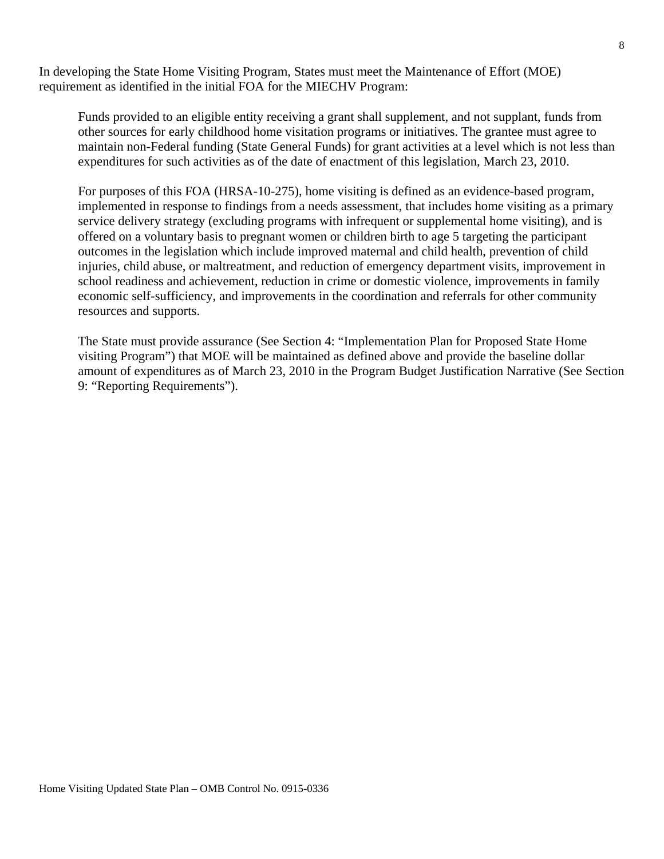In developing the State Home Visiting Program, States must meet the Maintenance of Effort (MOE) requirement as identified in the initial FOA for the MIECHV Program:

Funds provided to an eligible entity receiving a grant shall supplement, and not supplant, funds from other sources for early childhood home visitation programs or initiatives. The grantee must agree to maintain non-Federal funding (State General Funds) for grant activities at a level which is not less than expenditures for such activities as of the date of enactment of this legislation, March 23, 2010.

For purposes of this FOA (HRSA-10-275), home visiting is defined as an evidence-based program, implemented in response to findings from a needs assessment, that includes home visiting as a primary service delivery strategy (excluding programs with infrequent or supplemental home visiting), and is offered on a voluntary basis to pregnant women or children birth to age 5 targeting the participant outcomes in the legislation which include improved maternal and child health, prevention of child injuries, child abuse, or maltreatment, and reduction of emergency department visits, improvement in school readiness and achievement, reduction in crime or domestic violence, improvements in family economic self-sufficiency, and improvements in the coordination and referrals for other community resources and supports.

The State must provide assurance (See Section 4: "Implementation Plan for Proposed State Home visiting Program") that MOE will be maintained as defined above and provide the baseline dollar amount of expenditures as of March 23, 2010 in the Program Budget Justification Narrative (See Section 9: "Reporting Requirements").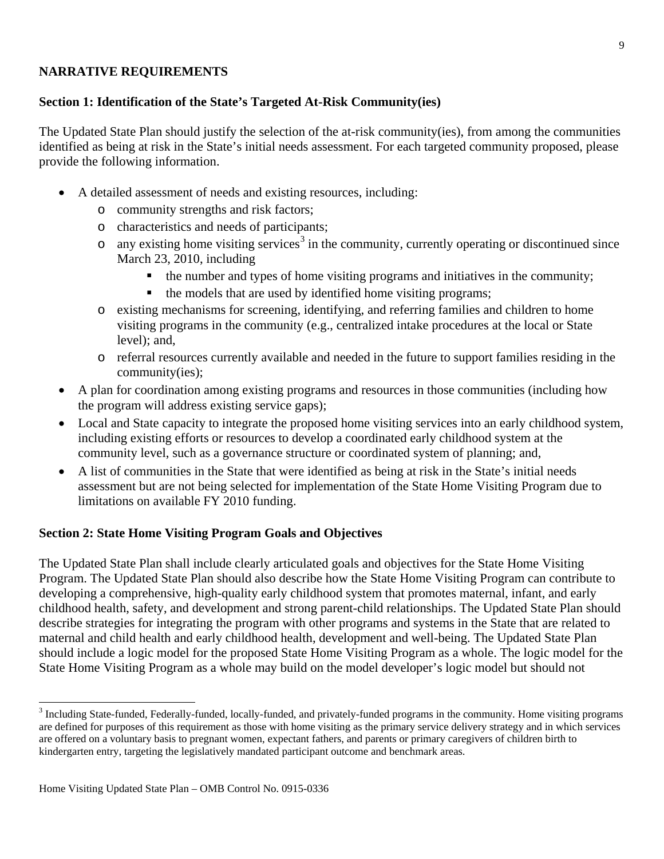## **NARRATIVE REQUIREMENTS**

# **Section 1: Identification of the State's Targeted At-Risk Community(ies)**

The Updated State Plan should justify the selection of the at-risk community(ies), from among the communities identified as being at risk in the State's initial needs assessment. For each targeted community proposed, please provide the following information.

- A detailed assessment of needs and existing resources, including:
	- o community strengths and risk factors;
	- o characteristics and needs of participants;
	- $\circ$  any existing home visiting services<sup>[3](#page-8-0)</sup> in the community, currently operating or discontinued since March 23, 2010, including
		- the number and types of home visiting programs and initiatives in the community;
		- the models that are used by identified home visiting programs;
	- o existing mechanisms for screening, identifying, and referring families and children to home visiting programs in the community (e.g., centralized intake procedures at the local or State level); and,
	- o referral resources currently available and needed in the future to support families residing in the community(ies);
- A plan for coordination among existing programs and resources in those communities (including how the program will address existing service gaps);
- Local and State capacity to integrate the proposed home visiting services into an early childhood system, including existing efforts or resources to develop a coordinated early childhood system at the community level, such as a governance structure or coordinated system of planning; and,
- A list of communities in the State that were identified as being at risk in the State's initial needs assessment but are not being selected for implementation of the State Home Visiting Program due to limitations on available FY 2010 funding.

# **Section 2: State Home Visiting Program Goals and Objectives**

The Updated State Plan shall include clearly articulated goals and objectives for the State Home Visiting Program. The Updated State Plan should also describe how the State Home Visiting Program can contribute to developing a comprehensive, high-quality early childhood system that promotes maternal, infant, and early childhood health, safety, and development and strong parent-child relationships. The Updated State Plan should describe strategies for integrating the program with other programs and systems in the State that are related to maternal and child health and early childhood health, development and well-being. The Updated State Plan should include a logic model for the proposed State Home Visiting Program as a whole. The logic model for the State Home Visiting Program as a whole may build on the model developer's logic model but should not

<span id="page-8-0"></span><sup>&</sup>lt;sup>3</sup> Including State-funded, Federally-funded, locally-funded, and privately-funded programs in the community. Home visiting programs are defined for purposes of this requirement as those with home visiting as the primary service delivery strategy and in which services are offered on a voluntary basis to pregnant women, expectant fathers, and parents or primary caregivers of children birth to kindergarten entry, targeting the legislatively mandated participant outcome and benchmark areas.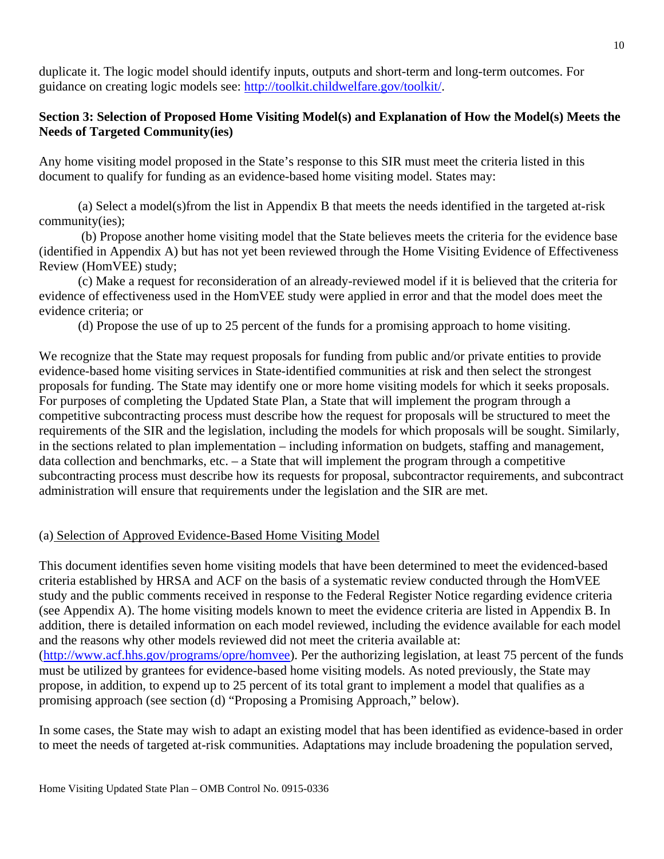duplicate it. The logic model should identify inputs, outputs and short-term and long-term outcomes. For guidance on creating logic models see: [http://toolkit.childwelfare.gov/toolkit/.](http://toolkit.childwelfare.gov/toolkit/)

### **Section 3: Selection of Proposed Home Visiting Model(s) and Explanation of How the Model(s) Meets the Needs of Targeted Community(ies)**

Any home visiting model proposed in the State's response to this SIR must meet the criteria listed in this document to qualify for funding as an evidence-based home visiting model. States may:

(a) Select a model(s)from the list in Appendix B that meets the needs identified in the targeted at-risk community(ies);

(b) Propose another home visiting model that the State believes meets the criteria for the evidence base (identified in Appendix A) but has not yet been reviewed through the Home Visiting Evidence of Effectiveness Review (HomVEE) study;

(c) Make a request for reconsideration of an already-reviewed model if it is believed that the criteria for evidence of effectiveness used in the HomVEE study were applied in error and that the model does meet the evidence criteria; or

(d) Propose the use of up to 25 percent of the funds for a promising approach to home visiting.

We recognize that the State may request proposals for funding from public and/or private entities to provide evidence-based home visiting services in State-identified communities at risk and then select the strongest proposals for funding. The State may identify one or more home visiting models for which it seeks proposals. For purposes of completing the Updated State Plan, a State that will implement the program through a competitive subcontracting process must describe how the request for proposals will be structured to meet the requirements of the SIR and the legislation, including the models for which proposals will be sought. Similarly, in the sections related to plan implementation – including information on budgets, staffing and management, data collection and benchmarks, etc. – a State that will implement the program through a competitive subcontracting process must describe how its requests for proposal, subcontractor requirements, and subcontract administration will ensure that requirements under the legislation and the SIR are met.

#### (a) Selection of Approved Evidence-Based Home Visiting Model

This document identifies seven home visiting models that have been determined to meet the evidenced-based criteria established by HRSA and ACF on the basis of a systematic review conducted through the HomVEE study and the public comments received in response to the Federal Register Notice regarding evidence criteria (see Appendix A). The home visiting models known to meet the evidence criteria are listed in Appendix B. In addition, there is detailed information on each model reviewed, including the evidence available for each model and the reasons why other models reviewed did not meet the criteria available at: [\(http://www.acf.hhs.gov/programs/opre/homvee\)](http://www.acf.hhs.gov/programs/opre/homvee). Per the authorizing legislation, at least 75 percent of the funds must be utilized by grantees for evidence-based home visiting models. As noted previously, the State may propose, in addition, to expend up to 25 percent of its total grant to implement a model that qualifies as a promising approach (see section (d) "Proposing a Promising Approach," below).

In some cases, the State may wish to adapt an existing model that has been identified as evidence-based in order to meet the needs of targeted at-risk communities. Adaptations may include broadening the population served,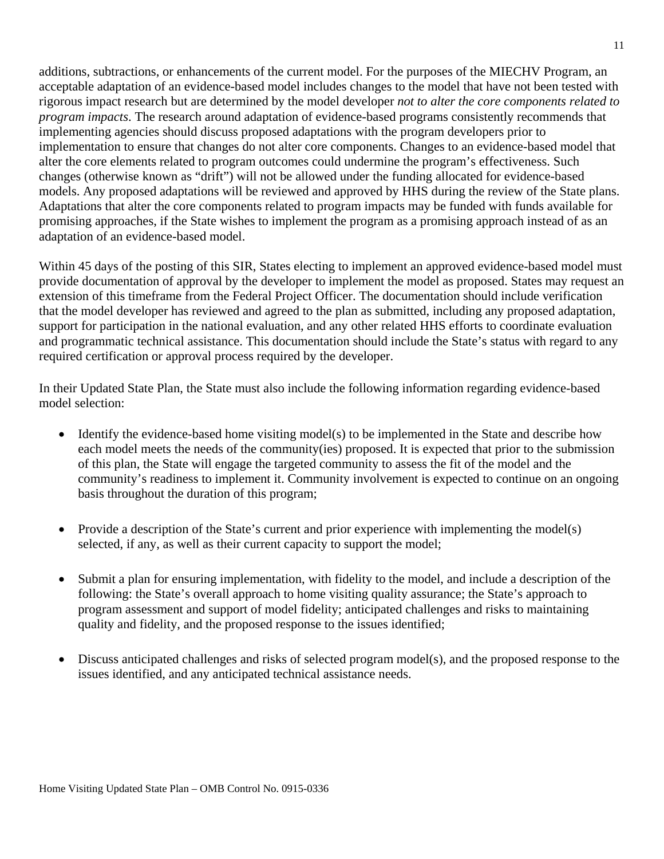additions, subtractions, or enhancements of the current model. For the purposes of the MIECHV Program, an acceptable adaptation of an evidence-based model includes changes to the model that have not been tested with rigorous impact research but are determined by the model developer *not to alter the core components related to program impacts*. The research around adaptation of evidence-based programs consistently recommends that implementing agencies should discuss proposed adaptations with the program developers prior to implementation to ensure that changes do not alter core components. Changes to an evidence-based model that alter the core elements related to program outcomes could undermine the program's effectiveness. Such changes (otherwise known as "drift") will not be allowed under the funding allocated for evidence-based models. Any proposed adaptations will be reviewed and approved by HHS during the review of the State plans. Adaptations that alter the core components related to program impacts may be funded with funds available for promising approaches, if the State wishes to implement the program as a promising approach instead of as an adaptation of an evidence-based model.

Within 45 days of the posting of this SIR, States electing to implement an approved evidence-based model must provide documentation of approval by the developer to implement the model as proposed. States may request an extension of this timeframe from the Federal Project Officer. The documentation should include verification that the model developer has reviewed and agreed to the plan as submitted, including any proposed adaptation, support for participation in the national evaluation, and any other related HHS efforts to coordinate evaluation and programmatic technical assistance. This documentation should include the State's status with regard to any required certification or approval process required by the developer.

In their Updated State Plan, the State must also include the following information regarding evidence-based model selection:

- Identify the evidence-based home visiting model(s) to be implemented in the State and describe how each model meets the needs of the community(ies) proposed. It is expected that prior to the submission of this plan, the State will engage the targeted community to assess the fit of the model and the community's readiness to implement it. Community involvement is expected to continue on an ongoing basis throughout the duration of this program;
- Provide a description of the State's current and prior experience with implementing the model(s) selected, if any, as well as their current capacity to support the model;
- Submit a plan for ensuring implementation, with fidelity to the model, and include a description of the following: the State's overall approach to home visiting quality assurance; the State's approach to program assessment and support of model fidelity; anticipated challenges and risks to maintaining quality and fidelity, and the proposed response to the issues identified;
- Discuss anticipated challenges and risks of selected program model(s), and the proposed response to the issues identified, and any anticipated technical assistance needs.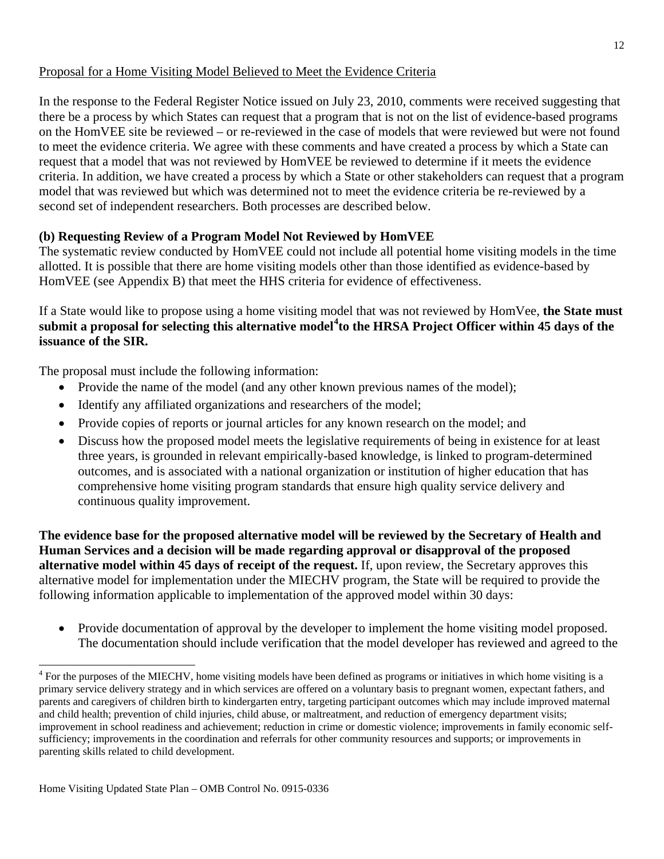# Proposal for a Home Visiting Model Believed to Meet the Evidence Criteria

In the response to the Federal Register Notice issued on July 23, 2010, comments were received suggesting that there be a process by which States can request that a program that is not on the list of evidence-based programs on the HomVEE site be reviewed – or re-reviewed in the case of models that were reviewed but were not found to meet the evidence criteria. We agree with these comments and have created a process by which a State can request that a model that was not reviewed by HomVEE be reviewed to determine if it meets the evidence criteria. In addition, we have created a process by which a State or other stakeholders can request that a program model that was reviewed but which was determined not to meet the evidence criteria be re-reviewed by a second set of independent researchers. Both processes are described below.

# **(b) Requesting Review of a Program Model Not Reviewed by HomVEE**

The systematic review conducted by HomVEE could not include all potential home visiting models in the time allotted. It is possible that there are home visiting models other than those identified as evidence-based by HomVEE (see Appendix B) that meet the HHS criteria for evidence of effectiveness.

If a State would like to propose using a home visiting model that was not reviewed by HomVee, **the State must submit a proposal for selecting this alternative model[4](#page-11-0) to the HRSA Project Officer within 45 days of the issuance of the SIR.**

The proposal must include the following information:

- Provide the name of the model (and any other known previous names of the model);
- Identify any affiliated organizations and researchers of the model;
- Provide copies of reports or journal articles for any known research on the model; and
- Discuss how the proposed model meets the legislative requirements of being in existence for at least three years, is grounded in relevant empirically-based knowledge, is linked to program-determined outcomes, and is associated with a national organization or institution of higher education that has comprehensive home visiting program standards that ensure high quality service delivery and continuous quality improvement.

**The evidence base for the proposed alternative model will be reviewed by the Secretary of Health and Human Services and a decision will be made regarding approval or disapproval of the proposed alternative model within 45 days of receipt of the request.** If, upon review, the Secretary approves this alternative model for implementation under the MIECHV program, the State will be required to provide the following information applicable to implementation of the approved model within 30 days:

• Provide documentation of approval by the developer to implement the home visiting model proposed. The documentation should include verification that the model developer has reviewed and agreed to the

<span id="page-11-0"></span><sup>&</sup>lt;sup>4</sup> For the purposes of the MIECHV, home visiting models have been defined as programs or initiatives in which home visiting is a primary service delivery strategy and in which services are offered on a voluntary basis to pregnant women, expectant fathers, and parents and caregivers of children birth to kindergarten entry, targeting participant outcomes which may include improved maternal and child health; prevention of child injuries, child abuse, or maltreatment, and reduction of emergency department visits; improvement in school readiness and achievement; reduction in crime or domestic violence; improvements in family economic selfsufficiency; improvements in the coordination and referrals for other community resources and supports; or improvements in parenting skills related to child development.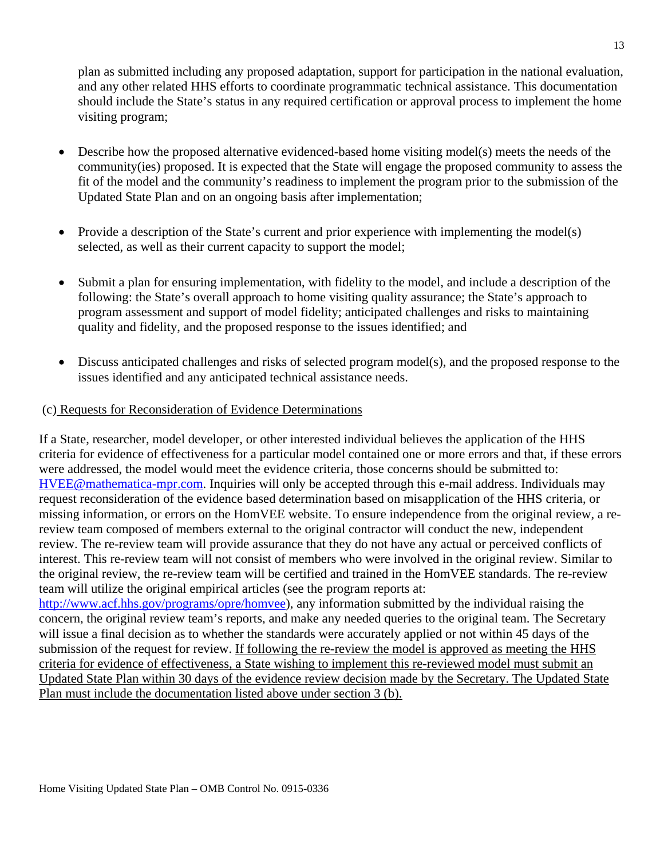plan as submitted including any proposed adaptation, support for participation in the national evaluation, and any other related HHS efforts to coordinate programmatic technical assistance. This documentation should include the State's status in any required certification or approval process to implement the home visiting program;

- Describe how the proposed alternative evidenced-based home visiting model(s) meets the needs of the community(ies) proposed. It is expected that the State will engage the proposed community to assess the fit of the model and the community's readiness to implement the program prior to the submission of the Updated State Plan and on an ongoing basis after implementation;
- Provide a description of the State's current and prior experience with implementing the model(s) selected, as well as their current capacity to support the model;
- Submit a plan for ensuring implementation, with fidelity to the model, and include a description of the following: the State's overall approach to home visiting quality assurance; the State's approach to program assessment and support of model fidelity; anticipated challenges and risks to maintaining quality and fidelity, and the proposed response to the issues identified; and
- Discuss anticipated challenges and risks of selected program model(s), and the proposed response to the issues identified and any anticipated technical assistance needs.

### (c) Requests for Reconsideration of Evidence Determinations

If a State, researcher, model developer, or other interested individual believes the application of the HHS criteria for evidence of effectiveness for a particular model contained one or more errors and that, if these errors were addressed, the model would meet the evidence criteria, those concerns should be submitted to: [HVEE@mathematica-mpr.com.](https://owa.hhs.gov/owa/redir.aspx?C=015d31ec837a41b3bf40eb9d36028c87&URL=mailto%3aHVEE%40mathematica-mpr.com) Inquiries will only be accepted through this e-mail address. Individuals may request reconsideration of the evidence based determination based on misapplication of the HHS criteria, or missing information, or errors on the HomVEE website. To ensure independence from the original review, a rereview team composed of members external to the original contractor will conduct the new, independent review. The re-review team will provide assurance that they do not have any actual or perceived conflicts of interest. This re-review team will not consist of members who were involved in the original review. Similar to the original review, the re-review team will be certified and trained in the HomVEE standards. The re-review team will utilize the original empirical articles (see the program reports at:

[http://www.acf.hhs.gov/programs/opre/homvee\)](http://www.acf.hhs.gov/programs/opre/homvee), any information submitted by the individual raising the concern, the original review team's reports, and make any needed queries to the original team. The Secretary will issue a final decision as to whether the standards were accurately applied or not within 45 days of the submission of the request for review. If following the re-review the model is approved as meeting the HHS criteria for evidence of effectiveness, a State wishing to implement this re-reviewed model must submit an Updated State Plan within 30 days of the evidence review decision made by the Secretary. The Updated State Plan must include the documentation listed above under section 3 (b).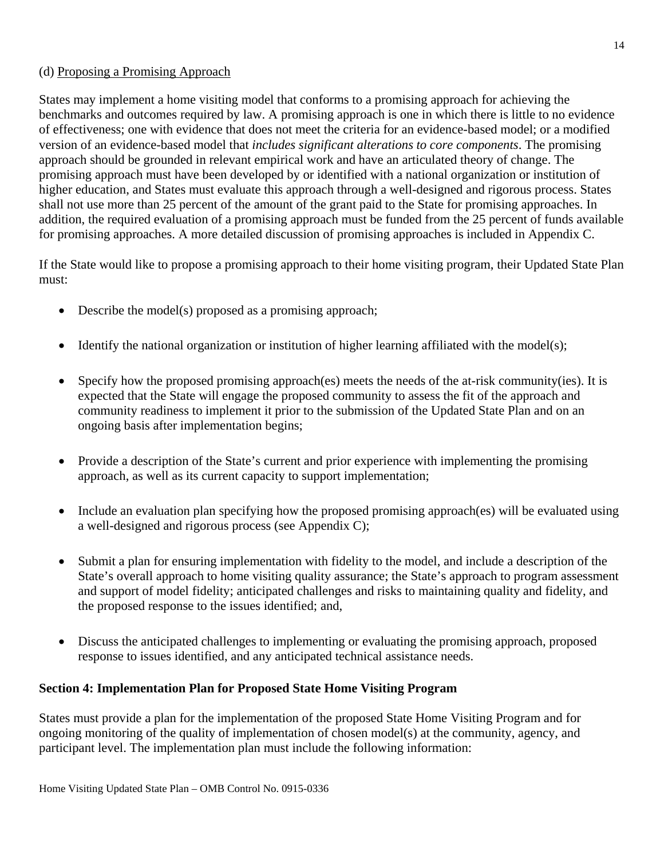## (d) Proposing a Promising Approach

States may implement a home visiting model that conforms to a promising approach for achieving the benchmarks and outcomes required by law. A promising approach is one in which there is little to no evidence of effectiveness; one with evidence that does not meet the criteria for an evidence-based model; or a modified version of an evidence-based model that *includes significant alterations to core components*. The promising approach should be grounded in relevant empirical work and have an articulated theory of change. The promising approach must have been developed by or identified with a national organization or institution of higher education, and States must evaluate this approach through a well-designed and rigorous process. States shall not use more than 25 percent of the amount of the grant paid to the State for promising approaches. In addition, the required evaluation of a promising approach must be funded from the 25 percent of funds available for promising approaches. A more detailed discussion of promising approaches is included in Appendix C.

If the State would like to propose a promising approach to their home visiting program, their Updated State Plan must:

- Describe the model(s) proposed as a promising approach;
- Identify the national organization or institution of higher learning affiliated with the model(s);
- Specify how the proposed promising approach(es) meets the needs of the at-risk community(ies). It is expected that the State will engage the proposed community to assess the fit of the approach and community readiness to implement it prior to the submission of the Updated State Plan and on an ongoing basis after implementation begins;
- Provide a description of the State's current and prior experience with implementing the promising approach, as well as its current capacity to support implementation;
- Include an evaluation plan specifying how the proposed promising approach(es) will be evaluated using a well-designed and rigorous process (see Appendix C);
- Submit a plan for ensuring implementation with fidelity to the model, and include a description of the State's overall approach to home visiting quality assurance; the State's approach to program assessment and support of model fidelity; anticipated challenges and risks to maintaining quality and fidelity, and the proposed response to the issues identified; and,
- Discuss the anticipated challenges to implementing or evaluating the promising approach, proposed response to issues identified, and any anticipated technical assistance needs.

## **Section 4: Implementation Plan for Proposed State Home Visiting Program**

States must provide a plan for the implementation of the proposed State Home Visiting Program and for ongoing monitoring of the quality of implementation of chosen model(s) at the community, agency, and participant level. The implementation plan must include the following information: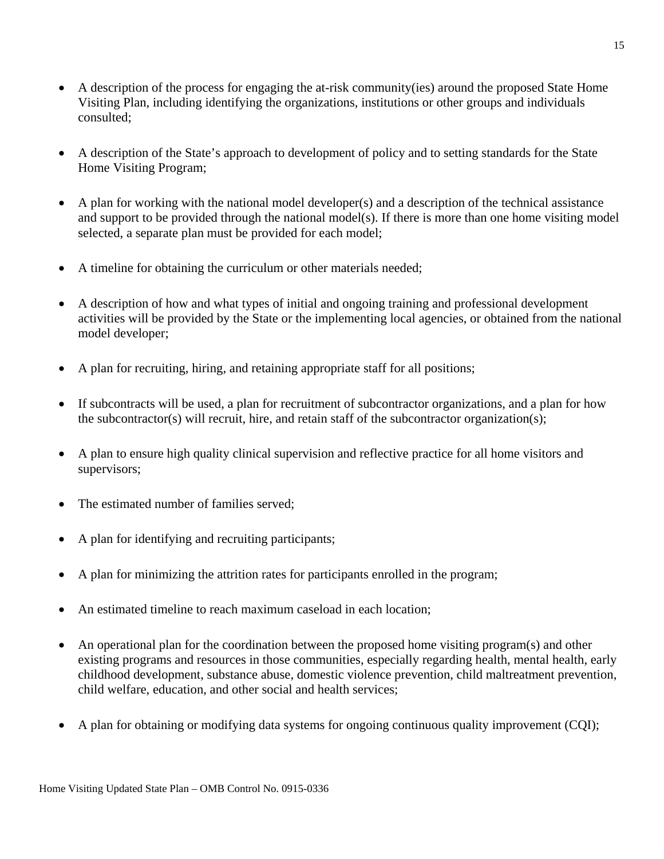- A description of the process for engaging the at-risk community(ies) around the proposed State Home Visiting Plan, including identifying the organizations, institutions or other groups and individuals consulted;
- A description of the State's approach to development of policy and to setting standards for the State Home Visiting Program;
- A plan for working with the national model developer(s) and a description of the technical assistance and support to be provided through the national model(s). If there is more than one home visiting model selected, a separate plan must be provided for each model;
- A timeline for obtaining the curriculum or other materials needed;
- A description of how and what types of initial and ongoing training and professional development activities will be provided by the State or the implementing local agencies, or obtained from the national model developer;
- A plan for recruiting, hiring, and retaining appropriate staff for all positions;
- If subcontracts will be used, a plan for recruitment of subcontractor organizations, and a plan for how the subcontractor(s) will recruit, hire, and retain staff of the subcontractor organization(s);
- A plan to ensure high quality clinical supervision and reflective practice for all home visitors and supervisors;
- The estimated number of families served:
- A plan for identifying and recruiting participants;
- A plan for minimizing the attrition rates for participants enrolled in the program;
- An estimated timeline to reach maximum caseload in each location;
- An operational plan for the coordination between the proposed home visiting program(s) and other existing programs and resources in those communities, especially regarding health, mental health, early childhood development, substance abuse, domestic violence prevention, child maltreatment prevention, child welfare, education, and other social and health services;
- A plan for obtaining or modifying data systems for ongoing continuous quality improvement (COI);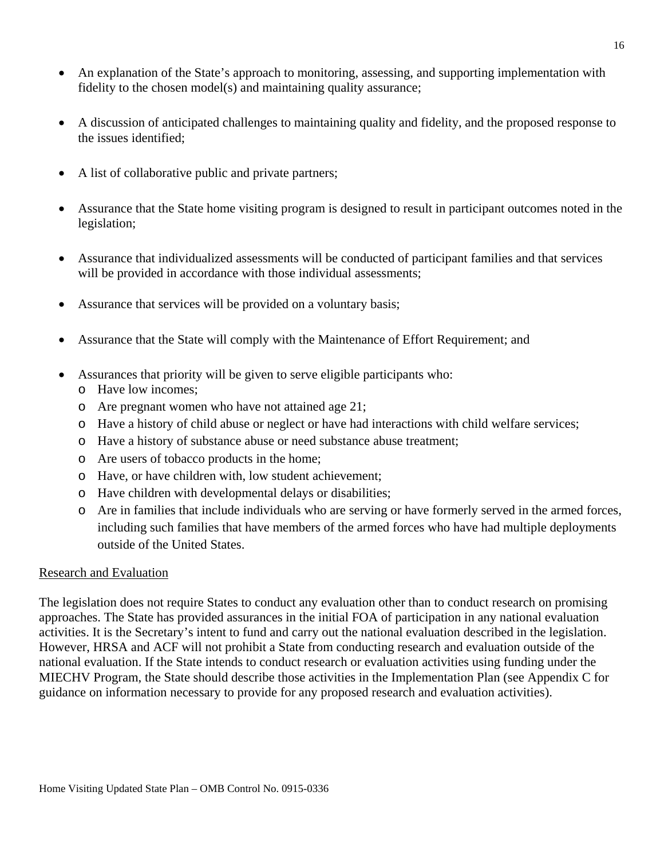- An explanation of the State's approach to monitoring, assessing, and supporting implementation with fidelity to the chosen model(s) and maintaining quality assurance;
- A discussion of anticipated challenges to maintaining quality and fidelity, and the proposed response to the issues identified;
- A list of collaborative public and private partners;
- Assurance that the State home visiting program is designed to result in participant outcomes noted in the legislation;
- Assurance that individualized assessments will be conducted of participant families and that services will be provided in accordance with those individual assessments;
- Assurance that services will be provided on a voluntary basis;
- Assurance that the State will comply with the Maintenance of Effort Requirement; and
- Assurances that priority will be given to serve eligible participants who:
	- o Have low incomes;
	- o Are pregnant women who have not attained age 21;
	- o Have a history of child abuse or neglect or have had interactions with child welfare services;
	- o Have a history of substance abuse or need substance abuse treatment;
	- o Are users of tobacco products in the home;
	- o Have, or have children with, low student achievement;
	- o Have children with developmental delays or disabilities;
	- o Are in families that include individuals who are serving or have formerly served in the armed forces, including such families that have members of the armed forces who have had multiple deployments outside of the United States.

#### Research and Evaluation

The legislation does not require States to conduct any evaluation other than to conduct research on promising approaches. The State has provided assurances in the initial FOA of participation in any national evaluation activities. It is the Secretary's intent to fund and carry out the national evaluation described in the legislation. However, HRSA and ACF will not prohibit a State from conducting research and evaluation outside of the national evaluation. If the State intends to conduct research or evaluation activities using funding under the MIECHV Program, the State should describe those activities in the Implementation Plan (see Appendix C for guidance on information necessary to provide for any proposed research and evaluation activities).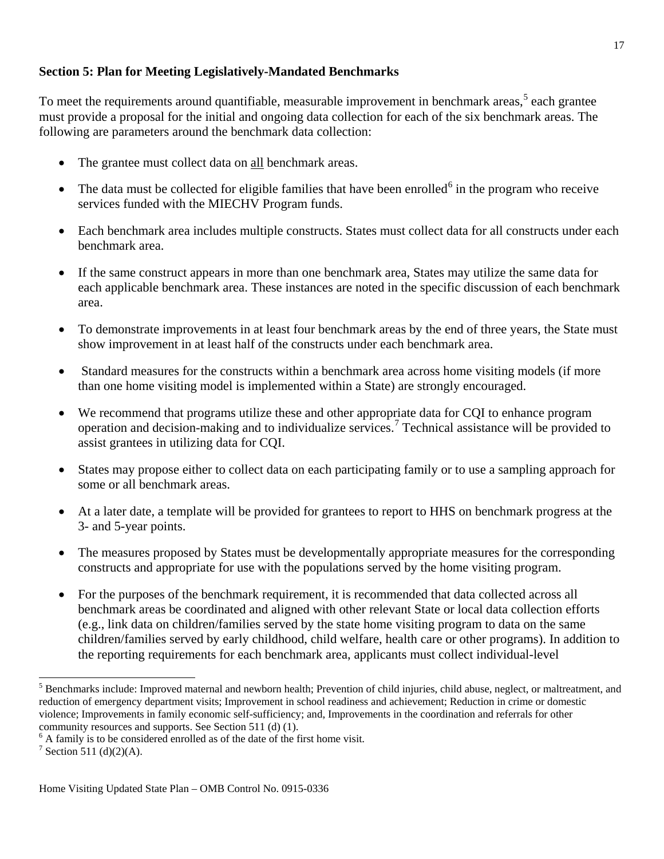## **Section 5: Plan for Meeting Legislatively-Mandated Benchmarks**

To meet the requirements around quantifiable, measurable improvement in benchmark areas,<sup>[5](#page-16-0)</sup> each grantee must provide a proposal for the initial and ongoing data collection for each of the six benchmark areas. The following are parameters around the benchmark data collection:

- The grantee must collect data on all benchmark areas.
- $\bullet$  The data must be collected for eligible families that have been enrolled<sup>[6](#page-16-1)</sup> in the program who receive services funded with the MIECHV Program funds.
- Each benchmark area includes multiple constructs. States must collect data for all constructs under each benchmark area.
- If the same construct appears in more than one benchmark area, States may utilize the same data for each applicable benchmark area. These instances are noted in the specific discussion of each benchmark area.
- To demonstrate improvements in at least four benchmark areas by the end of three years, the State must show improvement in at least half of the constructs under each benchmark area.
- Standard measures for the constructs within a benchmark area across home visiting models (if more than one home visiting model is implemented within a State) are strongly encouraged.
- We recommend that programs utilize these and other appropriate data for CQI to enhance program operation and decision-making and to individualize services. [7](#page-16-2) Technical assistance will be provided to assist grantees in utilizing data for CQI.
- States may propose either to collect data on each participating family or to use a sampling approach for some or all benchmark areas.
- At a later date, a template will be provided for grantees to report to HHS on benchmark progress at the 3- and 5-year points.
- The measures proposed by States must be developmentally appropriate measures for the corresponding constructs and appropriate for use with the populations served by the home visiting program.
- For the purposes of the benchmark requirement, it is recommended that data collected across all benchmark areas be coordinated and aligned with other relevant State or local data collection efforts (e.g., link data on children/families served by the state home visiting program to data on the same children/families served by early childhood, child welfare, health care or other programs). In addition to the reporting requirements for each benchmark area, applicants must collect individual-level

<span id="page-16-0"></span><sup>&</sup>lt;sup>5</sup> Benchmarks include: Improved maternal and newborn health; Prevention of child injuries, child abuse, neglect, or maltreatment, and reduction of emergency department visits; Improvement in school readiness and achievement; Reduction in crime or domestic violence; Improvements in family economic self-sufficiency; and, Improvements in the coordination and referrals for other community resources and supports. See Section 511 (d) (1).<br><sup>6</sup> A family is to be considered enrolled as of the date of the first home visit.

<span id="page-16-1"></span>

<span id="page-16-2"></span> $7$  Section 511 (d)(2)(A).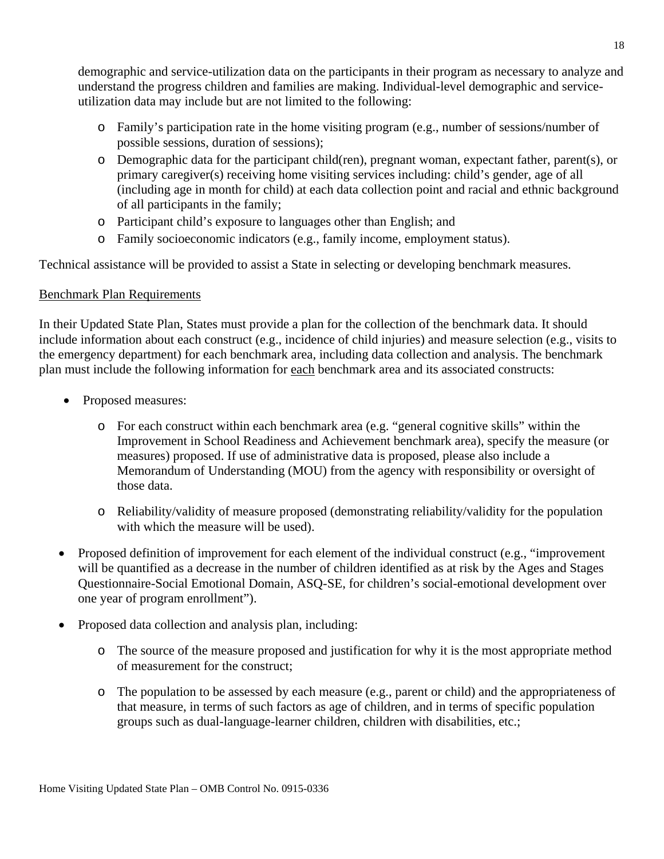demographic and service-utilization data on the participants in their program as necessary to analyze and understand the progress children and families are making. Individual-level demographic and serviceutilization data may include but are not limited to the following:

- o Family's participation rate in the home visiting program (e.g., number of sessions/number of possible sessions, duration of sessions);
- o Demographic data for the participant child(ren), pregnant woman, expectant father, parent(s), or primary caregiver(s) receiving home visiting services including: child's gender, age of all (including age in month for child) at each data collection point and racial and ethnic background of all participants in the family;
- o Participant child's exposure to languages other than English; and
- o Family socioeconomic indicators (e.g., family income, employment status).

Technical assistance will be provided to assist a State in selecting or developing benchmark measures.

## Benchmark Plan Requirements

In their Updated State Plan, States must provide a plan for the collection of the benchmark data. It should include information about each construct (e.g., incidence of child injuries) and measure selection (e.g., visits to the emergency department) for each benchmark area, including data collection and analysis. The benchmark plan must include the following information for each benchmark area and its associated constructs:

- Proposed measures:
	- o For each construct within each benchmark area (e.g. "general cognitive skills" within the Improvement in School Readiness and Achievement benchmark area), specify the measure (or measures) proposed. If use of administrative data is proposed, please also include a Memorandum of Understanding (MOU) from the agency with responsibility or oversight of those data.
	- o Reliability/validity of measure proposed (demonstrating reliability/validity for the population with which the measure will be used).
- Proposed definition of improvement for each element of the individual construct (e.g., "improvement will be quantified as a decrease in the number of children identified as at risk by the Ages and Stages Questionnaire-Social Emotional Domain, ASQ-SE, for children's social-emotional development over one year of program enrollment").
- Proposed data collection and analysis plan, including:
	- o The source of the measure proposed and justification for why it is the most appropriate method of measurement for the construct;
	- o The population to be assessed by each measure (e.g., parent or child) and the appropriateness of that measure, in terms of such factors as age of children, and in terms of specific population groups such as dual-language-learner children, children with disabilities, etc.;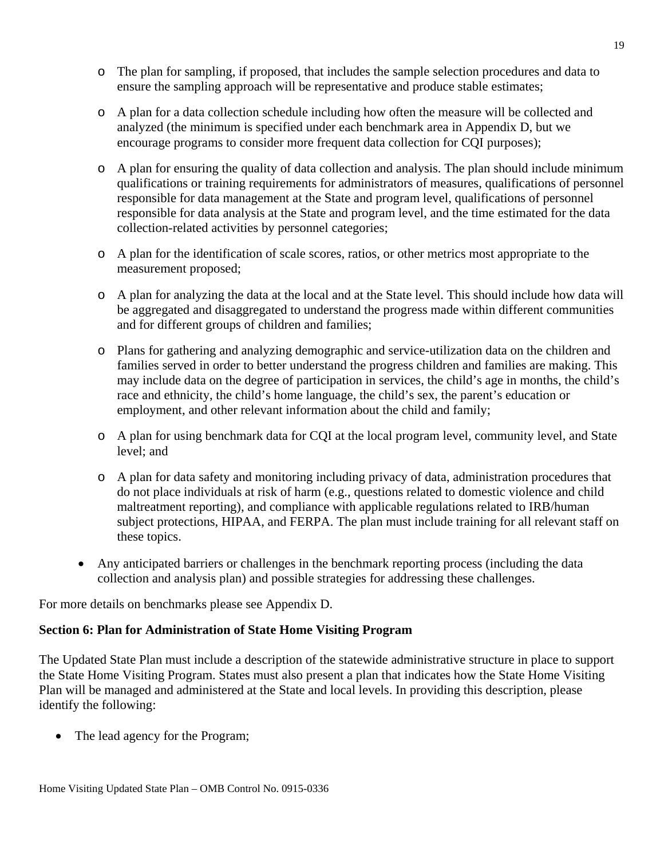- o The plan for sampling, if proposed, that includes the sample selection procedures and data to ensure the sampling approach will be representative and produce stable estimates;
- o A plan for a data collection schedule including how often the measure will be collected and analyzed (the minimum is specified under each benchmark area in Appendix D, but we encourage programs to consider more frequent data collection for CQI purposes);
- o A plan for ensuring the quality of data collection and analysis. The plan should include minimum qualifications or training requirements for administrators of measures, qualifications of personnel responsible for data management at the State and program level, qualifications of personnel responsible for data analysis at the State and program level, and the time estimated for the data collection-related activities by personnel categories;
- o A plan for the identification of scale scores, ratios, or other metrics most appropriate to the measurement proposed;
- o A plan for analyzing the data at the local and at the State level. This should include how data will be aggregated and disaggregated to understand the progress made within different communities and for different groups of children and families;
- o Plans for gathering and analyzing demographic and service-utilization data on the children and families served in order to better understand the progress children and families are making. This may include data on the degree of participation in services, the child's age in months, the child's race and ethnicity, the child's home language, the child's sex, the parent's education or employment, and other relevant information about the child and family;
- o A plan for using benchmark data for CQI at the local program level, community level, and State level; and
- o A plan for data safety and monitoring including privacy of data, administration procedures that do not place individuals at risk of harm (e.g., questions related to domestic violence and child maltreatment reporting), and compliance with applicable regulations related to IRB/human subject protections, HIPAA, and FERPA. The plan must include training for all relevant staff on these topics.
- Any anticipated barriers or challenges in the benchmark reporting process (including the data collection and analysis plan) and possible strategies for addressing these challenges.

For more details on benchmarks please see Appendix D.

## **Section 6: Plan for Administration of State Home Visiting Program**

The Updated State Plan must include a description of the statewide administrative structure in place to support the State Home Visiting Program. States must also present a plan that indicates how the State Home Visiting Plan will be managed and administered at the State and local levels. In providing this description, please identify the following:

• The lead agency for the Program;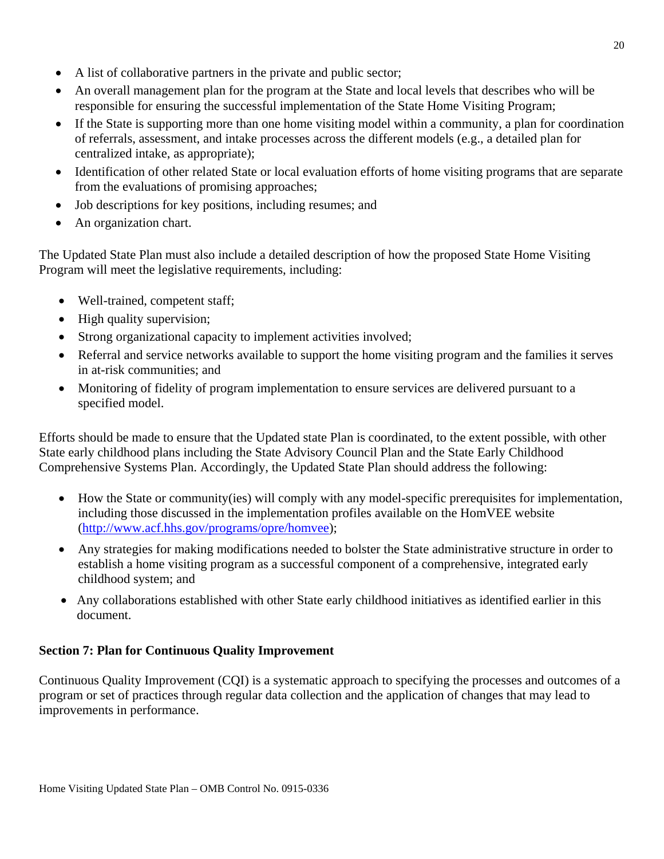- A list of collaborative partners in the private and public sector;
- An overall management plan for the program at the State and local levels that describes who will be responsible for ensuring the successful implementation of the State Home Visiting Program;
- If the State is supporting more than one home visiting model within a community, a plan for coordination of referrals, assessment, and intake processes across the different models (e.g., a detailed plan for centralized intake, as appropriate);
- Identification of other related State or local evaluation efforts of home visiting programs that are separate from the evaluations of promising approaches;
- Job descriptions for key positions, including resumes; and
- An organization chart.

The Updated State Plan must also include a detailed description of how the proposed State Home Visiting Program will meet the legislative requirements, including:

- Well-trained, competent staff;
- High quality supervision;
- Strong organizational capacity to implement activities involved;
- Referral and service networks available to support the home visiting program and the families it serves in at-risk communities; and
- Monitoring of fidelity of program implementation to ensure services are delivered pursuant to a specified model.

Efforts should be made to ensure that the Updated state Plan is coordinated, to the extent possible, with other State early childhood plans including the State Advisory Council Plan and the State Early Childhood Comprehensive Systems Plan. Accordingly, the Updated State Plan should address the following:

- How the State or community(ies) will comply with any model-specific prerequisites for implementation, including those discussed in the implementation profiles available on the HomVEE website [\(http://www.acf.hhs.gov/programs/opre/homvee\)](http://www.acf.hhs.gov/programs/opre/homvee);
- Any strategies for making modifications needed to bolster the State administrative structure in order to establish a home visiting program as a successful component of a comprehensive, integrated early childhood system; and
- Any collaborations established with other State early childhood initiatives as identified earlier in this document.

# **Section 7: Plan for Continuous Quality Improvement**

Continuous Quality Improvement (CQI) is a systematic approach to specifying the processes and outcomes of a program or set of practices through regular data collection and the application of changes that may lead to improvements in performance.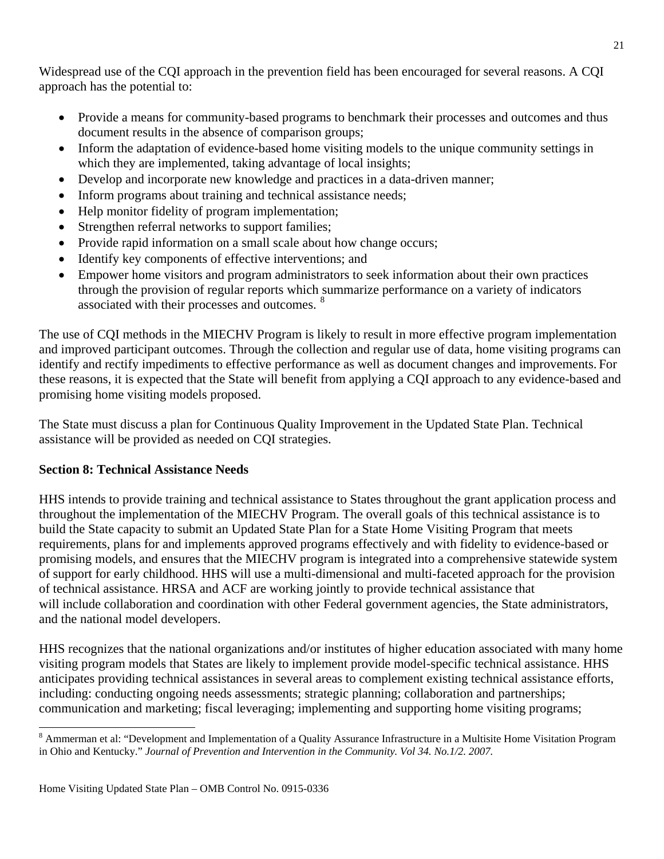Widespread use of the CQI approach in the prevention field has been encouraged for several reasons. A CQI approach has the potential to:

- Provide a means for community-based programs to benchmark their processes and outcomes and thus document results in the absence of comparison groups;
- Inform the adaptation of evidence-based home visiting models to the unique community settings in which they are implemented, taking advantage of local insights;
- Develop and incorporate new knowledge and practices in a data-driven manner;
- Inform programs about training and technical assistance needs;
- Help monitor fidelity of program implementation;
- Strengthen referral networks to support families;
- Provide rapid information on a small scale about how change occurs;
- Identify key components of effective interventions; and
- Empower home visitors and program administrators to seek information about their own practices through the provision of regular reports which summarize performance on a variety of indicators associated with their processes and outcomes. [8](#page-20-0)

The use of CQI methods in the MIECHV Program is likely to result in more effective program implementation and improved participant outcomes. Through the collection and regular use of data, home visiting programs can identify and rectify impediments to effective performance as well as document changes and improvements. For these reasons, it is expected that the State will benefit from applying a CQI approach to any evidence-based and promising home visiting models proposed.

The State must discuss a plan for Continuous Quality Improvement in the Updated State Plan. Technical assistance will be provided as needed on CQI strategies.

# **Section 8: Technical Assistance Needs**

HHS intends to provide training and technical assistance to States throughout the grant application process and throughout the implementation of the MIECHV Program. The overall goals of this technical assistance is to build the State capacity to submit an Updated State Plan for a State Home Visiting Program that meets requirements, plans for and implements approved programs effectively and with fidelity to evidence-based or promising models, and ensures that the MIECHV program is integrated into a comprehensive statewide system of support for early childhood. HHS will use a multi-dimensional and multi-faceted approach for the provision of technical assistance. HRSA and ACF are working jointly to provide technical assistance that will include collaboration and coordination with other Federal government agencies, the State administrators, and the national model developers.

HHS recognizes that the national organizations and/or institutes of higher education associated with many home visiting program models that States are likely to implement provide model-specific technical assistance. HHS anticipates providing technical assistances in several areas to complement existing technical assistance efforts, including: conducting ongoing needs assessments; strategic planning; collaboration and partnerships; communication and marketing; fiscal leveraging; implementing and supporting home visiting programs;

<span id="page-20-0"></span><sup>&</sup>lt;sup>8</sup> Ammerman et al: "Development and Implementation of a Quality Assurance Infrastructure in a Multisite Home Visitation Program in Ohio and Kentucky." *Journal of Prevention and Intervention in the Community. Vol 34. No.1/2. 2007.*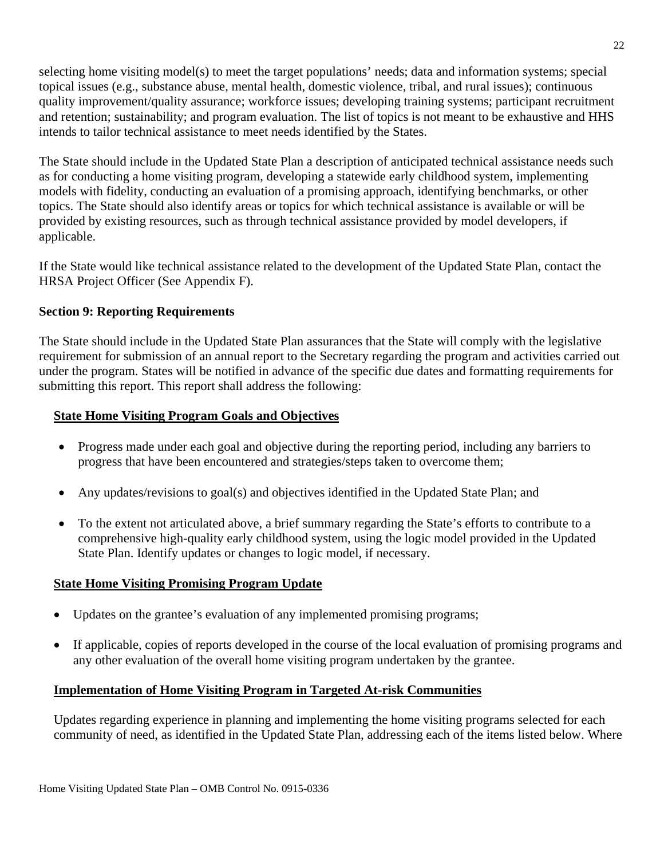selecting home visiting model(s) to meet the target populations' needs; data and information systems; special topical issues (e.g., substance abuse, mental health, domestic violence, tribal, and rural issues); continuous quality improvement/quality assurance; workforce issues; developing training systems; participant recruitment and retention; sustainability; and program evaluation. The list of topics is not meant to be exhaustive and HHS intends to tailor technical assistance to meet needs identified by the States.

The State should include in the Updated State Plan a description of anticipated technical assistance needs such as for conducting a home visiting program, developing a statewide early childhood system, implementing models with fidelity, conducting an evaluation of a promising approach, identifying benchmarks, or other topics. The State should also identify areas or topics for which technical assistance is available or will be provided by existing resources, such as through technical assistance provided by model developers, if applicable.

If the State would like technical assistance related to the development of the Updated State Plan, contact the HRSA Project Officer (See Appendix F).

## **Section 9: Reporting Requirements**

The State should include in the Updated State Plan assurances that the State will comply with the legislative requirement for submission of an annual report to the Secretary regarding the program and activities carried out under the program. States will be notified in advance of the specific due dates and formatting requirements for submitting this report. This report shall address the following:

# **State Home Visiting Program Goals and Objectives**

- Progress made under each goal and objective during the reporting period, including any barriers to progress that have been encountered and strategies/steps taken to overcome them;
- Any updates/revisions to goal(s) and objectives identified in the Updated State Plan; and
- To the extent not articulated above, a brief summary regarding the State's efforts to contribute to a comprehensive high-quality early childhood system, using the logic model provided in the Updated State Plan. Identify updates or changes to logic model, if necessary.

## **State Home Visiting Promising Program Update**

- Updates on the grantee's evaluation of any implemented promising programs;
- If applicable, copies of reports developed in the course of the local evaluation of promising programs and any other evaluation of the overall home visiting program undertaken by the grantee.

## **Implementation of Home Visiting Program in Targeted At-risk Communities**

Updates regarding experience in planning and implementing the home visiting programs selected for each community of need, as identified in the Updated State Plan, addressing each of the items listed below. Where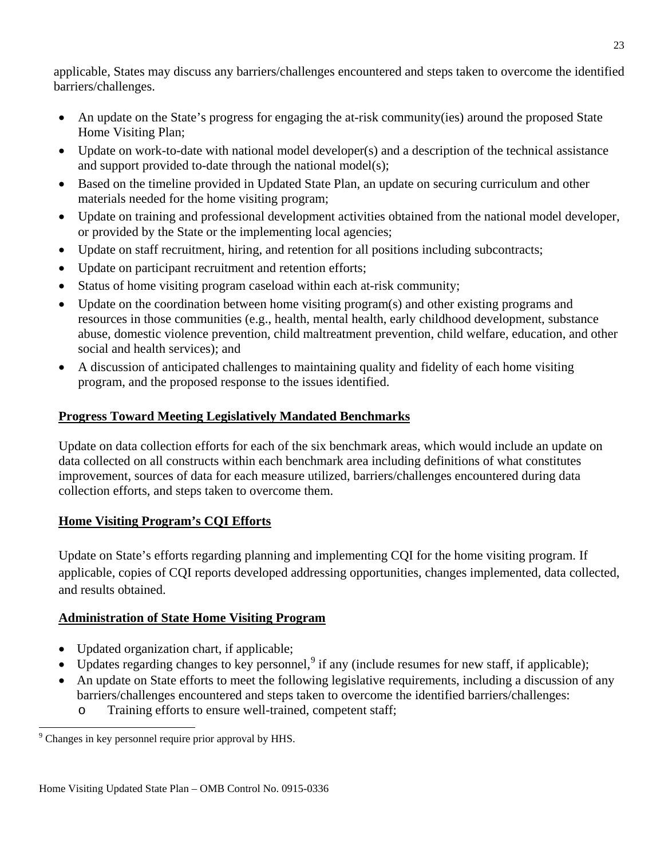applicable, States may discuss any barriers/challenges encountered and steps taken to overcome the identified barriers/challenges.

- An update on the State's progress for engaging the at-risk community(ies) around the proposed State Home Visiting Plan;
- Update on work-to-date with national model developer(s) and a description of the technical assistance and support provided to-date through the national model(s);
- Based on the timeline provided in Updated State Plan, an update on securing curriculum and other materials needed for the home visiting program;
- Update on training and professional development activities obtained from the national model developer, or provided by the State or the implementing local agencies;
- Update on staff recruitment, hiring, and retention for all positions including subcontracts;
- Update on participant recruitment and retention efforts;
- Status of home visiting program caseload within each at-risk community;
- Update on the coordination between home visiting program(s) and other existing programs and resources in those communities (e.g., health, mental health, early childhood development, substance abuse, domestic violence prevention, child maltreatment prevention, child welfare, education, and other social and health services); and
- A discussion of anticipated challenges to maintaining quality and fidelity of each home visiting program, and the proposed response to the issues identified.

# **Progress Toward Meeting Legislatively Mandated Benchmarks**

Update on data collection efforts for each of the six benchmark areas, which would include an update on data collected on all constructs within each benchmark area including definitions of what constitutes improvement, sources of data for each measure utilized, barriers/challenges encountered during data collection efforts, and steps taken to overcome them.

# **Home Visiting Program's CQI Efforts**

Update on State's efforts regarding planning and implementing CQI for the home visiting program. If applicable, copies of CQI reports developed addressing opportunities, changes implemented, data collected, and results obtained.

# **Administration of State Home Visiting Program**

- Updated organization chart, if applicable;
- Updates regarding changes to key personnel,<sup>[9](#page-22-0)</sup> if any (include resumes for new staff, if applicable);
- An update on State efforts to meet the following legislative requirements, including a discussion of any barriers/challenges encountered and steps taken to overcome the identified barriers/challenges:
	- o Training efforts to ensure well-trained, competent staff;

<span id="page-22-0"></span><sup>&</sup>lt;sup>9</sup> Changes in key personnel require prior approval by HHS.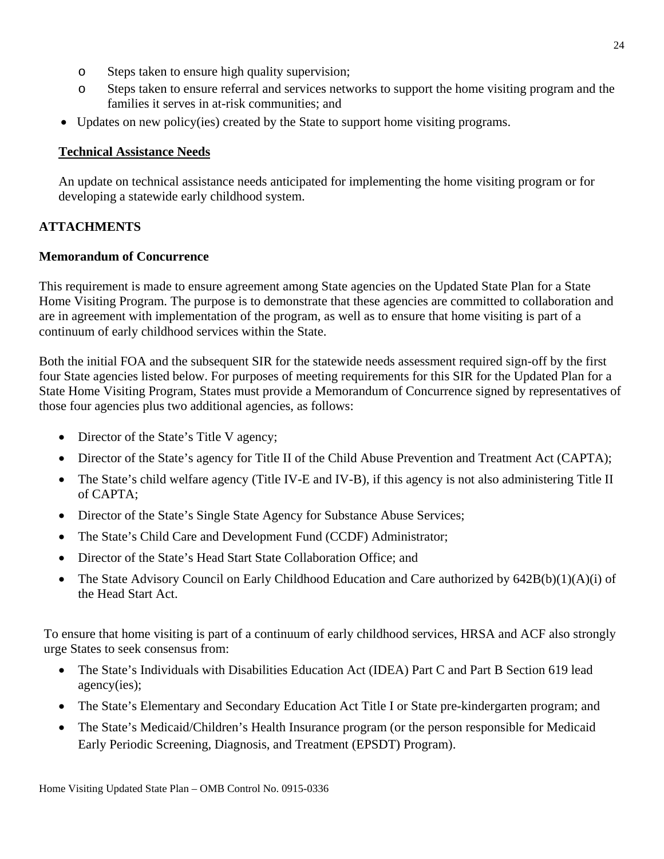- o Steps taken to ensure high quality supervision;
- o Steps taken to ensure referral and services networks to support the home visiting program and the families it serves in at-risk communities; and
- Updates on new policy(ies) created by the State to support home visiting programs.

# **Technical Assistance Needs**

An update on technical assistance needs anticipated for implementing the home visiting program or for developing a statewide early childhood system.

# **ATTACHMENTS**

# **Memorandum of Concurrence**

This requirement is made to ensure agreement among State agencies on the Updated State Plan for a State Home Visiting Program. The purpose is to demonstrate that these agencies are committed to collaboration and are in agreement with implementation of the program, as well as to ensure that home visiting is part of a continuum of early childhood services within the State.

Both the initial FOA and the subsequent SIR for the statewide needs assessment required sign-off by the first four State agencies listed below. For purposes of meeting requirements for this SIR for the Updated Plan for a State Home Visiting Program, States must provide a Memorandum of Concurrence signed by representatives of those four agencies plus two additional agencies, as follows:

- Director of the State's Title V agency;
- Director of the State's agency for Title II of the Child Abuse Prevention and Treatment Act (CAPTA);
- The State's child welfare agency (Title IV-E and IV-B), if this agency is not also administering Title II of CAPTA;
- Director of the State's Single State Agency for Substance Abuse Services;
- The State's Child Care and Development Fund (CCDF) Administrator;
- Director of the State's Head Start State Collaboration Office; and
- The State Advisory Council on Early Childhood Education and Care authorized by 642B(b)(1)(A)(i) of the Head Start Act.

To ensure that home visiting is part of a continuum of early childhood services, HRSA and ACF also strongly urge States to seek consensus from:

- The State's Individuals with Disabilities Education Act (IDEA) Part C and Part B Section 619 lead agency(ies);
- The State's Elementary and Secondary Education Act Title I or State pre-kindergarten program; and
- The State's Medicaid/Children's Health Insurance program (or the person responsible for Medicaid Early Periodic Screening, Diagnosis, and Treatment (EPSDT) Program).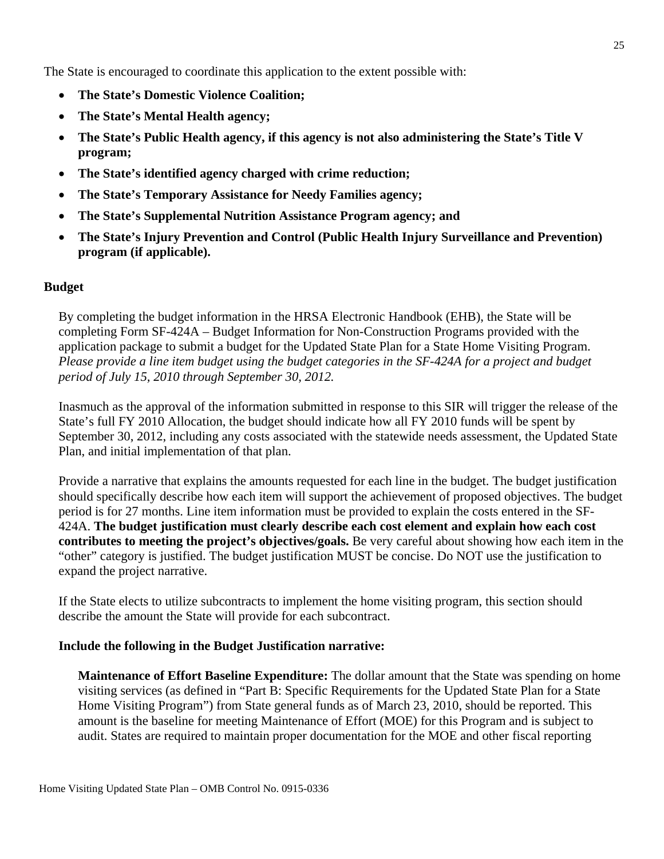The State is encouraged to coordinate this application to the extent possible with:

- **The State's Domestic Violence Coalition;**
- **The State's Mental Health agency;**
- **The State's Public Health agency, if this agency is not also administering the State's Title V program;**
- **The State's identified agency charged with crime reduction;**
- **The State's Temporary Assistance for Needy Families agency;**
- **The State's Supplemental Nutrition Assistance Program agency; and**
- **The State's Injury Prevention and Control (Public Health Injury Surveillance and Prevention) program (if applicable).**

## **Budget**

By completing the budget information in the HRSA Electronic Handbook (EHB), the State will be completing Form SF-424A – Budget Information for Non-Construction Programs provided with the application package to submit a budget for the Updated State Plan for a State Home Visiting Program. *Please provide a line item budget using the budget categories in the SF-424A for a project and budget period of July 15, 2010 through September 30, 2012.* 

Inasmuch as the approval of the information submitted in response to this SIR will trigger the release of the State's full FY 2010 Allocation, the budget should indicate how all FY 2010 funds will be spent by September 30, 2012, including any costs associated with the statewide needs assessment, the Updated State Plan, and initial implementation of that plan.

Provide a narrative that explains the amounts requested for each line in the budget. The budget justification should specifically describe how each item will support the achievement of proposed objectives. The budget period is for 27 months. Line item information must be provided to explain the costs entered in the SF-424A. **The budget justification must clearly describe each cost element and explain how each cost contributes to meeting the project's objectives/goals.** Be very careful about showing how each item in the "other" category is justified. The budget justification MUST be concise. Do NOT use the justification to expand the project narrative.

If the State elects to utilize subcontracts to implement the home visiting program, this section should describe the amount the State will provide for each subcontract.

## **Include the following in the Budget Justification narrative:**

**Maintenance of Effort Baseline Expenditure:** The dollar amount that the State was spending on home visiting services (as defined in "Part B: Specific Requirements for the Updated State Plan for a State Home Visiting Program") from State general funds as of March 23, 2010, should be reported. This amount is the baseline for meeting Maintenance of Effort (MOE) for this Program and is subject to audit. States are required to maintain proper documentation for the MOE and other fiscal reporting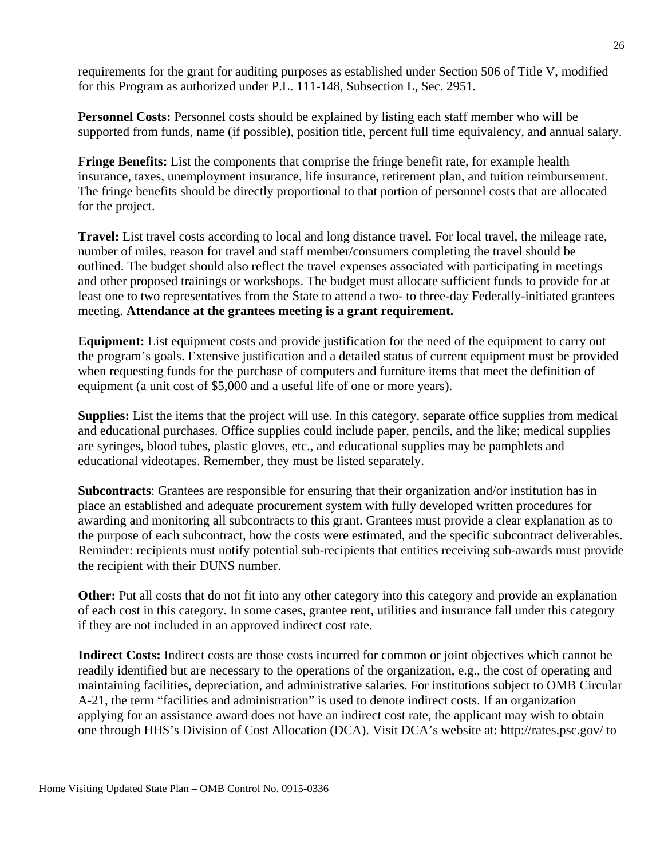requirements for the grant for auditing purposes as established under Section 506 of Title V, modified for this Program as authorized under P.L. 111-148, Subsection L, Sec. 2951.

**Personnel Costs:** Personnel costs should be explained by listing each staff member who will be supported from funds, name (if possible), position title, percent full time equivalency, and annual salary.

**Fringe Benefits:** List the components that comprise the fringe benefit rate, for example health insurance, taxes, unemployment insurance, life insurance, retirement plan, and tuition reimbursement. The fringe benefits should be directly proportional to that portion of personnel costs that are allocated for the project.

**Travel:** List travel costs according to local and long distance travel. For local travel, the mileage rate, number of miles, reason for travel and staff member/consumers completing the travel should be outlined. The budget should also reflect the travel expenses associated with participating in meetings and other proposed trainings or workshops. The budget must allocate sufficient funds to provide for at least one to two representatives from the State to attend a two- to three-day Federally-initiated grantees meeting. **Attendance at the grantees meeting is a grant requirement.**

**Equipment:** List equipment costs and provide justification for the need of the equipment to carry out the program's goals. Extensive justification and a detailed status of current equipment must be provided when requesting funds for the purchase of computers and furniture items that meet the definition of equipment (a unit cost of \$5,000 and a useful life of one or more years).

**Supplies:** List the items that the project will use. In this category, separate office supplies from medical and educational purchases. Office supplies could include paper, pencils, and the like; medical supplies are syringes, blood tubes, plastic gloves, etc., and educational supplies may be pamphlets and educational videotapes. Remember, they must be listed separately.

**Subcontracts**: Grantees are responsible for ensuring that their organization and/or institution has in place an established and adequate procurement system with fully developed written procedures for awarding and monitoring all subcontracts to this grant. Grantees must provide a clear explanation as to the purpose of each subcontract, how the costs were estimated, and the specific subcontract deliverables. Reminder: recipients must notify potential sub-recipients that entities receiving sub-awards must provide the recipient with their DUNS number.

**Other:** Put all costs that do not fit into any other category into this category and provide an explanation of each cost in this category. In some cases, grantee rent, utilities and insurance fall under this category if they are not included in an approved indirect cost rate.

**Indirect Costs:** Indirect costs are those costs incurred for common or joint objectives which cannot be readily identified but are necessary to the operations of the organization, e.g., the cost of operating and maintaining facilities, depreciation, and administrative salaries. For institutions subject to OMB Circular A-21, the term "facilities and administration" is used to denote indirect costs. If an organization applying for an assistance award does not have an indirect cost rate, the applicant may wish to obtain one through HHS's Division of Cost Allocation (DCA). Visit DCA's website at: <http://rates.psc.gov/> to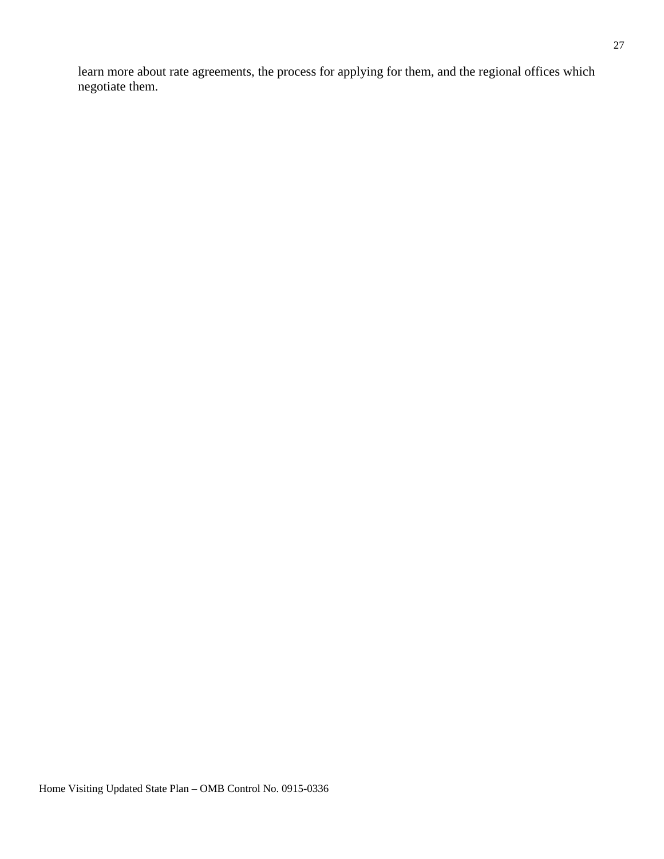learn more about rate agreements, the process for applying for them, and the regional offices which negotiate them.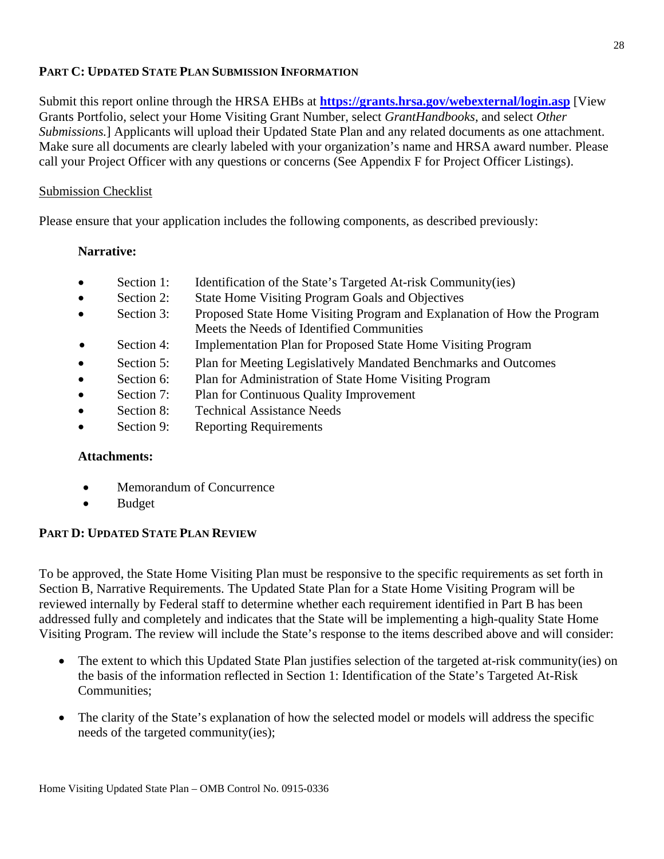## **PART C: UPDATED STATE PLAN SUBMISSION INFORMATION**

Submit this report online through the HRSA EHBs at **<https://grants.hrsa.gov/webexternal/login.asp>** [View Grants Portfolio, select your Home Visiting Grant Number, select *GrantHandbooks*, and select *Other Submissions.*] Applicants will upload their Updated State Plan and any related documents as one attachment. Make sure all documents are clearly labeled with your organization's name and HRSA award number. Please call your Project Officer with any questions or concerns (See Appendix F for Project Officer Listings).

### Submission Checklist

Please ensure that your application includes the following components, as described previously:

## **Narrative:**

- Section 1: Identification of the State's Targeted At-risk Community(ies)
- Section 2: State Home Visiting Program Goals and Objectives
- Section 3: Proposed State Home Visiting Program and Explanation of How the Program Meets the Needs of Identified Communities
- Section 4: Implementation Plan for Proposed State Home Visiting Program
- Section 5: Plan for Meeting Legislatively Mandated Benchmarks and Outcomes
- Section 6: Plan for Administration of State Home Visiting Program
- Section 7: Plan for Continuous Quality Improvement
- Section 8: Technical Assistance Needs
- Section 9: Reporting Requirements

## **Attachments:**

- Memorandum of Concurrence
- Budget

## **PART D: UPDATED STATE PLAN REVIEW**

To be approved, the State Home Visiting Plan must be responsive to the specific requirements as set forth in Section B, Narrative Requirements. The Updated State Plan for a State Home Visiting Program will be reviewed internally by Federal staff to determine whether each requirement identified in Part B has been addressed fully and completely and indicates that the State will be implementing a high-quality State Home Visiting Program. The review will include the State's response to the items described above and will consider:

- The extent to which this Updated State Plan justifies selection of the targeted at-risk community(ies) on the basis of the information reflected in Section 1: Identification of the State's Targeted At-Risk Communities;
- The clarity of the State's explanation of how the selected model or models will address the specific needs of the targeted community(ies);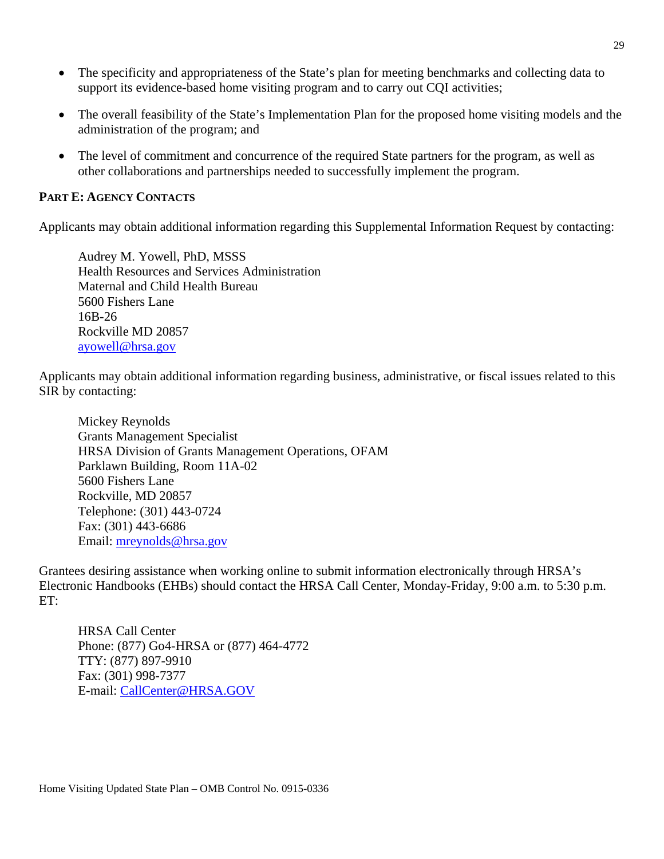- The specificity and appropriateness of the State's plan for meeting benchmarks and collecting data to support its evidence-based home visiting program and to carry out CQI activities;
- The overall feasibility of the State's Implementation Plan for the proposed home visiting models and the administration of the program; and
- The level of commitment and concurrence of the required State partners for the program, as well as other collaborations and partnerships needed to successfully implement the program.

### **PART E: AGENCY CONTACTS**

Applicants may obtain additional information regarding this Supplemental Information Request by contacting:

Audrey M. Yowell, PhD, MSSS Health Resources and Services Administration Maternal and Child Health Bureau 5600 Fishers Lane 16B-26 Rockville MD 20857 [ayowell@hrsa.gov](mailto:homevisiting@hhs.gov)

Applicants may obtain additional information regarding business, administrative, or fiscal issues related to this SIR by contacting:

Mickey Reynolds Grants Management Specialist HRSA Division of Grants Management Operations, OFAM Parklawn Building, Room 11A-02 5600 Fishers Lane Rockville, MD 20857 Telephone: (301) 443-0724 Fax: (301) 443-6686 Email: [mreynolds@hrsa.gov](mailto:mreynolds@hrsa.gov)

Grantees desiring assistance when working online to submit information electronically through HRSA's Electronic Handbooks (EHBs) should contact the HRSA Call Center, Monday-Friday, 9:00 a.m. to 5:30 p.m. ET:

HRSA Call Center Phone: (877) Go4-HRSA or (877) 464-4772 TTY: (877) 897-9910 Fax: (301) 998-7377 E-mail: [CallCenter@HRSA.GOV](mailto:CallCenter@HRSA.GOV)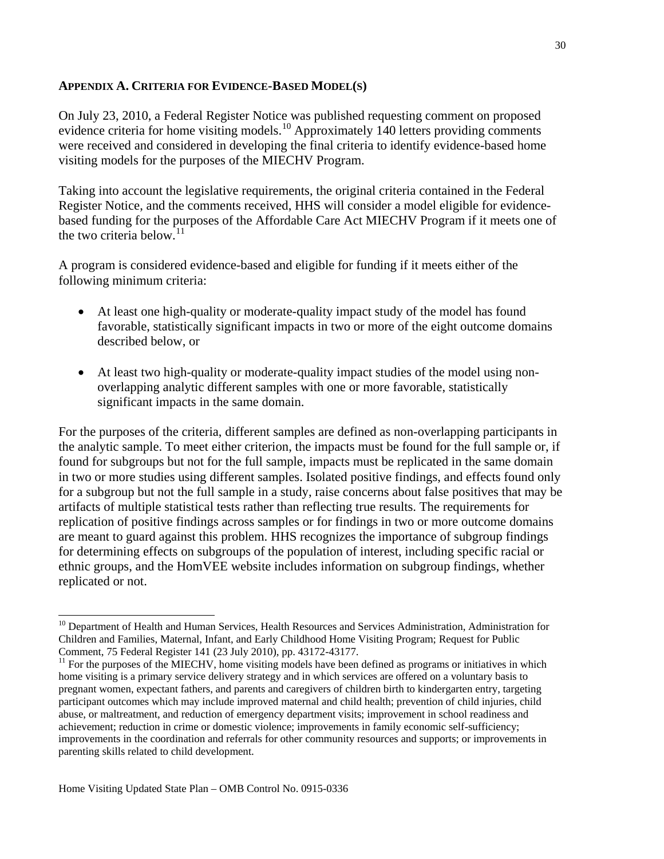#### **APPENDIX A. CRITERIA FOR EVIDENCE-BASED MODEL(S)**

On July 23, 2010, a Federal Register Notice was published requesting comment on proposed evidence criteria for home visiting models.<sup>[10](#page-29-0)</sup> Approximately 140 letters providing comments were received and considered in developing the final criteria to identify evidence-based home visiting models for the purposes of the MIECHV Program.

Taking into account the legislative requirements, the original criteria contained in the Federal Register Notice, and the comments received, HHS will consider a model eligible for evidencebased funding for the purposes of the Affordable Care Act MIECHV Program if it meets one of the two criteria below.<sup>[11](#page-29-1)</sup>

A program is considered evidence-based and eligible for funding if it meets either of the following minimum criteria:

- At least one high-quality or moderate-quality impact study of the model has found favorable, statistically significant impacts in two or more of the eight outcome domains described below, or
- At least two high-quality or moderate-quality impact studies of the model using nonoverlapping analytic different samples with one or more favorable, statistically significant impacts in the same domain.

For the purposes of the criteria, different samples are defined as non-overlapping participants in the analytic sample. To meet either criterion, the impacts must be found for the full sample or, if found for subgroups but not for the full sample, impacts must be replicated in the same domain in two or more studies using different samples. Isolated positive findings, and effects found only for a subgroup but not the full sample in a study, raise concerns about false positives that may be artifacts of multiple statistical tests rather than reflecting true results. The requirements for replication of positive findings across samples or for findings in two or more outcome domains are meant to guard against this problem. HHS recognizes the importance of subgroup findings for determining effects on subgroups of the population of interest, including specific racial or ethnic groups, and the HomVEE website includes information on subgroup findings, whether replicated or not.

<span id="page-29-0"></span><sup>&</sup>lt;sup>10</sup> Department of Health and Human Services, Health Resources and Services Administration, Administration for Children and Families, Maternal, Infant, and Early Childhood Home Visiting Program; Request for Public

<span id="page-29-1"></span> $<sup>11</sup>$  For the purposes of the MIECHV, home visiting models have been defined as programs or initiatives in which</sup> home visiting is a primary service delivery strategy and in which services are offered on a voluntary basis to pregnant women, expectant fathers, and parents and caregivers of children birth to kindergarten entry, targeting participant outcomes which may include improved maternal and child health; prevention of child injuries, child abuse, or maltreatment, and reduction of emergency department visits; improvement in school readiness and achievement; reduction in crime or domestic violence; improvements in family economic self-sufficiency; improvements in the coordination and referrals for other community resources and supports; or improvements in parenting skills related to child development.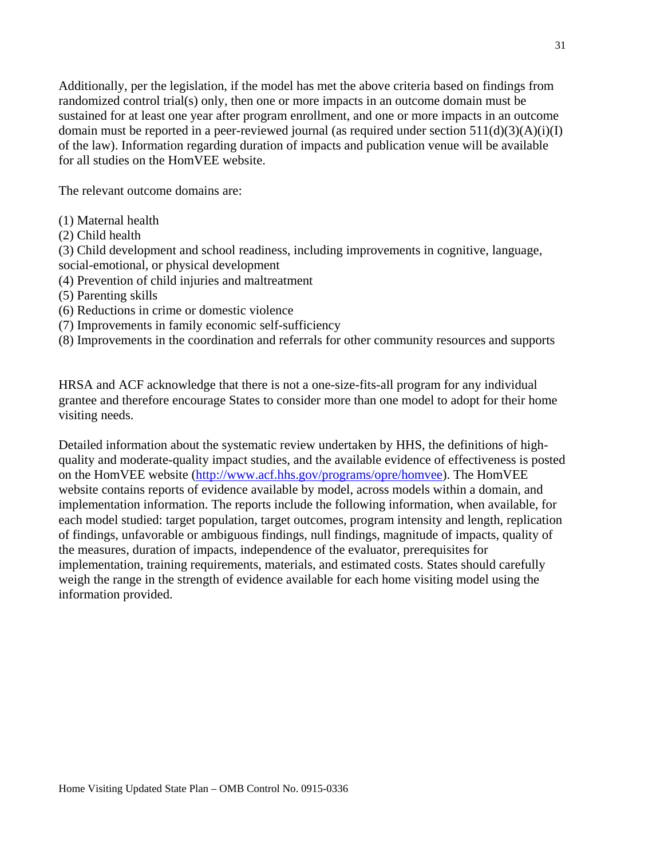Additionally, per the legislation, if the model has met the above criteria based on findings from randomized control trial(s) only, then one or more impacts in an outcome domain must be sustained for at least one year after program enrollment, and one or more impacts in an outcome domain must be reported in a peer-reviewed journal (as required under section  $511(d)(3)(A)(i)(I)$ of the law). Information regarding duration of impacts and publication venue will be available for all studies on the HomVEE website.

The relevant outcome domains are:

- (1) Maternal health
- (2) Child health

(3) Child development and school readiness, including improvements in cognitive, language, social-emotional, or physical development

- (4) Prevention of child injuries and maltreatment
- (5) Parenting skills
- (6) Reductions in crime or domestic violence
- (7) Improvements in family economic self-sufficiency

(8) Improvements in the coordination and referrals for other community resources and supports

HRSA and ACF acknowledge that there is not a one-size-fits-all program for any individual grantee and therefore encourage States to consider more than one model to adopt for their home visiting needs.

Detailed information about the systematic review undertaken by HHS, the definitions of highquality and moderate-quality impact studies, and the available evidence of effectiveness is posted on the HomVEE website [\(http://www.acf.hhs.gov/programs/opre/homvee\)](http://www.acf.hhs.gov/programs/opre/homvee). The HomVEE website contains reports of evidence available by model, across models within a domain, and implementation information. The reports include the following information, when available, for each model studied: target population, target outcomes, program intensity and length, replication of findings, unfavorable or ambiguous findings, null findings, magnitude of impacts, quality of the measures, duration of impacts, independence of the evaluator, prerequisites for implementation, training requirements, materials, and estimated costs. States should carefully weigh the range in the strength of evidence available for each home visiting model using the information provided.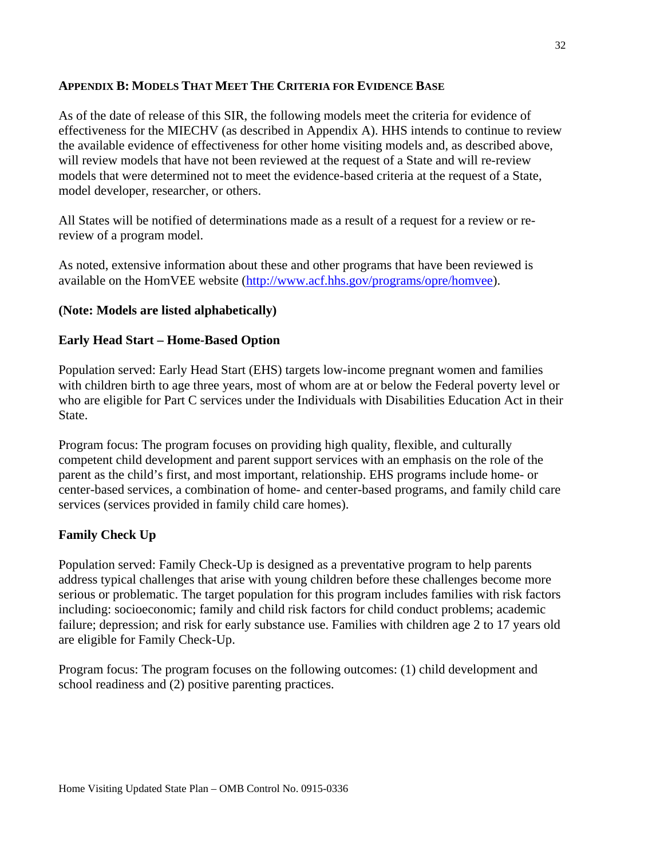### **APPENDIX B: MODELS THAT MEET THE CRITERIA FOR EVIDENCE BASE**

As of the date of release of this SIR, the following models meet the criteria for evidence of effectiveness for the MIECHV (as described in Appendix A). HHS intends to continue to review the available evidence of effectiveness for other home visiting models and, as described above, will review models that have not been reviewed at the request of a State and will re-review models that were determined not to meet the evidence-based criteria at the request of a State, model developer, researcher, or others.

All States will be notified of determinations made as a result of a request for a review or rereview of a program model.

As noted, extensive information about these and other programs that have been reviewed is available on the HomVEE website [\(http://www.acf.hhs.gov/programs/opre/homvee\)](http://www.acf.hhs.gov/programs/opre/homvee).

## **(Note: Models are listed alphabetically)**

### **Early Head Start – Home-Based Option**

Population served: Early Head Start (EHS) targets low-income pregnant women and families with children birth to age three years, most of whom are at or below the Federal poverty level or who are eligible for Part C services under the Individuals with Disabilities Education Act in their State.

Program focus: The program focuses on providing high quality, flexible, and culturally competent child development and parent support services with an emphasis on the role of the parent as the child's first, and most important, relationship. EHS programs include home- or center-based services, a combination of home- and center-based programs, and family child care services (services provided in family child care homes).

## **Family Check Up**

Population served: Family Check-Up is designed as a preventative program to help parents address typical challenges that arise with young children before these challenges become more serious or problematic. The target population for this program includes families with risk factors including: socioeconomic; family and child risk factors for child conduct problems; academic failure; depression; and risk for early substance use. Families with children age 2 to 17 years old are eligible for Family Check-Up.

Program focus: The program focuses on the following outcomes: (1) child development and school readiness and (2) positive parenting practices.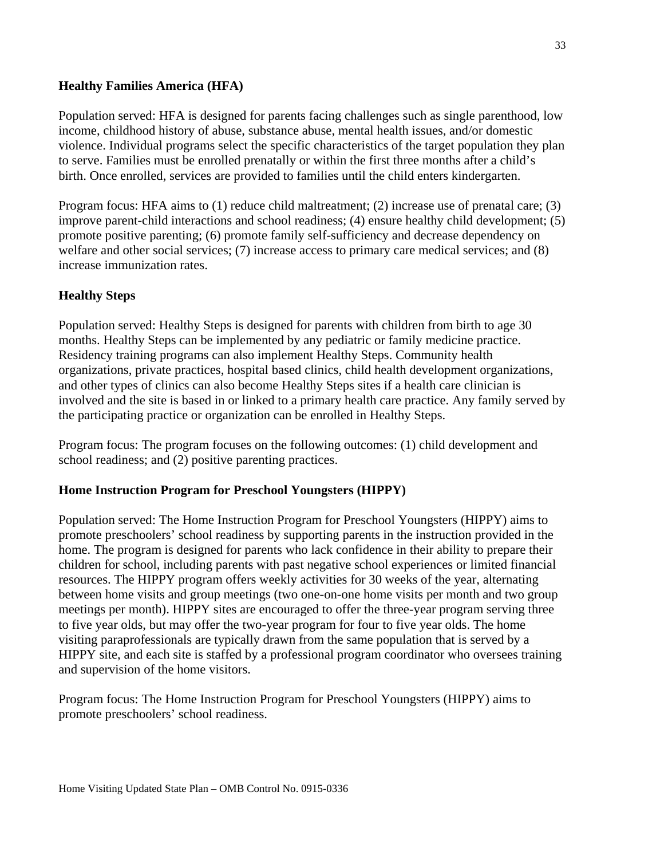### **Healthy Families America (HFA)**

Population served: HFA is designed for parents facing challenges such as single parenthood, low income, childhood history of abuse, substance abuse, mental health issues, and/or domestic violence. Individual programs select the specific characteristics of the target population they plan to serve. Families must be enrolled prenatally or within the first three months after a child's birth. Once enrolled, services are provided to families until the child enters kindergarten.

Program focus: HFA aims to (1) reduce child maltreatment; (2) increase use of prenatal care; (3) improve parent-child interactions and school readiness; (4) ensure healthy child development; (5) promote positive parenting; (6) promote family self-sufficiency and decrease dependency on welfare and other social services; (7) increase access to primary care medical services; and (8) increase immunization rates.

## **Healthy Steps**

Population served: Healthy Steps is designed for parents with children from birth to age 30 months. Healthy Steps can be implemented by any pediatric or family medicine practice. Residency training programs can also implement Healthy Steps. Community health organizations, private practices, hospital based clinics, child health development organizations, and other types of clinics can also become Healthy Steps sites if a health care clinician is involved and the site is based in or linked to a primary health care practice. Any family served by the participating practice or organization can be enrolled in Healthy Steps.

Program focus: The program focuses on the following outcomes: (1) child development and school readiness; and (2) positive parenting practices.

## **Home Instruction Program for Preschool Youngsters (HIPPY)**

Population served: The Home Instruction Program for Preschool Youngsters (HIPPY) aims to promote preschoolers' school readiness by supporting parents in the instruction provided in the home. The program is designed for parents who lack confidence in their ability to prepare their children for school, including parents with past negative school experiences or limited financial resources. The HIPPY program offers weekly activities for 30 weeks of the year, alternating between home visits and group meetings (two one-on-one home visits per month and two group meetings per month). HIPPY sites are encouraged to offer the three-year program serving three to five year olds, but may offer the two-year program for four to five year olds. The home visiting paraprofessionals are typically drawn from the same population that is served by a HIPPY site, and each site is staffed by a professional program coordinator who oversees training and supervision of the home visitors.

Program focus: The Home Instruction Program for Preschool Youngsters (HIPPY) aims to promote preschoolers' school readiness.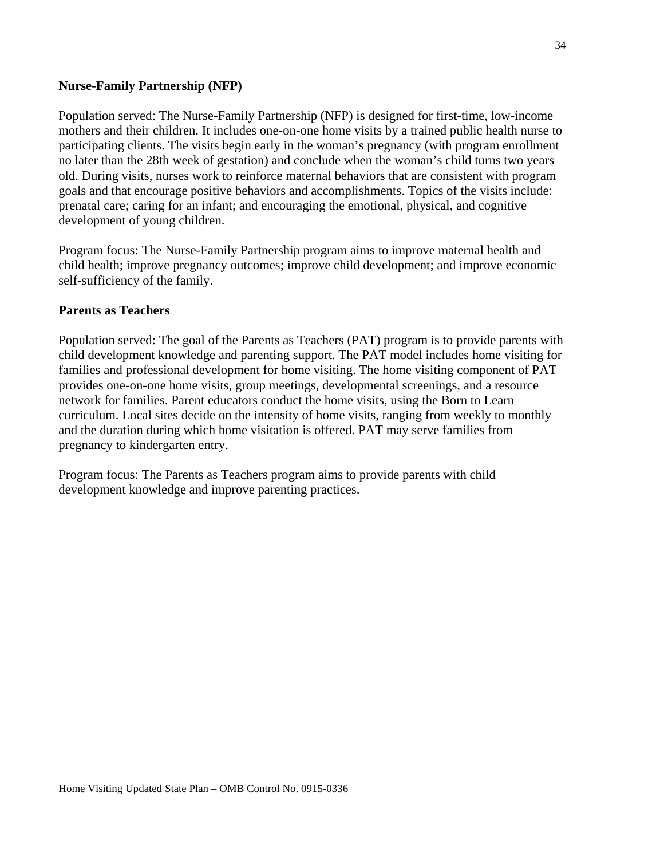#### **Nurse-Family Partnership (NFP)**

Population served: The Nurse-Family Partnership (NFP) is designed for first-time, low-income mothers and their children. It includes one-on-one home visits by a trained public health nurse to participating clients. The visits begin early in the woman's pregnancy (with program enrollment no later than the 28th week of gestation) and conclude when the woman's child turns two years old. During visits, nurses work to reinforce maternal behaviors that are consistent with program goals and that encourage positive behaviors and accomplishments. Topics of the visits include: prenatal care; caring for an infant; and encouraging the emotional, physical, and cognitive development of young children.

Program focus: The Nurse-Family Partnership program aims to improve maternal health and child health; improve pregnancy outcomes; improve child development; and improve economic self-sufficiency of the family.

#### **Parents as Teachers**

Population served: The goal of the Parents as Teachers (PAT) program is to provide parents with child development knowledge and parenting support. The PAT model includes home visiting for families and professional development for home visiting. The home visiting component of PAT provides one-on-one home visits, group meetings, developmental screenings, and a resource network for families. Parent educators conduct the home visits, using the Born to Learn curriculum. Local sites decide on the intensity of home visits, ranging from weekly to monthly and the duration during which home visitation is offered. PAT may serve families from pregnancy to kindergarten entry.

Program focus: The Parents as Teachers program aims to provide parents with child development knowledge and improve parenting practices.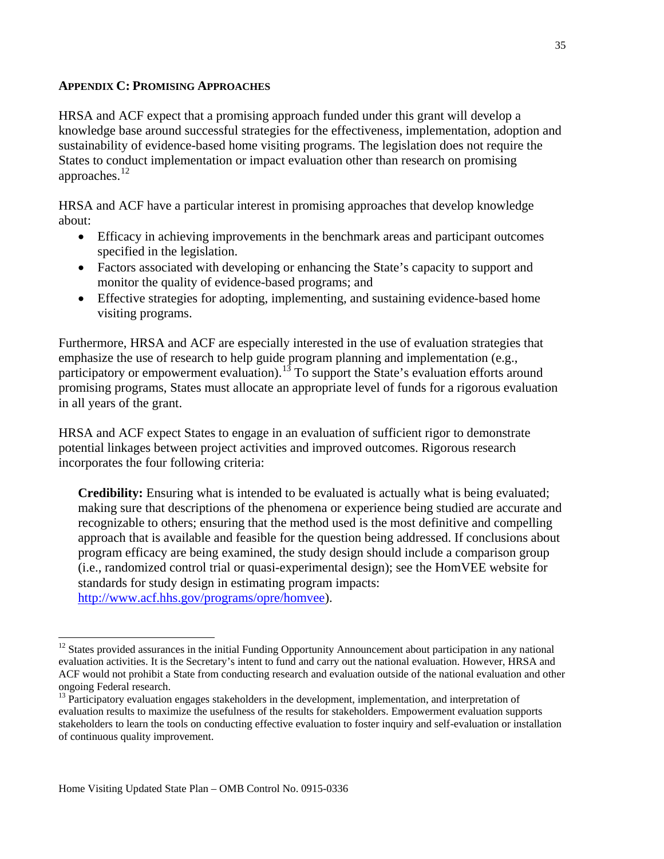#### **APPENDIX C: PROMISING APPROACHES**

HRSA and ACF expect that a promising approach funded under this grant will develop a knowledge base around successful strategies for the effectiveness, implementation, adoption and sustainability of evidence-based home visiting programs. The legislation does not require the States to conduct implementation or impact evaluation other than research on promising approaches.[12](#page-34-0)

HRSA and ACF have a particular interest in promising approaches that develop knowledge about:

- Efficacy in achieving improvements in the benchmark areas and participant outcomes specified in the legislation.
- Factors associated with developing or enhancing the State's capacity to support and monitor the quality of evidence-based programs; and
- Effective strategies for adopting, implementing, and sustaining evidence-based home visiting programs.

Furthermore, HRSA and ACF are especially interested in the use of evaluation strategies that emphasize the use of research to help guide program planning and implementation (e.g., participatory or empowerment evaluation).<sup>[13](#page-34-1)</sup> To support the State's evaluation efforts around promising programs, States must allocate an appropriate level of funds for a rigorous evaluation in all years of the grant.

HRSA and ACF expect States to engage in an evaluation of sufficient rigor to demonstrate potential linkages between project activities and improved outcomes. Rigorous research incorporates the four following criteria:

**Credibility:** Ensuring what is intended to be evaluated is actually what is being evaluated; making sure that descriptions of the phenomena or experience being studied are accurate and recognizable to others; ensuring that the method used is the most definitive and compelling approach that is available and feasible for the question being addressed. If conclusions about program efficacy are being examined, the study design should include a comparison group (i.e., randomized control trial or quasi-experimental design); see the HomVEE website for standards for study design in estimating program impacts: [http://www.acf.hhs.gov/programs/opre/homvee\)](http://www.acf.hhs.gov/programs/opre/homvee).

<span id="page-34-0"></span><sup>&</sup>lt;sup>12</sup> States provided assurances in the initial Funding Opportunity Announcement about participation in any national evaluation activities. It is the Secretary's intent to fund and carry out the national evaluation. However, HRSA and ACF would not prohibit a State from conducting research and evaluation outside of the national evaluation and other ongoing Federal research.<br><sup>13</sup> Participatory evaluation engages stakeholders in the development, implementation, and interpretation of

<span id="page-34-1"></span>evaluation results to maximize the usefulness of the results for stakeholders. Empowerment evaluation supports stakeholders to learn the tools on conducting effective evaluation to foster inquiry and self-evaluation or installation of continuous quality improvement.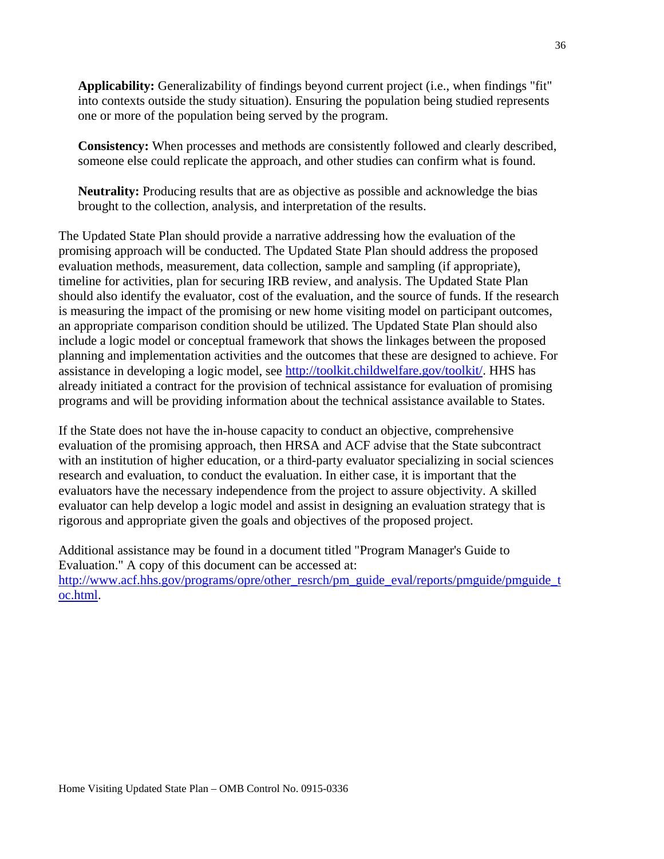**Applicability:** Generalizability of findings beyond current project (i.e., when findings "fit" into contexts outside the study situation). Ensuring the population being studied represents one or more of the population being served by the program.

**Consistency:** When processes and methods are consistently followed and clearly described, someone else could replicate the approach, and other studies can confirm what is found.

**Neutrality:** Producing results that are as objective as possible and acknowledge the bias brought to the collection, analysis, and interpretation of the results.

The Updated State Plan should provide a narrative addressing how the evaluation of the promising approach will be conducted. The Updated State Plan should address the proposed evaluation methods, measurement, data collection, sample and sampling (if appropriate), timeline for activities, plan for securing IRB review, and analysis. The Updated State Plan should also identify the evaluator, cost of the evaluation, and the source of funds. If the research is measuring the impact of the promising or new home visiting model on participant outcomes, an appropriate comparison condition should be utilized. The Updated State Plan should also include a logic model or conceptual framework that shows the linkages between the proposed planning and implementation activities and the outcomes that these are designed to achieve. For assistance in developing a logic model, see [http://toolkit.childwelfare.gov/toolkit/.](http://toolkit.childwelfare.gov/toolkit/) HHS has already initiated a contract for the provision of technical assistance for evaluation of promising programs and will be providing information about the technical assistance available to States.

If the State does not have the in-house capacity to conduct an objective, comprehensive evaluation of the promising approach, then HRSA and ACF advise that the State subcontract with an institution of higher education, or a third-party evaluator specializing in social sciences research and evaluation, to conduct the evaluation. In either case, it is important that the evaluators have the necessary independence from the project to assure objectivity. A skilled evaluator can help develop a logic model and assist in designing an evaluation strategy that is rigorous and appropriate given the goals and objectives of the proposed project.

Additional assistance may be found in a document titled "Program Manager's Guide to Evaluation." A copy of this document can be accessed at: [http://www.acf.hhs.gov/programs/opre/other\\_resrch/pm\\_guide\\_eval/reports/pmguide/pmguide\\_t](http://www.acf.hhs.gov/programs/opre/other_resrch/pm_guide_eval/reports/pmguide/pmguide_toc.html) [oc.html.](http://www.acf.hhs.gov/programs/opre/other_resrch/pm_guide_eval/reports/pmguide/pmguide_toc.html)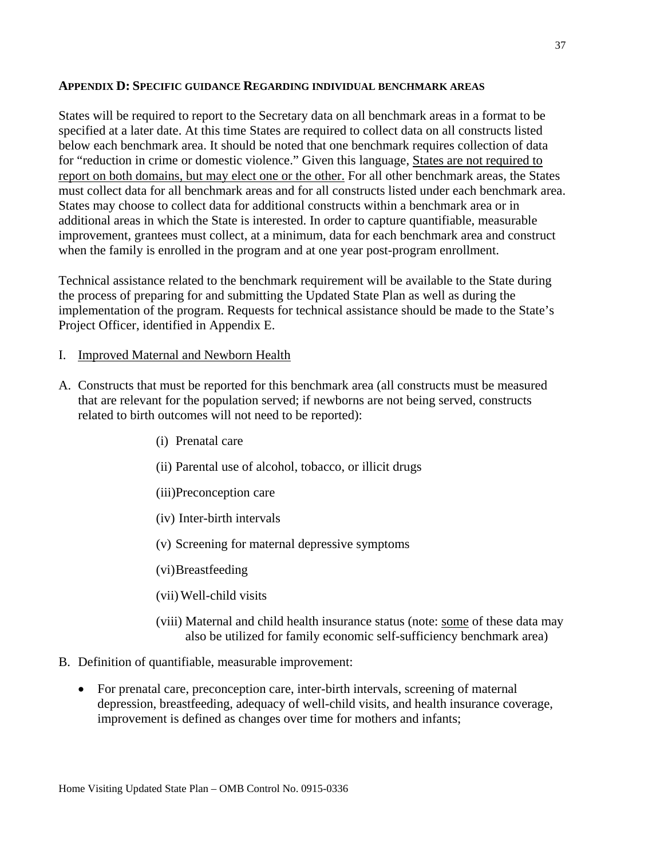#### **APPENDIX D: SPECIFIC GUIDANCE REGARDING INDIVIDUAL BENCHMARK AREAS**

States will be required to report to the Secretary data on all benchmark areas in a format to be specified at a later date. At this time States are required to collect data on all constructs listed below each benchmark area. It should be noted that one benchmark requires collection of data for "reduction in crime or domestic violence." Given this language, States are not required to report on both domains, but may elect one or the other. For all other benchmark areas, the States must collect data for all benchmark areas and for all constructs listed under each benchmark area. States may choose to collect data for additional constructs within a benchmark area or in additional areas in which the State is interested. In order to capture quantifiable, measurable improvement, grantees must collect, at a minimum, data for each benchmark area and construct when the family is enrolled in the program and at one year post-program enrollment.

Technical assistance related to the benchmark requirement will be available to the State during the process of preparing for and submitting the Updated State Plan as well as during the implementation of the program. Requests for technical assistance should be made to the State's Project Officer, identified in Appendix E.

- I. Improved Maternal and Newborn Health
- A. Constructs that must be reported for this benchmark area (all constructs must be measured that are relevant for the population served; if newborns are not being served, constructs related to birth outcomes will not need to be reported):
	- (i) Prenatal care
	- (ii) Parental use of alcohol, tobacco, or illicit drugs
	- (iii)Preconception care
	- (iv) Inter-birth intervals
	- (v) Screening for maternal depressive symptoms
	- (vi)Breastfeeding
	- (vii)Well-child visits
	- (viii) Maternal and child health insurance status (note: some of these data may also be utilized for family economic self-sufficiency benchmark area)
- B. Definition of quantifiable, measurable improvement:
	- For prenatal care, preconception care, inter-birth intervals, screening of maternal depression, breastfeeding, adequacy of well-child visits, and health insurance coverage, improvement is defined as changes over time for mothers and infants;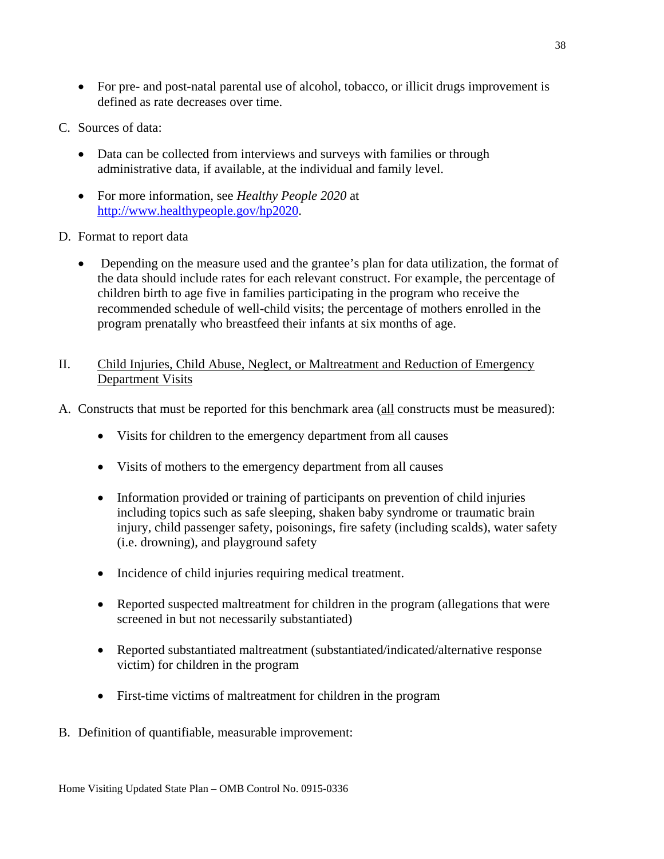- For pre- and post-natal parental use of alcohol, tobacco, or illicit drugs improvement is defined as rate decreases over time.
- C. Sources of data:
	- Data can be collected from interviews and surveys with families or through administrative data, if available, at the individual and family level.
	- For more information, see *Healthy People 2020* at [http://www.healthypeople.gov/hp2020.](http://www.healthypeople.gov/hp2020)
- D. Format to report data
	- Depending on the measure used and the grantee's plan for data utilization, the format of the data should include rates for each relevant construct. For example, the percentage of children birth to age five in families participating in the program who receive the recommended schedule of well-child visits; the percentage of mothers enrolled in the program prenatally who breastfeed their infants at six months of age.
- II. Child Injuries, Child Abuse, Neglect, or Maltreatment and Reduction of Emergency Department Visits
- A. Constructs that must be reported for this benchmark area (all constructs must be measured):
	- Visits for children to the emergency department from all causes
	- Visits of mothers to the emergency department from all causes
	- Information provided or training of participants on prevention of child injuries including topics such as safe sleeping, shaken baby syndrome or traumatic brain injury, child passenger safety, poisonings, fire safety (including scalds), water safety (i.e. drowning), and playground safety
	- Incidence of child injuries requiring medical treatment.
	- Reported suspected maltreatment for children in the program (allegations that were screened in but not necessarily substantiated)
	- Reported substantiated maltreatment (substantiated/indicated/alternative response victim) for children in the program
	- First-time victims of maltreatment for children in the program
- B. Definition of quantifiable, measurable improvement: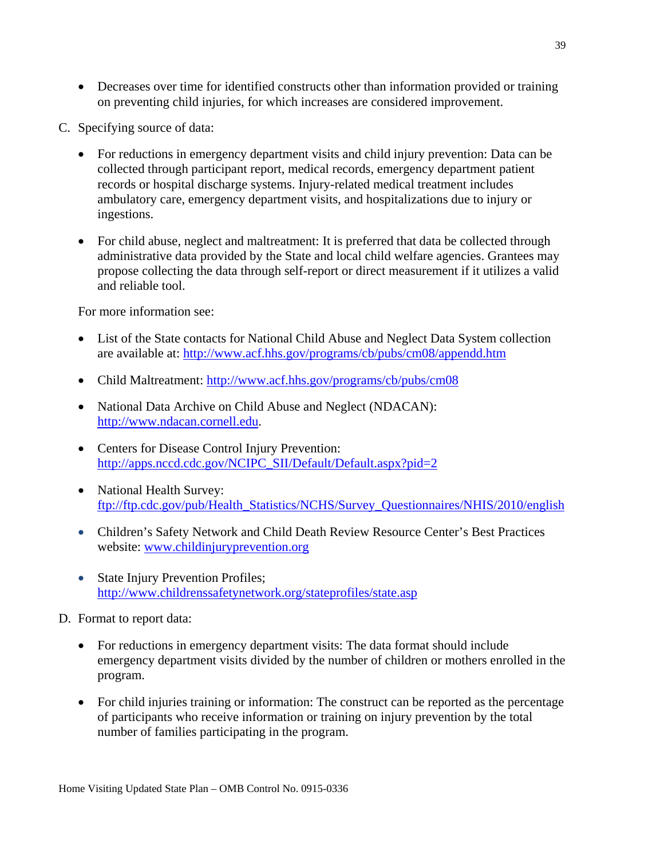- Decreases over time for identified constructs other than information provided or training on preventing child injuries, for which increases are considered improvement.
- C. Specifying source of data:
	- For reductions in emergency department visits and child injury prevention: Data can be collected through participant report, medical records, emergency department patient records or hospital discharge systems. Injury-related medical treatment includes ambulatory care, emergency department visits, and hospitalizations due to injury or ingestions.
	- For child abuse, neglect and maltreatment: It is preferred that data be collected through administrative data provided by the State and local child welfare agencies. Grantees may propose collecting the data through self-report or direct measurement if it utilizes a valid and reliable tool.

For more information see:

- List of the State contacts for National Child Abuse and Neglect Data System collection are available at:<http://www.acf.hhs.gov/programs/cb/pubs/cm08/appendd.htm>
- Child Maltreatment:<http://www.acf.hhs.gov/programs/cb/pubs/cm08>
- National Data Archive on Child Abuse and Neglect (NDACAN): [http://www.ndacan.cornell.edu.](http://www.ndacan.cornell.edu/)
- Centers for Disease Control Injury Prevention: [http://apps.nccd.cdc.gov/NCIPC\\_SII/Default/Default.aspx?pid=2](http://apps.nccd.cdc.gov/NCIPC_SII/Default/Default.aspx?pid=2)
- National Health Survey: [ftp://ftp.cdc.gov/pub/Health\\_Statistics/NCHS/Survey\\_Questionnaires/NHIS/2010/english](ftp://ftp.cdc.gov/pub/Health_Statistics/NCHS/Survey_Questionnaires/NHIS/2010/english)
- Children's Safety Network and Child Death Review Resource Center's Best Practices website: [www.childinjuryprevention.org](http://www.childinjuryprevention.org/)
- State Injury Prevention Profiles; <http://www.childrenssafetynetwork.org/stateprofiles/state.asp>
- D. Format to report data:
	- For reductions in emergency department visits: The data format should include emergency department visits divided by the number of children or mothers enrolled in the program.
	- For child injuries training or information: The construct can be reported as the percentage of participants who receive information or training on injury prevention by the total number of families participating in the program.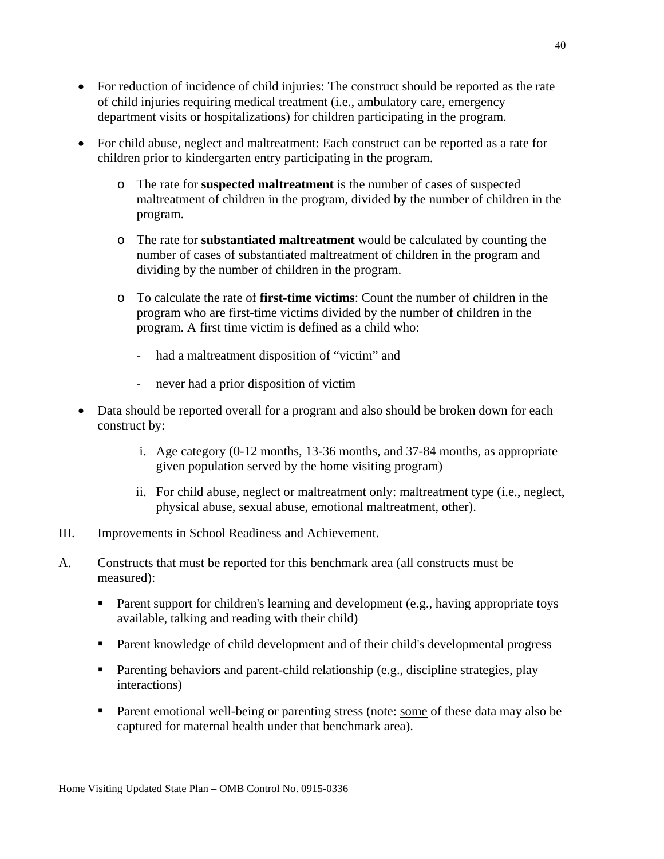- For reduction of incidence of child injuries: The construct should be reported as the rate of child injuries requiring medical treatment (i.e., ambulatory care, emergency department visits or hospitalizations) for children participating in the program.
- For child abuse, neglect and maltreatment: Each construct can be reported as a rate for children prior to kindergarten entry participating in the program.
	- o The rate for **suspected maltreatment** is the number of cases of suspected maltreatment of children in the program, divided by the number of children in the program.
	- o The rate for **substantiated maltreatment** would be calculated by counting the number of cases of substantiated maltreatment of children in the program and dividing by the number of children in the program.
	- o To calculate the rate of **first-time victims**: Count the number of children in the program who are first-time victims divided by the number of children in the program. A first time victim is defined as a child who:
		- had a maltreatment disposition of "victim" and
		- never had a prior disposition of victim
- Data should be reported overall for a program and also should be broken down for each construct by:
	- i. Age category (0-12 months, 13-36 months, and 37-84 months, as appropriate given population served by the home visiting program)
	- ii. For child abuse, neglect or maltreatment only: maltreatment type (i.e., neglect, physical abuse, sexual abuse, emotional maltreatment, other).

#### III. Improvements in School Readiness and Achievement.

- A. Constructs that must be reported for this benchmark area (all constructs must be measured):
	- Parent support for children's learning and development (e.g., having appropriate toys available, talking and reading with their child)
	- Parent knowledge of child development and of their child's developmental progress
	- **Parenting behaviors and parent-child relationship (e.g., discipline strategies, play** interactions)
	- Parent emotional well-being or parenting stress (note: some of these data may also be captured for maternal health under that benchmark area).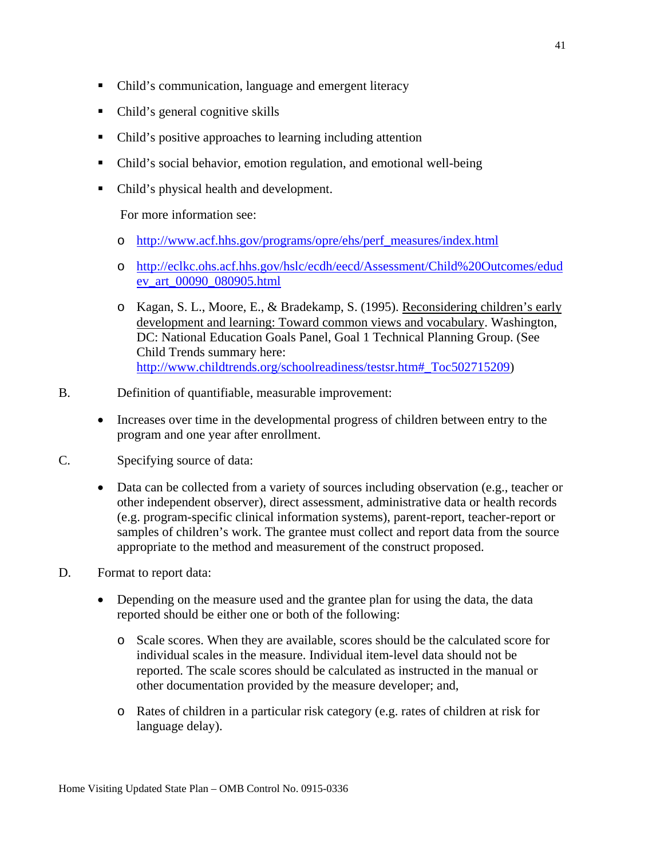- Child's communication, language and emergent literacy
- Child's general cognitive skills
- Child's positive approaches to learning including attention
- Child's social behavior, emotion regulation, and emotional well-being
- Child's physical health and development.

For more information see:

- o [http://www.acf.hhs.gov/programs/opre/ehs/perf\\_measures/index.html](http://www.acf.hhs.gov/programs/opre/ehs/perf_measures/index.html)
- o [http://eclkc.ohs.acf.hhs.gov/hslc/ecdh/eecd/Assessment/Child%20Outcomes/edud](http://eclkc.ohs.acf.hhs.gov/hslc/ecdh/eecd/Assessment/Child%20Outcomes/edudev_art_00090_080905.html) [ev\\_art\\_00090\\_080905.html](http://eclkc.ohs.acf.hhs.gov/hslc/ecdh/eecd/Assessment/Child%20Outcomes/edudev_art_00090_080905.html)
- o Kagan, S. L., Moore, E., & Bradekamp, S. (1995). Reconsidering children's early development and learning: Toward common views and vocabulary. Washington, DC: National Education Goals Panel, Goal 1 Technical Planning Group. (See Child Trends summary here: [http://www.childtrends.org/schoolreadiness/testsr.htm#\\_Toc502715209\)](http://www.childtrends.org/schoolreadiness/testsr.htm#_Toc502715209)
- B. Definition of quantifiable, measurable improvement:
	- Increases over time in the developmental progress of children between entry to the program and one year after enrollment.
- C. Specifying source of data:
	- Data can be collected from a variety of sources including observation (e.g., teacher or other independent observer), direct assessment, administrative data or health records (e.g. program-specific clinical information systems), parent-report, teacher-report or samples of children's work. The grantee must collect and report data from the source appropriate to the method and measurement of the construct proposed.
- D. Format to report data:
	- Depending on the measure used and the grantee plan for using the data, the data reported should be either one or both of the following:
		- o Scale scores. When they are available, scores should be the calculated score for individual scales in the measure. Individual item-level data should not be reported. The scale scores should be calculated as instructed in the manual or other documentation provided by the measure developer; and,
		- o Rates of children in a particular risk category (e.g. rates of children at risk for language delay).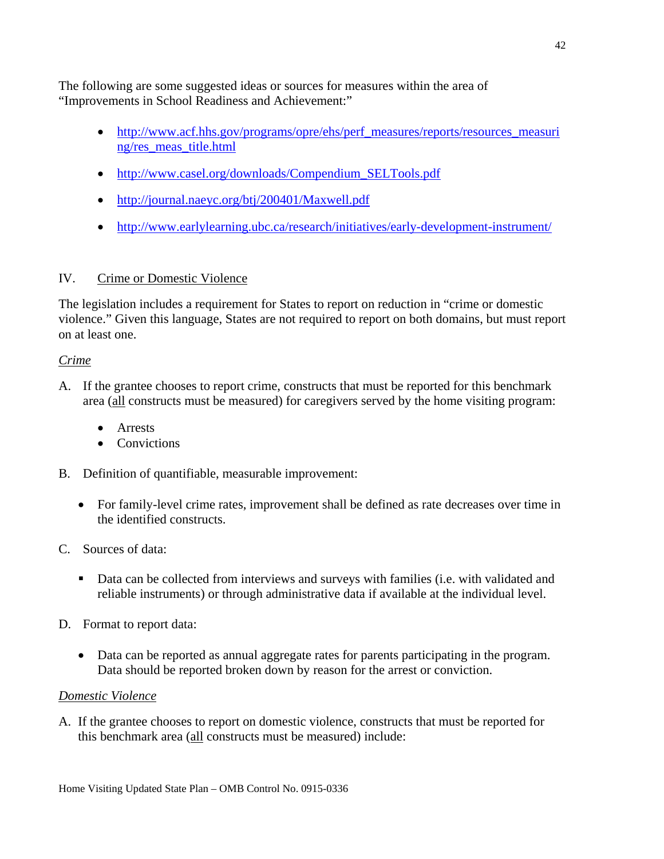The following are some suggested ideas or sources for measures within the area of "Improvements in School Readiness and Achievement:"

- [http://www.acf.hhs.gov/programs/opre/ehs/perf\\_measures/reports/resources\\_measuri](http://www.acf.hhs.gov/programs/opre/ehs/perf_measures/reports/resources_measuring/res_meas_title.html) [ng/res\\_meas\\_title.html](http://www.acf.hhs.gov/programs/opre/ehs/perf_measures/reports/resources_measuring/res_meas_title.html)
- [http://www.casel.org/downloads/Compendium\\_SELTools.pdf](http://www.casel.org/downloads/Compendium_SELTools.pdf)
- <http://journal.naeyc.org/btj/200401/Maxwell.pdf>
- <http://www.earlylearning.ubc.ca/research/initiatives/early-development-instrument/>

# IV. Crime or Domestic Violence

The legislation includes a requirement for States to report on reduction in "crime or domestic violence." Given this language, States are not required to report on both domains, but must report on at least one.

### *Crime*

- A. If the grantee chooses to report crime, constructs that must be reported for this benchmark area (all constructs must be measured) for caregivers served by the home visiting program:
	- Arrests
	- Convictions
- B. Definition of quantifiable, measurable improvement:
	- For family-level crime rates, improvement shall be defined as rate decreases over time in the identified constructs.
- C. Sources of data:
	- **Data can be collected from interviews and surveys with families (i.e. with validated and** reliable instruments) or through administrative data if available at the individual level.
- D. Format to report data:
	- Data can be reported as annual aggregate rates for parents participating in the program. Data should be reported broken down by reason for the arrest or conviction.

## *Domestic Violence*

A. If the grantee chooses to report on domestic violence, constructs that must be reported for this benchmark area (all constructs must be measured) include: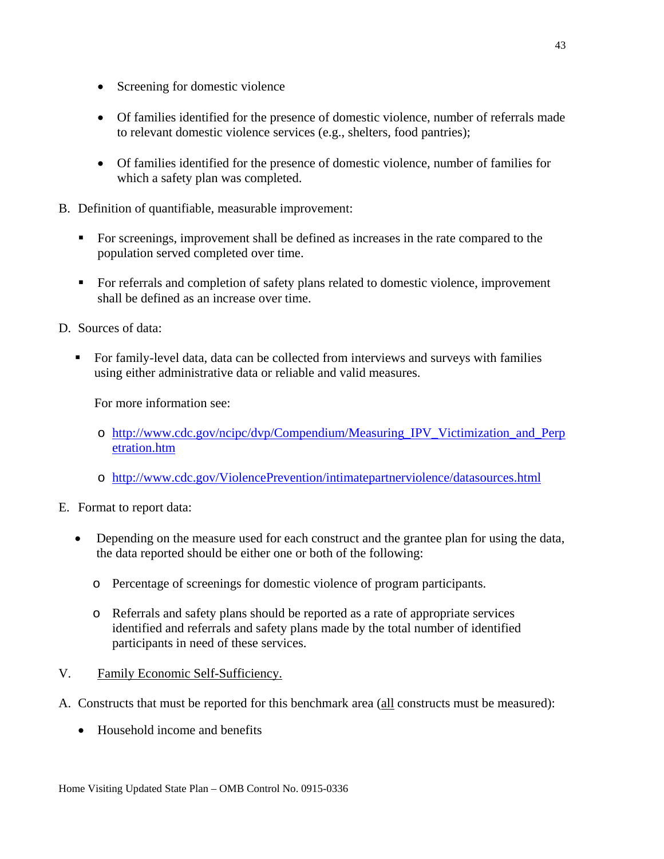- Screening for domestic violence
- Of families identified for the presence of domestic violence, number of referrals made to relevant domestic violence services (e.g., shelters, food pantries);
- Of families identified for the presence of domestic violence, number of families for which a safety plan was completed.
- B. Definition of quantifiable, measurable improvement:
	- For screenings, improvement shall be defined as increases in the rate compared to the population served completed over time.
	- For referrals and completion of safety plans related to domestic violence, improvement shall be defined as an increase over time.
- D. Sources of data:
	- For family-level data, data can be collected from interviews and surveys with families using either administrative data or reliable and valid measures.

For more information see:

- o [http://www.cdc.gov/ncipc/dvp/Compendium/Measuring\\_IPV\\_Victimization\\_and\\_Perp](http://www.cdc.gov/ncipc/dvp/Compendium/Measuring_IPV_Victimization_and_Perpetration.htm) [etration.htm](http://www.cdc.gov/ncipc/dvp/Compendium/Measuring_IPV_Victimization_and_Perpetration.htm)
- o <http://www.cdc.gov/ViolencePrevention/intimatepartnerviolence/datasources.html>
- E. Format to report data:
	- Depending on the measure used for each construct and the grantee plan for using the data, the data reported should be either one or both of the following:
		- o Percentage of screenings for domestic violence of program participants.
		- o Referrals and safety plans should be reported as a rate of appropriate services identified and referrals and safety plans made by the total number of identified participants in need of these services.
- V. Family Economic Self-Sufficiency.
- A. Constructs that must be reported for this benchmark area (all constructs must be measured):
	- Household income and benefits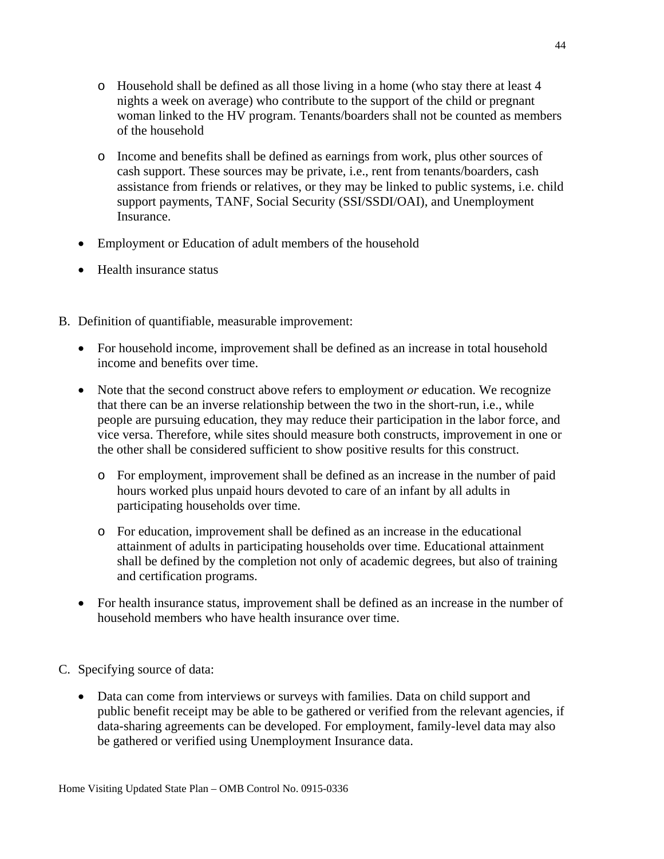- o Household shall be defined as all those living in a home (who stay there at least 4 nights a week on average) who contribute to the support of the child or pregnant woman linked to the HV program. Tenants/boarders shall not be counted as members of the household
- o Income and benefits shall be defined as earnings from work, plus other sources of cash support. These sources may be private, i.e., rent from tenants/boarders, cash assistance from friends or relatives, or they may be linked to public systems, i.e. child support payments, TANF, Social Security (SSI/SSDI/OAI), and Unemployment Insurance.
- Employment or Education of adult members of the household
- Health insurance status
- B. Definition of quantifiable, measurable improvement:
	- For household income, improvement shall be defined as an increase in total household income and benefits over time.
	- Note that the second construct above refers to employment *or* education. We recognize that there can be an inverse relationship between the two in the short-run, i.e., while people are pursuing education, they may reduce their participation in the labor force, and vice versa. Therefore, while sites should measure both constructs, improvement in one or the other shall be considered sufficient to show positive results for this construct.
		- o For employment, improvement shall be defined as an increase in the number of paid hours worked plus unpaid hours devoted to care of an infant by all adults in participating households over time.
		- o For education, improvement shall be defined as an increase in the educational attainment of adults in participating households over time. Educational attainment shall be defined by the completion not only of academic degrees, but also of training and certification programs.
	- For health insurance status, improvement shall be defined as an increase in the number of household members who have health insurance over time.
- C. Specifying source of data:
	- Data can come from interviews or surveys with families. Data on child support and public benefit receipt may be able to be gathered or verified from the relevant agencies, if data-sharing agreements can be developed. For employment, family-level data may also be gathered or verified using Unemployment Insurance data.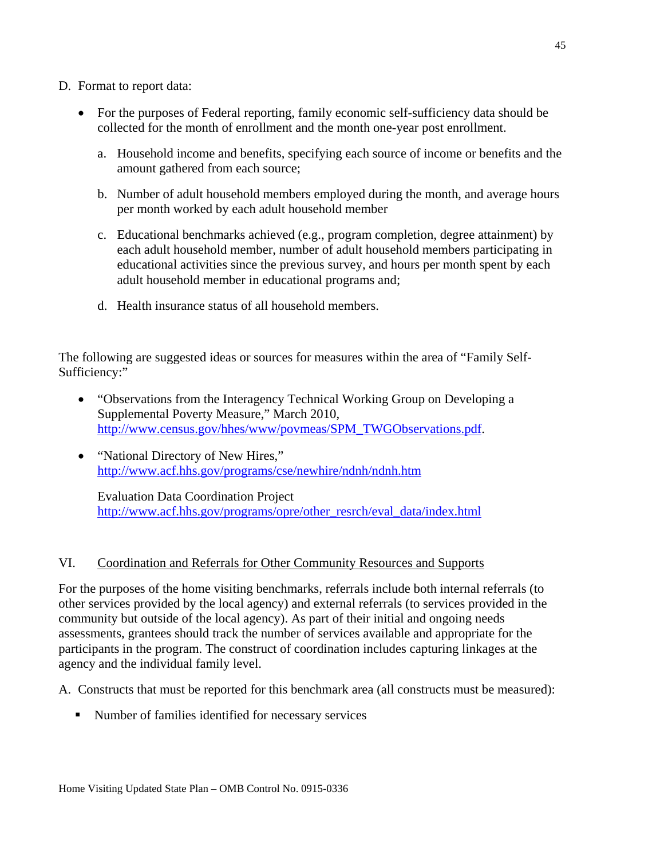- D. Format to report data:
	- For the purposes of Federal reporting, family economic self-sufficiency data should be collected for the month of enrollment and the month one-year post enrollment.
		- a. Household income and benefits, specifying each source of income or benefits and the amount gathered from each source;
		- b. Number of adult household members employed during the month, and average hours per month worked by each adult household member
		- c. Educational benchmarks achieved (e.g., program completion, degree attainment) by each adult household member, number of adult household members participating in educational activities since the previous survey, and hours per month spent by each adult household member in educational programs and;
		- d. Health insurance status of all household members.

The following are suggested ideas or sources for measures within the area of "Family Self-Sufficiency:"

- "Observations from the Interagency Technical Working Group on Developing a Supplemental Poverty Measure," March 2010, [http://www.census.gov/hhes/www/povmeas/SPM\\_TWGObservations.pdf.](http://www.census.gov/hhes/www/povmeas/SPM_TWGObservations.pdf)
- "National Directory of New Hires," <http://www.acf.hhs.gov/programs/cse/newhire/ndnh/ndnh.htm>

Evaluation Data Coordination Project [http://www.acf.hhs.gov/programs/opre/other\\_resrch/eval\\_data/index.html](http://www.acf.hhs.gov/programs/opre/other_resrch/eval_data/index.html)

#### VI. Coordination and Referrals for Other Community Resources and Supports

For the purposes of the home visiting benchmarks, referrals include both internal referrals (to other services provided by the local agency) and external referrals (to services provided in the community but outside of the local agency). As part of their initial and ongoing needs assessments, grantees should track the number of services available and appropriate for the participants in the program. The construct of coordination includes capturing linkages at the agency and the individual family level.

A. Constructs that must be reported for this benchmark area (all constructs must be measured):

Number of families identified for necessary services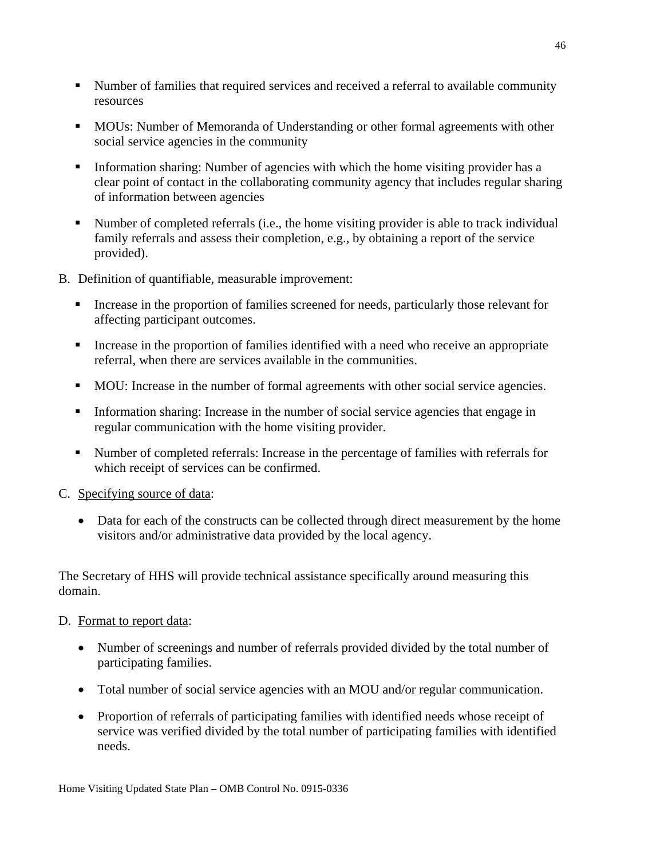- Number of families that required services and received a referral to available community resources
- MOUs: Number of Memoranda of Understanding or other formal agreements with other social service agencies in the community
- Information sharing: Number of agencies with which the home visiting provider has a clear point of contact in the collaborating community agency that includes regular sharing of information between agencies
- Number of completed referrals (i.e., the home visiting provider is able to track individual family referrals and assess their completion, e.g., by obtaining a report of the service provided).
- B. Definition of quantifiable, measurable improvement:
	- Increase in the proportion of families screened for needs, particularly those relevant for affecting participant outcomes.
	- Increase in the proportion of families identified with a need who receive an appropriate referral, when there are services available in the communities.
	- MOU: Increase in the number of formal agreements with other social service agencies.
	- Information sharing: Increase in the number of social service agencies that engage in regular communication with the home visiting provider.
	- Number of completed referrals: Increase in the percentage of families with referrals for which receipt of services can be confirmed.
- C. Specifying source of data:
	- Data for each of the constructs can be collected through direct measurement by the home visitors and/or administrative data provided by the local agency.

The Secretary of HHS will provide technical assistance specifically around measuring this domain.

- D. Format to report data:
	- Number of screenings and number of referrals provided divided by the total number of participating families.
	- Total number of social service agencies with an MOU and/or regular communication.
	- Proportion of referrals of participating families with identified needs whose receipt of service was verified divided by the total number of participating families with identified needs.

Home Visiting Updated State Plan – OMB Control No. 0915-0336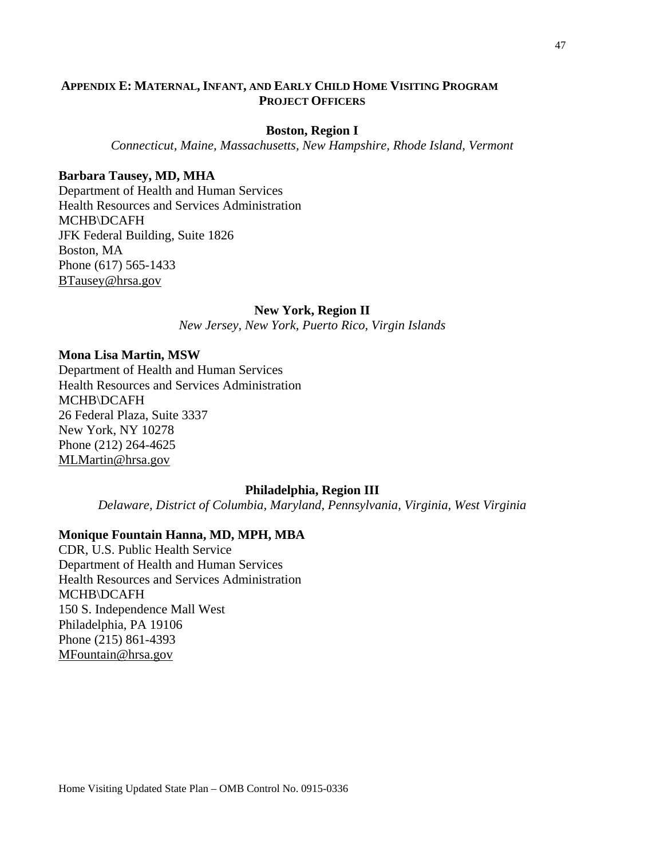#### **APPENDIX E: MATERNAL, INFANT, AND EARLY CHILD HOME VISITING PROGRAM PROJECT OFFICERS**

#### **Boston, Region I**

*Connecticut, Maine, Massachusetts, New Hampshire, Rhode Island, Vermont*

#### **Barbara Tausey, MD, MHA**

Department of Health and Human Services Health Resources and Services Administration MCHB\DCAFH JFK Federal Building, Suite 1826 Boston, MA Phone (617) 565-1433 [BTausey@hrsa.gov](mailto:BTausey@hrsa.gov)

#### **New York, Region II**

*New Jersey, New York, Puerto Rico, Virgin Islands*

#### **Mona Lisa Martin, MSW**

Department of Health and Human Services Health Resources and Services Administration MCHB\DCAFH 26 Federal Plaza, Suite 3337 New York, NY 10278 Phone (212) 264-4625 [MLMartin@hrsa.gov](mailto:MLMartin@hrsa.gov)

#### **Philadelphia, Region III**

*Delaware, District of Columbia, Maryland, Pennsylvania, Virginia, West Virginia*

#### **Monique Fountain Hanna, MD, MPH, MBA**

CDR, U.S. Public Health Service Department of Health and Human Services Health Resources and Services Administration MCHB\DCAFH 150 S. Independence Mall West Philadelphia, PA 19106 Phone (215) 861-4393 [MFountain@hrsa.gov](mailto:MFountain@hrsa.gov)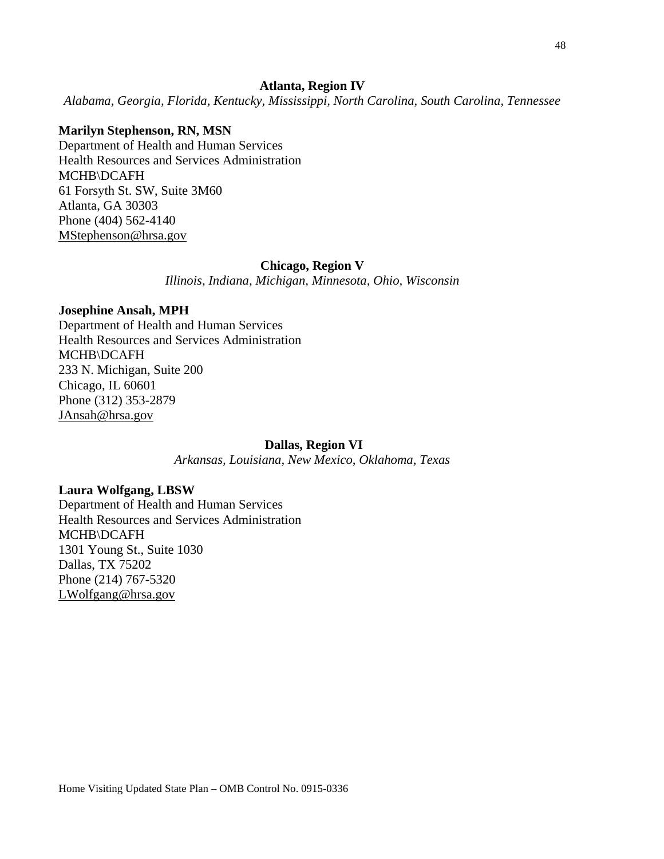#### **Atlanta, Region IV**

*Alabama, Georgia, Florida, Kentucky, Mississippi, North Carolina, South Carolina, Tennessee*

#### **Marilyn Stephenson, RN, MSN**

Department of Health and Human Services Health Resources and Services Administration MCHB\DCAFH 61 Forsyth St. SW, Suite 3M60 Atlanta, GA 30303 Phone (404) 562-4140 [MStephenson@hrsa.gov](mailto:MStephenson@hrsa.gov)

#### **Chicago, Region V**

*Illinois, Indiana, Michigan, Minnesota, Ohio, Wisconsin*

#### **Josephine Ansah, MPH**

Department of Health and Human Services Health Resources and Services Administration MCHB\DCAFH 233 N. Michigan, Suite 200 Chicago, IL 60601 Phone (312) 353-2879 [JAnsah@hrsa.gov](mailto:JAnsah@hrsa.gov)

#### **Dallas, Region VI**

*Arkansas, Louisiana, New Mexico, Oklahoma, Texas*

#### **Laura Wolfgang, LBSW**

Department of Health and Human Services Health Resources and Services Administration MCHB\DCAFH 1301 Young St., Suite 1030 Dallas, TX 75202 Phone (214) 767-5320 [LWolfgang@hrsa.gov](mailto:LWolfgang@hrsa.gov)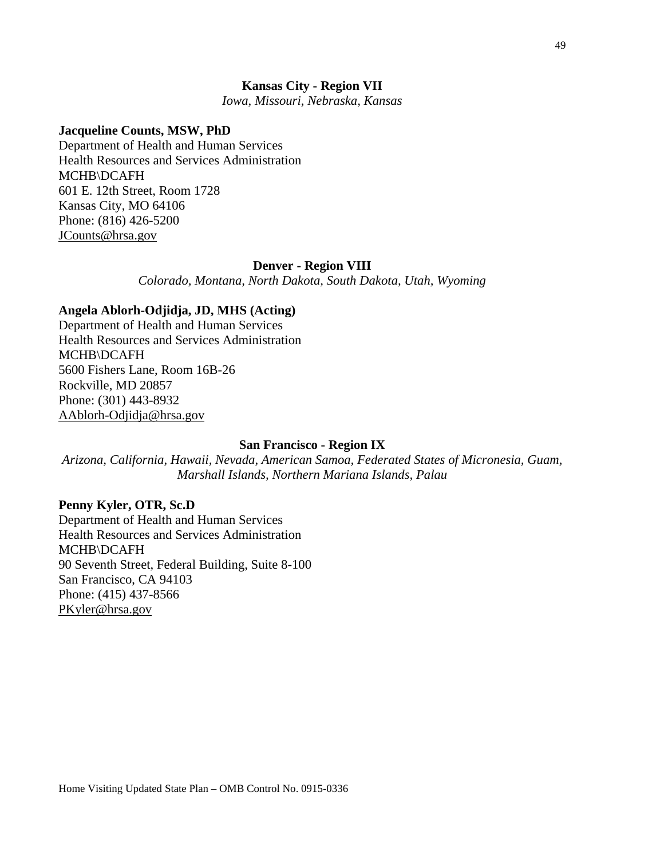#### **Kansas City - Region VII**

*Iowa, Missouri, Nebraska, Kansas*

#### **Jacqueline Counts, MSW, PhD**

Department of Health and Human Services Health Resources and Services Administration MCHB\DCAFH 601 E. 12th Street, Room 1728 Kansas City, MO 64106 Phone: (816) 426-5200 [JCounts@hrsa.gov](mailto:JCounts@hrsa.gov)

#### **Denver - Region VIII**

*Colorado, Montana, North Dakota, South Dakota, Utah, Wyoming*

#### **Angela Ablorh-Odjidja, JD, MHS (Acting)**

Department of Health and Human Services Health Resources and Services Administration MCHB\DCAFH 5600 Fishers Lane, Room 16B-26 Rockville, MD 20857 Phone: (301) 443-8932 [AAblorh-Odjidja@hrsa.gov](mailto:AAblorh-Odjidja@hrsa.gov)

#### **San Francisco - Region IX**

*Arizona, California, Hawaii, Nevada, American Samoa, Federated States of Micronesia, Guam, Marshall Islands, Northern Mariana Islands, Palau*

#### **Penny Kyler, OTR, Sc.D**

Department of Health and Human Services Health Resources and Services Administration MCHB\DCAFH 90 Seventh Street, Federal Building, Suite 8-100 San Francisco, CA 94103 Phone: (415) 437-8566 [PKyler@hrsa.gov](mailto:PKyler@hrsa.gov)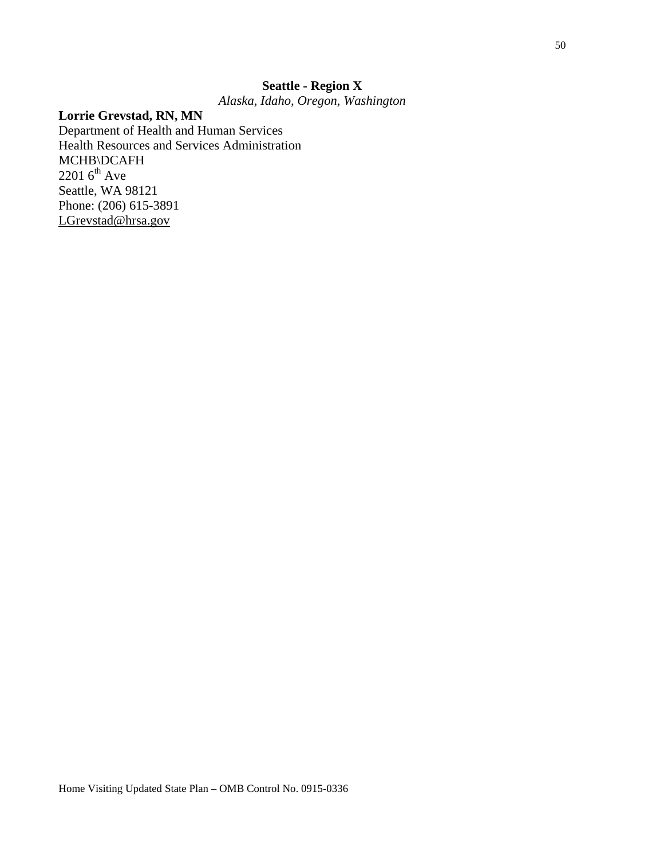# **Seattle - Region X**

*Alaska, Idaho, Oregon, Washington*

## **Lorrie Grevstad, RN, MN**

Department of Health and Human Services Health Resources and Services Administration MCHB\DCAFH  $2201$  6<sup>th</sup> Ave Seattle, WA 98121 Phone: (206) 615-3891 [LGrevstad@hrsa.gov](mailto:LGrevstad@hrsa.gov)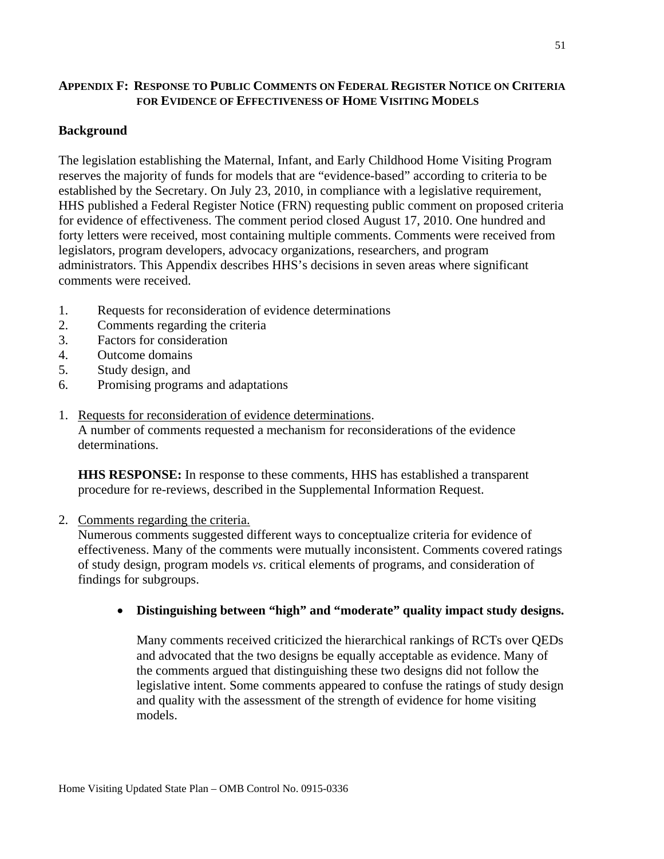### **APPENDIX F: RESPONSE TO PUBLIC COMMENTS ON FEDERAL REGISTER NOTICE ON CRITERIA FOR EVIDENCE OF EFFECTIVENESS OF HOME VISITING MODELS**

### **Background**

The legislation establishing the Maternal, Infant, and Early Childhood Home Visiting Program reserves the majority of funds for models that are "evidence-based" according to criteria to be established by the Secretary. On July 23, 2010, in compliance with a legislative requirement, HHS published a Federal Register Notice (FRN) requesting public comment on proposed criteria for evidence of effectiveness. The comment period closed August 17, 2010. One hundred and forty letters were received, most containing multiple comments. Comments were received from legislators, program developers, advocacy organizations, researchers, and program administrators. This Appendix describes HHS's decisions in seven areas where significant comments were received.

- 1. Requests for reconsideration of evidence determinations
- 2. Comments regarding the criteria
- 3. Factors for consideration
- 4. Outcome domains
- 5. Study design, and
- 6. Promising programs and adaptations
- 1. Requests for reconsideration of evidence determinations. A number of comments requested a mechanism for reconsiderations of the evidence determinations.

**HHS RESPONSE:** In response to these comments, HHS has established a transparent procedure for re-reviews, described in the Supplemental Information Request.

#### 2. Comments regarding the criteria.

Numerous comments suggested different ways to conceptualize criteria for evidence of effectiveness. Many of the comments were mutually inconsistent. Comments covered ratings of study design, program models *vs*. critical elements of programs, and consideration of findings for subgroups.

## • **Distinguishing between "high" and "moderate" quality impact study designs.**

Many comments received criticized the hierarchical rankings of RCTs over QEDs and advocated that the two designs be equally acceptable as evidence. Many of the comments argued that distinguishing these two designs did not follow the legislative intent. Some comments appeared to confuse the ratings of study design and quality with the assessment of the strength of evidence for home visiting models.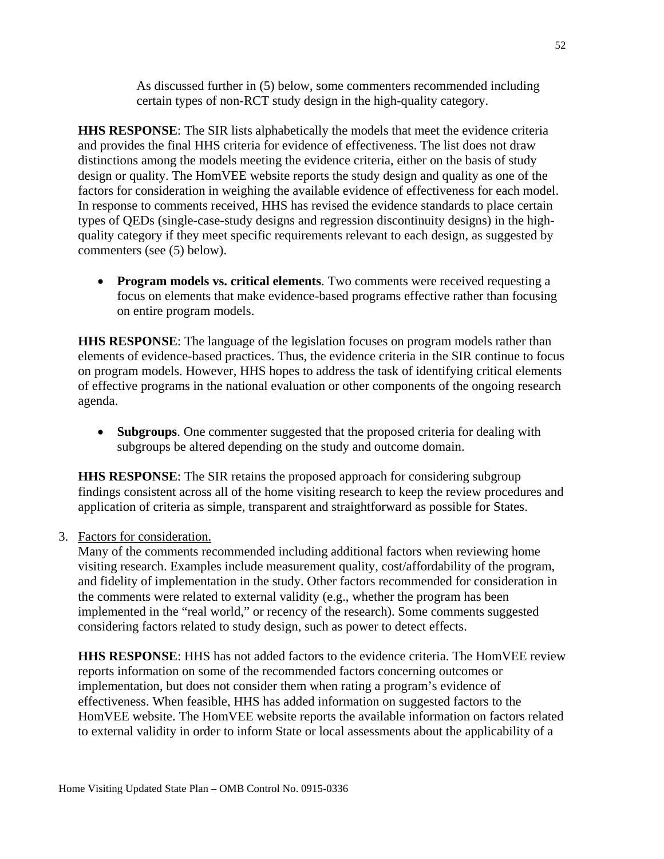As discussed further in (5) below, some commenters recommended including certain types of non-RCT study design in the high-quality category.

**HHS RESPONSE**: The SIR lists alphabetically the models that meet the evidence criteria and provides the final HHS criteria for evidence of effectiveness. The list does not draw distinctions among the models meeting the evidence criteria, either on the basis of study design or quality. The HomVEE website reports the study design and quality as one of the factors for consideration in weighing the available evidence of effectiveness for each model. In response to comments received, HHS has revised the evidence standards to place certain types of QEDs (single-case-study designs and regression discontinuity designs) in the highquality category if they meet specific requirements relevant to each design, as suggested by commenters (see (5) below).

• **Program models vs. critical elements**. Two comments were received requesting a focus on elements that make evidence-based programs effective rather than focusing on entire program models.

**HHS RESPONSE**: The language of the legislation focuses on program models rather than elements of evidence-based practices. Thus, the evidence criteria in the SIR continue to focus on program models. However, HHS hopes to address the task of identifying critical elements of effective programs in the national evaluation or other components of the ongoing research agenda.

• **Subgroups**. One commenter suggested that the proposed criteria for dealing with subgroups be altered depending on the study and outcome domain.

**HHS RESPONSE**: The SIR retains the proposed approach for considering subgroup findings consistent across all of the home visiting research to keep the review procedures and application of criteria as simple, transparent and straightforward as possible for States.

## 3. Factors for consideration.

Many of the comments recommended including additional factors when reviewing home visiting research. Examples include measurement quality, cost/affordability of the program, and fidelity of implementation in the study. Other factors recommended for consideration in the comments were related to external validity (e.g., whether the program has been implemented in the "real world," or recency of the research). Some comments suggested considering factors related to study design, such as power to detect effects.

**HHS RESPONSE**: HHS has not added factors to the evidence criteria. The HomVEE review reports information on some of the recommended factors concerning outcomes or implementation, but does not consider them when rating a program's evidence of effectiveness. When feasible, HHS has added information on suggested factors to the HomVEE website. The HomVEE website reports the available information on factors related to external validity in order to inform State or local assessments about the applicability of a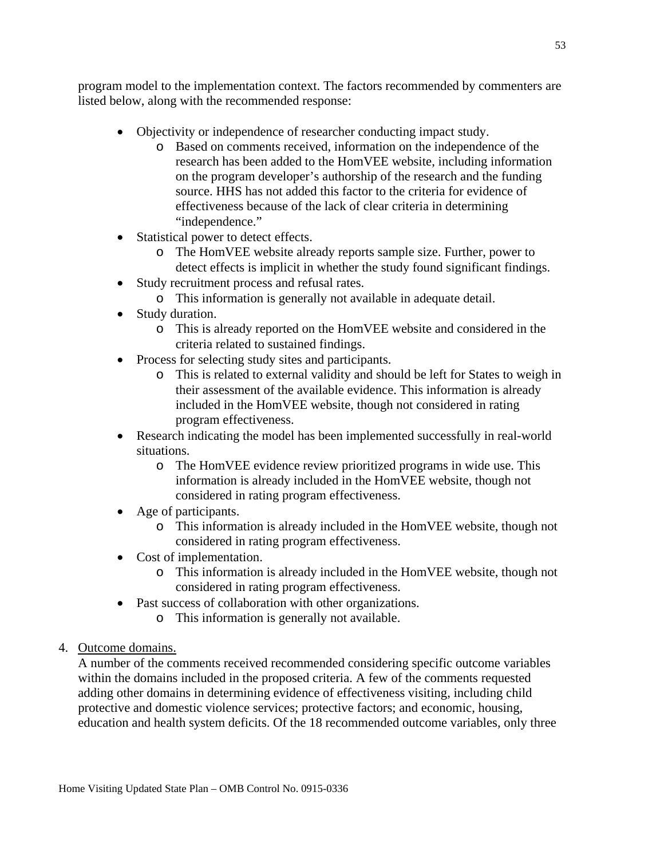program model to the implementation context. The factors recommended by commenters are listed below, along with the recommended response:

- Objectivity or independence of researcher conducting impact study.
	- o Based on comments received, information on the independence of the research has been added to the HomVEE website, including information on the program developer's authorship of the research and the funding source. HHS has not added this factor to the criteria for evidence of effectiveness because of the lack of clear criteria in determining "independence."
- Statistical power to detect effects.
	- o The HomVEE website already reports sample size. Further, power to detect effects is implicit in whether the study found significant findings.
- Study recruitment process and refusal rates.
	- o This information is generally not available in adequate detail.
- Study duration.
	- o This is already reported on the HomVEE website and considered in the criteria related to sustained findings.
- Process for selecting study sites and participants.
	- o This is related to external validity and should be left for States to weigh in their assessment of the available evidence. This information is already included in the HomVEE website, though not considered in rating program effectiveness.
- Research indicating the model has been implemented successfully in real-world situations.
	- o The HomVEE evidence review prioritized programs in wide use. This information is already included in the HomVEE website, though not considered in rating program effectiveness.
- Age of participants.
	- o This information is already included in the HomVEE website, though not considered in rating program effectiveness.
- Cost of implementation.
	- o This information is already included in the HomVEE website, though not considered in rating program effectiveness.
- Past success of collaboration with other organizations.
	- o This information is generally not available.
- 4. Outcome domains.

A number of the comments received recommended considering specific outcome variables within the domains included in the proposed criteria. A few of the comments requested adding other domains in determining evidence of effectiveness visiting, including child protective and domestic violence services; protective factors; and economic, housing, education and health system deficits. Of the 18 recommended outcome variables, only three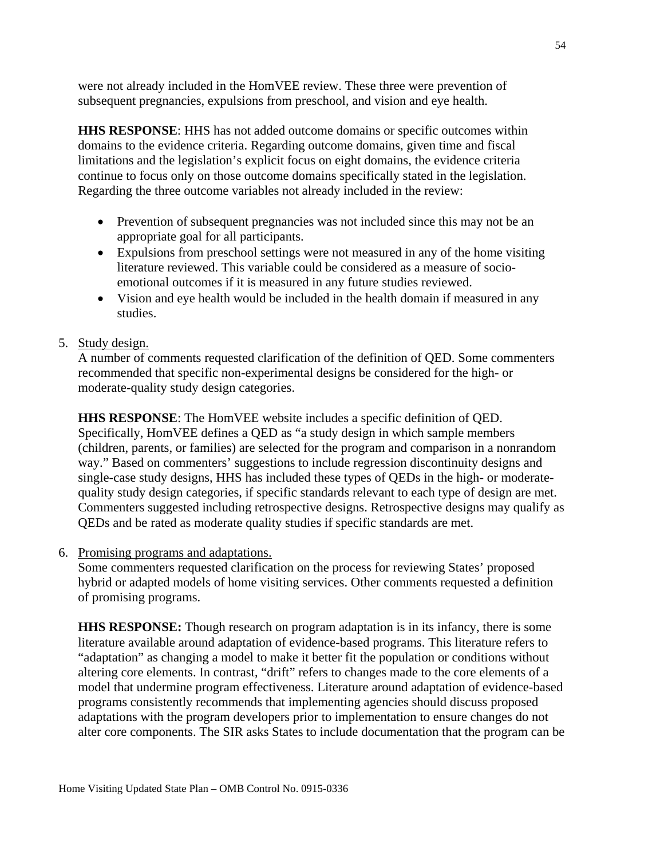were not already included in the HomVEE review. These three were prevention of subsequent pregnancies, expulsions from preschool, and vision and eye health.

**HHS RESPONSE**: HHS has not added outcome domains or specific outcomes within domains to the evidence criteria. Regarding outcome domains, given time and fiscal limitations and the legislation's explicit focus on eight domains, the evidence criteria continue to focus only on those outcome domains specifically stated in the legislation. Regarding the three outcome variables not already included in the review:

- Prevention of subsequent pregnancies was not included since this may not be an appropriate goal for all participants.
- Expulsions from preschool settings were not measured in any of the home visiting literature reviewed. This variable could be considered as a measure of socioemotional outcomes if it is measured in any future studies reviewed.
- Vision and eye health would be included in the health domain if measured in any studies.
- 5. Study design.

A number of comments requested clarification of the definition of QED. Some commenters recommended that specific non-experimental designs be considered for the high- or moderate-quality study design categories.

**HHS RESPONSE**: The HomVEE website includes a specific definition of QED. Specifically, HomVEE defines a QED as "a study design in which sample members (children, parents, or families) are selected for the program and comparison in a nonrandom way." Based on commenters' suggestions to include regression discontinuity designs and single-case study designs, HHS has included these types of QEDs in the high- or moderatequality study design categories, if specific standards relevant to each type of design are met. Commenters suggested including retrospective designs. Retrospective designs may qualify as QEDs and be rated as moderate quality studies if specific standards are met.

6. Promising programs and adaptations.

Some commenters requested clarification on the process for reviewing States' proposed hybrid or adapted models of home visiting services. Other comments requested a definition of promising programs.

**HHS RESPONSE:** Though research on program adaptation is in its infancy, there is some literature available around adaptation of evidence-based programs. This literature refers to "adaptation" as changing a model to make it better fit the population or conditions without altering core elements. In contrast, "drift" refers to changes made to the core elements of a model that undermine program effectiveness. Literature around adaptation of evidence-based programs consistently recommends that implementing agencies should discuss proposed adaptations with the program developers prior to implementation to ensure changes do not alter core components. The SIR asks States to include documentation that the program can be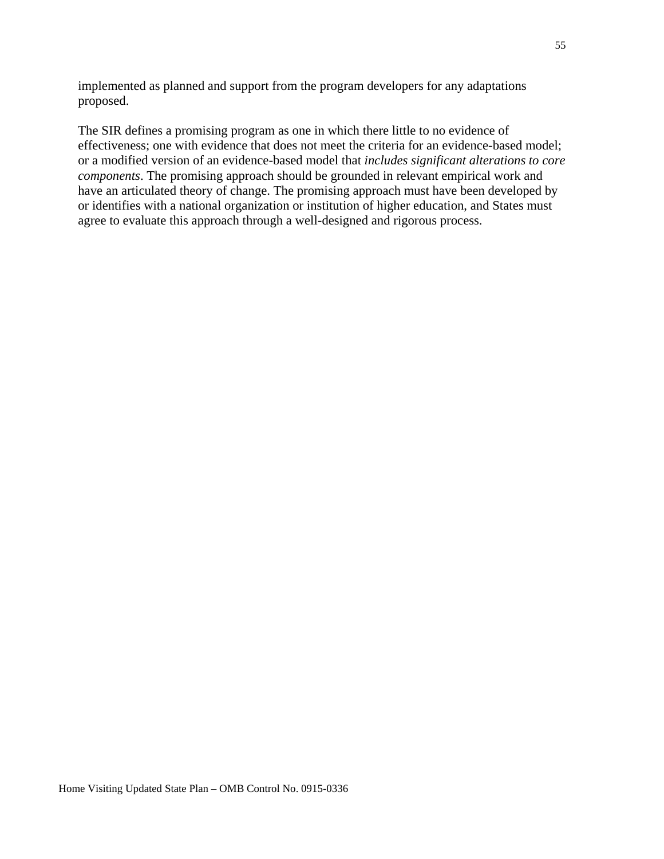implemented as planned and support from the program developers for any adaptations proposed.

The SIR defines a promising program as one in which there little to no evidence of effectiveness; one with evidence that does not meet the criteria for an evidence-based model; or a modified version of an evidence-based model that *includes significant alterations to core components*. The promising approach should be grounded in relevant empirical work and have an articulated theory of change. The promising approach must have been developed by or identifies with a national organization or institution of higher education, and States must agree to evaluate this approach through a well-designed and rigorous process.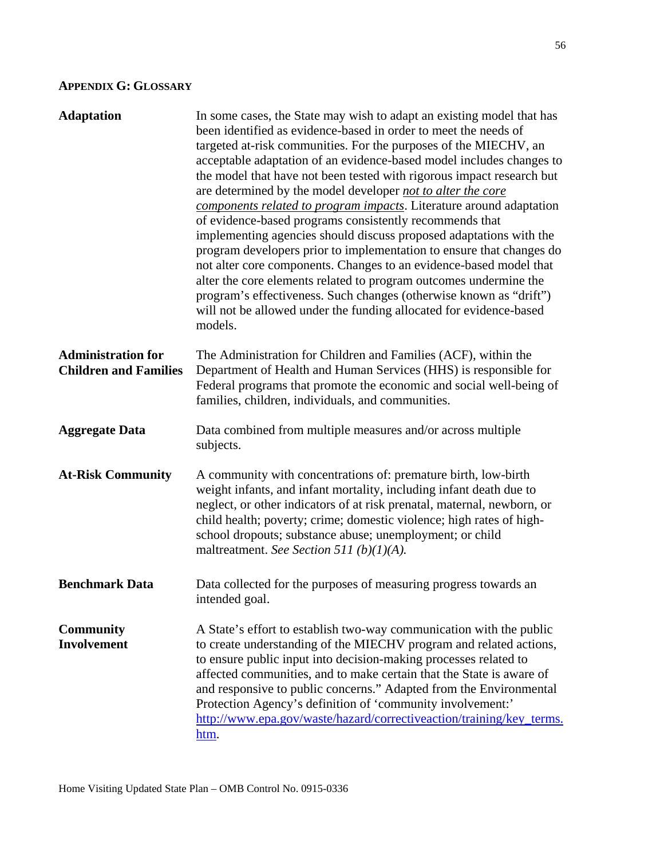# **APPENDIX G: GLOSSARY**

| <b>Adaptation</b>                                         | In some cases, the State may wish to adapt an existing model that has<br>been identified as evidence-based in order to meet the needs of<br>targeted at-risk communities. For the purposes of the MIECHV, an<br>acceptable adaptation of an evidence-based model includes changes to<br>the model that have not been tested with rigorous impact research but<br>are determined by the model developer not to alter the core<br>components related to program impacts. Literature around adaptation<br>of evidence-based programs consistently recommends that<br>implementing agencies should discuss proposed adaptations with the<br>program developers prior to implementation to ensure that changes do<br>not alter core components. Changes to an evidence-based model that<br>alter the core elements related to program outcomes undermine the<br>program's effectiveness. Such changes (otherwise known as "drift")<br>will not be allowed under the funding allocated for evidence-based<br>models. |
|-----------------------------------------------------------|----------------------------------------------------------------------------------------------------------------------------------------------------------------------------------------------------------------------------------------------------------------------------------------------------------------------------------------------------------------------------------------------------------------------------------------------------------------------------------------------------------------------------------------------------------------------------------------------------------------------------------------------------------------------------------------------------------------------------------------------------------------------------------------------------------------------------------------------------------------------------------------------------------------------------------------------------------------------------------------------------------------|
| <b>Administration for</b><br><b>Children and Families</b> | The Administration for Children and Families (ACF), within the<br>Department of Health and Human Services (HHS) is responsible for<br>Federal programs that promote the economic and social well-being of<br>families, children, individuals, and communities.                                                                                                                                                                                                                                                                                                                                                                                                                                                                                                                                                                                                                                                                                                                                                 |
| <b>Aggregate Data</b>                                     | Data combined from multiple measures and/or across multiple<br>subjects.                                                                                                                                                                                                                                                                                                                                                                                                                                                                                                                                                                                                                                                                                                                                                                                                                                                                                                                                       |
| <b>At-Risk Community</b>                                  | A community with concentrations of: premature birth, low-birth<br>weight infants, and infant mortality, including infant death due to<br>neglect, or other indicators of at risk prenatal, maternal, newborn, or<br>child health; poverty; crime; domestic violence; high rates of high-<br>school dropouts; substance abuse; unemployment; or child<br>maltreatment. See Section 511 (b)(1)(A).                                                                                                                                                                                                                                                                                                                                                                                                                                                                                                                                                                                                               |
| <b>Benchmark Data</b>                                     | Data collected for the purposes of measuring progress towards an<br>intended goal.                                                                                                                                                                                                                                                                                                                                                                                                                                                                                                                                                                                                                                                                                                                                                                                                                                                                                                                             |
| <b>Community</b><br><b>Involvement</b>                    | A State's effort to establish two-way communication with the public<br>to create understanding of the MIECHV program and related actions,<br>to ensure public input into decision-making processes related to<br>affected communities, and to make certain that the State is aware of<br>and responsive to public concerns." Adapted from the Environmental<br>Protection Agency's definition of 'community involvement:'<br>http://www.epa.gov/waste/hazard/correctiveaction/training/key_terms.<br>htm.                                                                                                                                                                                                                                                                                                                                                                                                                                                                                                      |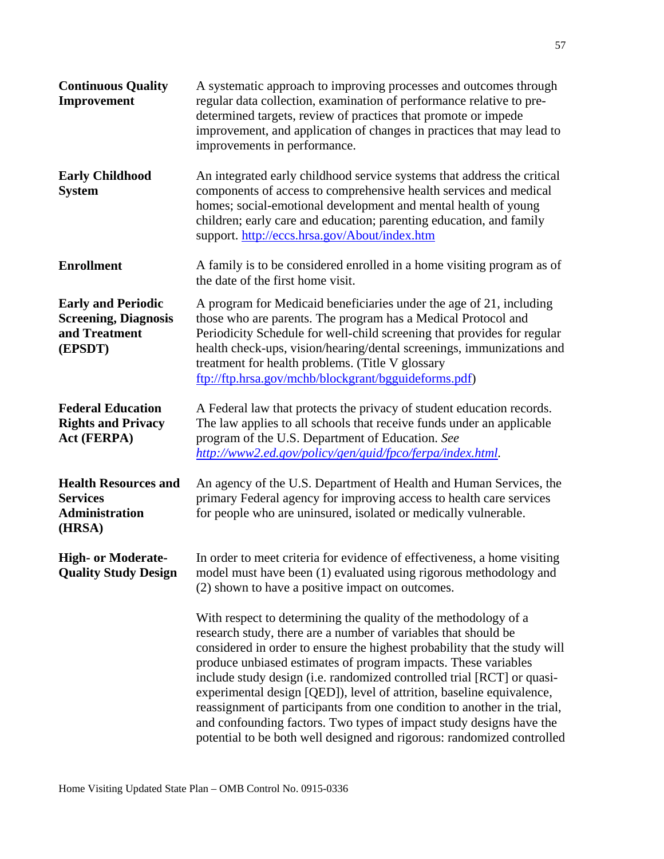| <b>Continuous Quality</b><br>Improvement                                             | A systematic approach to improving processes and outcomes through<br>regular data collection, examination of performance relative to pre-<br>determined targets, review of practices that promote or impede<br>improvement, and application of changes in practices that may lead to<br>improvements in performance.                                                                                                                                                                                                                                                                                                                                             |
|--------------------------------------------------------------------------------------|------------------------------------------------------------------------------------------------------------------------------------------------------------------------------------------------------------------------------------------------------------------------------------------------------------------------------------------------------------------------------------------------------------------------------------------------------------------------------------------------------------------------------------------------------------------------------------------------------------------------------------------------------------------|
| <b>Early Childhood</b><br><b>System</b>                                              | An integrated early childhood service systems that address the critical<br>components of access to comprehensive health services and medical<br>homes; social-emotional development and mental health of young<br>children; early care and education; parenting education, and family<br>support. http://eccs.hrsa.gov/About/index.htm                                                                                                                                                                                                                                                                                                                           |
| <b>Enrollment</b>                                                                    | A family is to be considered enrolled in a home visiting program as of<br>the date of the first home visit.                                                                                                                                                                                                                                                                                                                                                                                                                                                                                                                                                      |
| <b>Early and Periodic</b><br><b>Screening, Diagnosis</b><br>and Treatment<br>(EPSDT) | A program for Medicaid beneficiaries under the age of 21, including<br>those who are parents. The program has a Medical Protocol and<br>Periodicity Schedule for well-child screening that provides for regular<br>health check-ups, vision/hearing/dental screenings, immunizations and<br>treatment for health problems. (Title V glossary<br>ftp://ftp.hrsa.gov/mchb/blockgrant/bgguideforms.pdf)                                                                                                                                                                                                                                                             |
| <b>Federal Education</b><br><b>Rights and Privacy</b><br><b>Act (FERPA)</b>          | A Federal law that protects the privacy of student education records.<br>The law applies to all schools that receive funds under an applicable<br>program of the U.S. Department of Education. See<br>http://www2.ed.gov/policy/gen/guid/fpco/ferpa/index.html.                                                                                                                                                                                                                                                                                                                                                                                                  |
| <b>Health Resources and</b><br><b>Services</b><br><b>Administration</b><br>(HRSA)    | An agency of the U.S. Department of Health and Human Services, the<br>primary Federal agency for improving access to health care services<br>for people who are uninsured, isolated or medically vulnerable.                                                                                                                                                                                                                                                                                                                                                                                                                                                     |
| <b>High- or Moderate-</b><br><b>Quality Study Design</b>                             | In order to meet criteria for evidence of effectiveness, a home visiting<br>model must have been (1) evaluated using rigorous methodology and<br>(2) shown to have a positive impact on outcomes.                                                                                                                                                                                                                                                                                                                                                                                                                                                                |
|                                                                                      | With respect to determining the quality of the methodology of a<br>research study, there are a number of variables that should be<br>considered in order to ensure the highest probability that the study will<br>produce unbiased estimates of program impacts. These variables<br>include study design (i.e. randomized controlled trial [RCT] or quasi-<br>experimental design [QED]), level of attrition, baseline equivalence,<br>reassignment of participants from one condition to another in the trial,<br>and confounding factors. Two types of impact study designs have the<br>potential to be both well designed and rigorous: randomized controlled |

57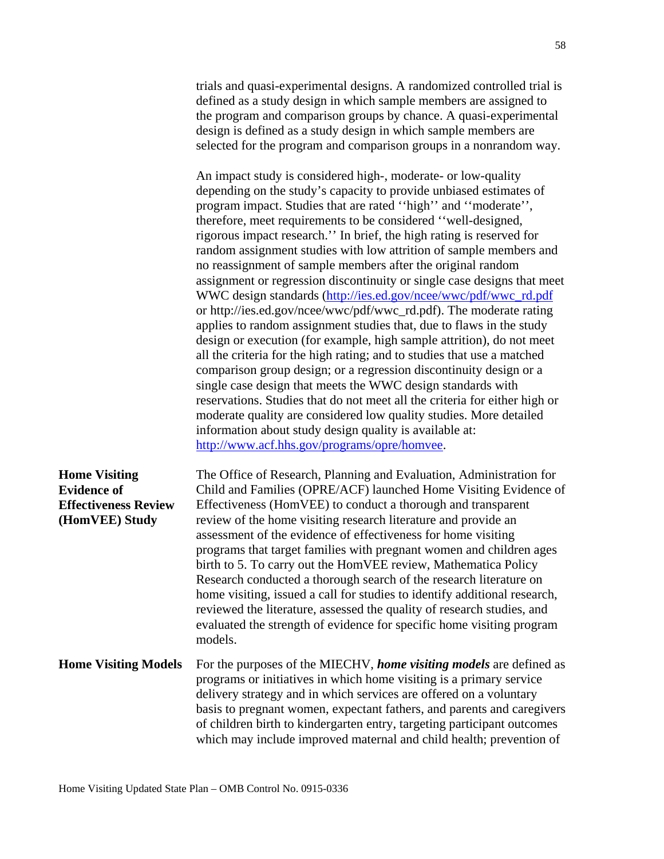trials and quasi-experimental designs. A randomized controlled trial is defined as a study design in which sample members are assigned to the program and comparison groups by chance. A quasi-experimental design is defined as a study design in which sample members are selected for the program and comparison groups in a nonrandom way.

An impact study is considered high-, moderate- or low-quality depending on the study's capacity to provide unbiased estimates of program impact. Studies that are rated ''high'' and ''moderate'', therefore, meet requirements to be considered ''well-designed, rigorous impact research.'' In brief, the high rating is reserved for random assignment studies with low attrition of sample members and no reassignment of sample members after the original random assignment or regression discontinuity or single case designs that meet WWC design standards [\(http://ies.ed.gov/ncee/wwc/pdf/wwc\\_rd.pdf](http://ies.ed.gov/ncee/wwc/pdf/wwc_rd.pdf) or http://ies.ed.gov/ncee/wwc/pdf/wwc\_rd.pdf). The moderate rating applies to random assignment studies that, due to flaws in the study design or execution (for example, high sample attrition), do not meet all the criteria for the high rating; and to studies that use a matched comparison group design; or a regression discontinuity design or a single case design that meets the WWC design standards with reservations. Studies that do not meet all the criteria for either high or moderate quality are considered low quality studies. More detailed information about study design quality is available at: [http://www.acf.hhs.gov/programs/opre/homvee.](http://www.acf.hhs.gov/programs/opre/homvee)

| <b>Home Visiting</b><br><b>Evidence of</b><br><b>Effectiveness Review</b><br>(HomVEE) Study | The Office of Research, Planning and Evaluation, Administration for<br>Child and Families (OPRE/ACF) launched Home Visiting Evidence of<br>Effectiveness (HomVEE) to conduct a thorough and transparent<br>review of the home visiting research literature and provide an<br>assessment of the evidence of effectiveness for home visiting<br>programs that target families with pregnant women and children ages<br>birth to 5. To carry out the HomVEE review, Mathematica Policy<br>Research conducted a thorough search of the research literature on<br>home visiting, issued a call for studies to identify additional research,<br>reviewed the literature, assessed the quality of research studies, and<br>evaluated the strength of evidence for specific home visiting program |
|---------------------------------------------------------------------------------------------|-------------------------------------------------------------------------------------------------------------------------------------------------------------------------------------------------------------------------------------------------------------------------------------------------------------------------------------------------------------------------------------------------------------------------------------------------------------------------------------------------------------------------------------------------------------------------------------------------------------------------------------------------------------------------------------------------------------------------------------------------------------------------------------------|
| <b>Home Visiting Models</b>                                                                 | models.<br>For the purposes of the MIECHV, home visiting models are defined as<br>programs or initiatives in which home visiting is a primary service<br>delivery strategy and in which services are offered on a voluntary<br>basis to pregnant women, expectant fathers, and parents and caregivers<br>of children birth to kindergarten entry, targeting participant outcomes<br>which may include improved maternal and child health; prevention of                                                                                                                                                                                                                                                                                                                                   |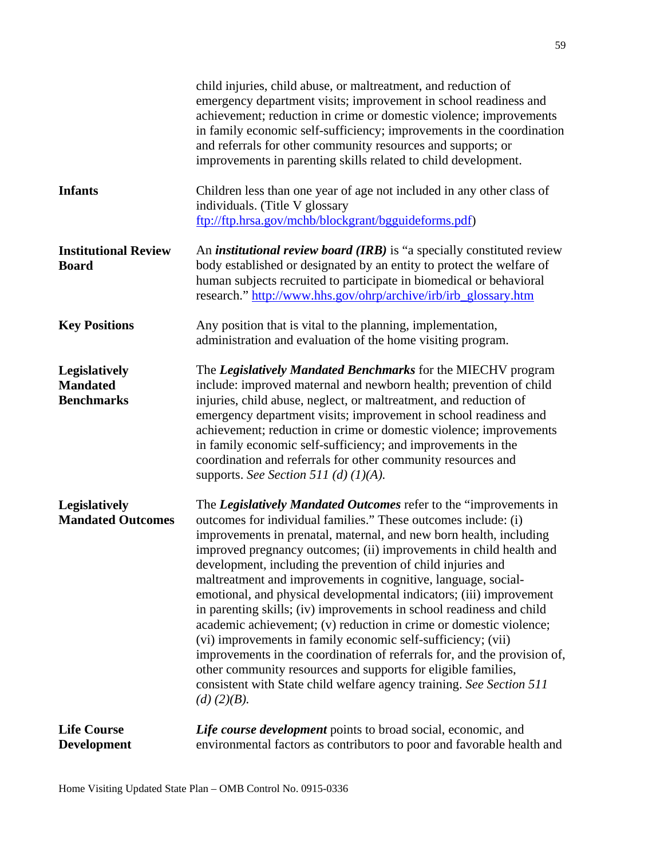| <b>Life Course</b><br><b>Development</b>              | Life course development points to broad social, economic, and<br>environmental factors as contributors to poor and favorable health and                                                                                                                                                                                                                                                                                                                                                                                                                                                                                                                                                                                                                                                                                                                                                                                                    |
|-------------------------------------------------------|--------------------------------------------------------------------------------------------------------------------------------------------------------------------------------------------------------------------------------------------------------------------------------------------------------------------------------------------------------------------------------------------------------------------------------------------------------------------------------------------------------------------------------------------------------------------------------------------------------------------------------------------------------------------------------------------------------------------------------------------------------------------------------------------------------------------------------------------------------------------------------------------------------------------------------------------|
| <b>Legislatively</b><br><b>Mandated Outcomes</b>      | The Legislatively Mandated Outcomes refer to the "improvements in<br>outcomes for individual families." These outcomes include: (i)<br>improvements in prenatal, maternal, and new born health, including<br>improved pregnancy outcomes; (ii) improvements in child health and<br>development, including the prevention of child injuries and<br>maltreatment and improvements in cognitive, language, social-<br>emotional, and physical developmental indicators; (iii) improvement<br>in parenting skills; (iv) improvements in school readiness and child<br>academic achievement; (v) reduction in crime or domestic violence;<br>(vi) improvements in family economic self-sufficiency; (vii)<br>improvements in the coordination of referrals for, and the provision of,<br>other community resources and supports for eligible families,<br>consistent with State child welfare agency training. See Section 511<br>$(d)$ (2)(B). |
| Legislatively<br><b>Mandated</b><br><b>Benchmarks</b> | The Legislatively Mandated Benchmarks for the MIECHV program<br>include: improved maternal and newborn health; prevention of child<br>injuries, child abuse, neglect, or maltreatment, and reduction of<br>emergency department visits; improvement in school readiness and<br>achievement; reduction in crime or domestic violence; improvements<br>in family economic self-sufficiency; and improvements in the<br>coordination and referrals for other community resources and<br>supports. See Section 511 (d) $(1)(A)$ .                                                                                                                                                                                                                                                                                                                                                                                                              |
| <b>Key Positions</b>                                  | Any position that is vital to the planning, implementation,<br>administration and evaluation of the home visiting program.                                                                                                                                                                                                                                                                                                                                                                                                                                                                                                                                                                                                                                                                                                                                                                                                                 |
| <b>Institutional Review</b><br><b>Board</b>           | An <i>institutional review board (IRB)</i> is "a specially constituted review<br>body established or designated by an entity to protect the welfare of<br>human subjects recruited to participate in biomedical or behavioral<br>research." http://www.hhs.gov/ohrp/archive/irb/irb_glossary.htm                                                                                                                                                                                                                                                                                                                                                                                                                                                                                                                                                                                                                                           |
| <b>Infants</b>                                        | Children less than one year of age not included in any other class of<br>individuals. (Title V glossary<br>ftp://ftp.hrsa.gov/mchb/blockgrant/bgguideforms.pdf)                                                                                                                                                                                                                                                                                                                                                                                                                                                                                                                                                                                                                                                                                                                                                                            |
|                                                       | child injuries, child abuse, or maltreatment, and reduction of<br>emergency department visits; improvement in school readiness and<br>achievement; reduction in crime or domestic violence; improvements<br>in family economic self-sufficiency; improvements in the coordination<br>and referrals for other community resources and supports; or<br>improvements in parenting skills related to child development.                                                                                                                                                                                                                                                                                                                                                                                                                                                                                                                        |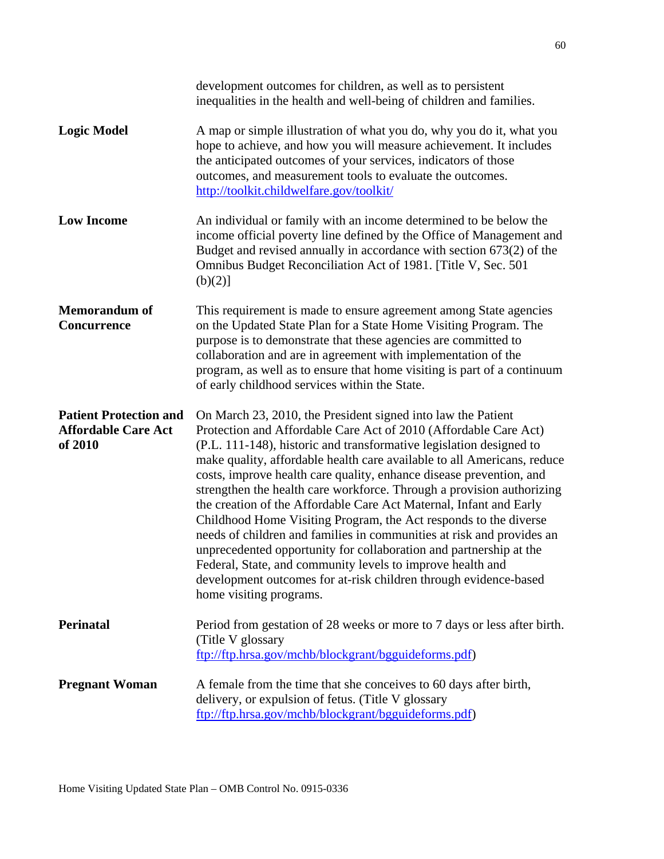|                                                                        | development outcomes for children, as well as to persistent<br>inequalities in the health and well-being of children and families.                                                                                                                                                                                                                                                                                                                                                                                                                                                                                                                                                                                                                                                                                                                                                       |
|------------------------------------------------------------------------|------------------------------------------------------------------------------------------------------------------------------------------------------------------------------------------------------------------------------------------------------------------------------------------------------------------------------------------------------------------------------------------------------------------------------------------------------------------------------------------------------------------------------------------------------------------------------------------------------------------------------------------------------------------------------------------------------------------------------------------------------------------------------------------------------------------------------------------------------------------------------------------|
| <b>Logic Model</b>                                                     | A map or simple illustration of what you do, why you do it, what you<br>hope to achieve, and how you will measure achievement. It includes<br>the anticipated outcomes of your services, indicators of those<br>outcomes, and measurement tools to evaluate the outcomes.<br>http://toolkit.childwelfare.gov/toolkit/                                                                                                                                                                                                                                                                                                                                                                                                                                                                                                                                                                    |
| <b>Low Income</b>                                                      | An individual or family with an income determined to be below the<br>income official poverty line defined by the Office of Management and<br>Budget and revised annually in accordance with section $673(2)$ of the<br>Omnibus Budget Reconciliation Act of 1981. [Title V, Sec. 501]<br>(b)(2)]                                                                                                                                                                                                                                                                                                                                                                                                                                                                                                                                                                                         |
| <b>Memorandum of</b><br><b>Concurrence</b>                             | This requirement is made to ensure agreement among State agencies<br>on the Updated State Plan for a State Home Visiting Program. The<br>purpose is to demonstrate that these agencies are committed to<br>collaboration and are in agreement with implementation of the<br>program, as well as to ensure that home visiting is part of a continuum<br>of early childhood services within the State.                                                                                                                                                                                                                                                                                                                                                                                                                                                                                     |
| <b>Patient Protection and</b><br><b>Affordable Care Act</b><br>of 2010 | On March 23, 2010, the President signed into law the Patient<br>Protection and Affordable Care Act of 2010 (Affordable Care Act)<br>(P.L. 111-148), historic and transformative legislation designed to<br>make quality, affordable health care available to all Americans, reduce<br>costs, improve health care quality, enhance disease prevention, and<br>strengthen the health care workforce. Through a provision authorizing<br>the creation of the Affordable Care Act Maternal, Infant and Early<br>Childhood Home Visiting Program, the Act responds to the diverse<br>needs of children and families in communities at risk and provides an<br>unprecedented opportunity for collaboration and partnership at the<br>Federal, State, and community levels to improve health and<br>development outcomes for at-risk children through evidence-based<br>home visiting programs. |
| <b>Perinatal</b>                                                       | Period from gestation of 28 weeks or more to 7 days or less after birth.<br>(Title V glossary)<br>ftp://ftp.hrsa.gov/mchb/blockgrant/bgguideforms.pdf)                                                                                                                                                                                                                                                                                                                                                                                                                                                                                                                                                                                                                                                                                                                                   |
| <b>Pregnant Woman</b>                                                  | A female from the time that she conceives to 60 days after birth,<br>delivery, or expulsion of fetus. (Title V glossary<br>ftp://ftp.hrsa.gov/mchb/blockgrant/bgguideforms.pdf)                                                                                                                                                                                                                                                                                                                                                                                                                                                                                                                                                                                                                                                                                                          |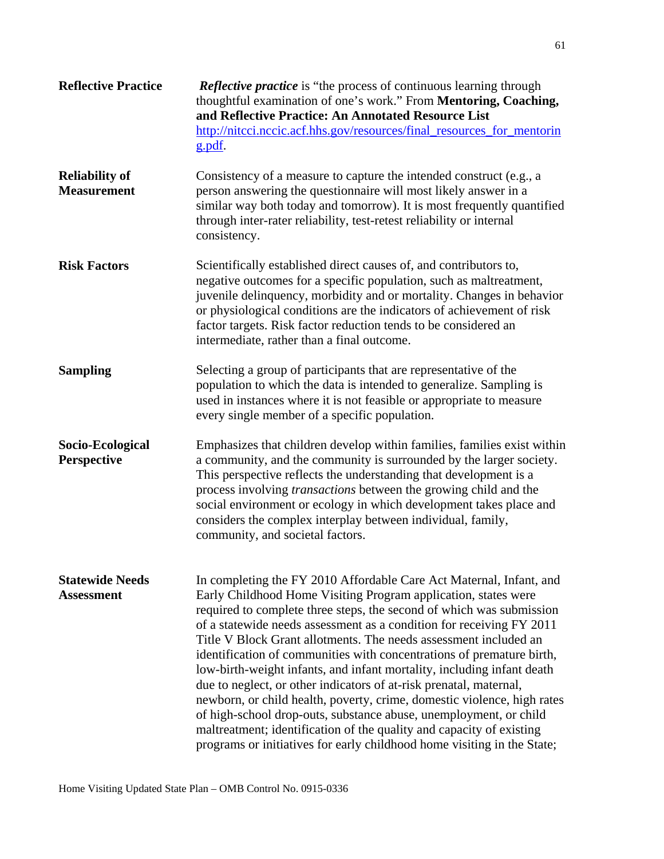| <b>Reflective Practice</b>                  | <b>Reflective practice</b> is "the process of continuous learning through<br>thoughtful examination of one's work." From Mentoring, Coaching,<br>and Reflective Practice: An Annotated Resource List<br>http://nitcci.nccic.acf.hhs.gov/resources/final_resources_for_mentorin<br>g.pdf.                                                                                                                                                                                                                                                                                                                                                                                                                                                                                                                                                                                              |
|---------------------------------------------|---------------------------------------------------------------------------------------------------------------------------------------------------------------------------------------------------------------------------------------------------------------------------------------------------------------------------------------------------------------------------------------------------------------------------------------------------------------------------------------------------------------------------------------------------------------------------------------------------------------------------------------------------------------------------------------------------------------------------------------------------------------------------------------------------------------------------------------------------------------------------------------|
| <b>Reliability of</b><br><b>Measurement</b> | Consistency of a measure to capture the intended construct (e.g., a<br>person answering the questionnaire will most likely answer in a<br>similar way both today and tomorrow). It is most frequently quantified<br>through inter-rater reliability, test-retest reliability or internal<br>consistency.                                                                                                                                                                                                                                                                                                                                                                                                                                                                                                                                                                              |
| <b>Risk Factors</b>                         | Scientifically established direct causes of, and contributors to,<br>negative outcomes for a specific population, such as maltreatment,<br>juvenile delinquency, morbidity and or mortality. Changes in behavior<br>or physiological conditions are the indicators of achievement of risk<br>factor targets. Risk factor reduction tends to be considered an<br>intermediate, rather than a final outcome.                                                                                                                                                                                                                                                                                                                                                                                                                                                                            |
| <b>Sampling</b>                             | Selecting a group of participants that are representative of the<br>population to which the data is intended to generalize. Sampling is<br>used in instances where it is not feasible or appropriate to measure<br>every single member of a specific population.                                                                                                                                                                                                                                                                                                                                                                                                                                                                                                                                                                                                                      |
| Socio-Ecological<br><b>Perspective</b>      | Emphasizes that children develop within families, families exist within<br>a community, and the community is surrounded by the larger society.<br>This perspective reflects the understanding that development is a<br>process involving <i>transactions</i> between the growing child and the<br>social environment or ecology in which development takes place and<br>considers the complex interplay between individual, family,<br>community, and societal factors.                                                                                                                                                                                                                                                                                                                                                                                                               |
| <b>Statewide Needs</b><br><b>Assessment</b> | In completing the FY 2010 Affordable Care Act Maternal, Infant, and<br>Early Childhood Home Visiting Program application, states were<br>required to complete three steps, the second of which was submission<br>of a statewide needs assessment as a condition for receiving FY 2011<br>Title V Block Grant allotments. The needs assessment included an<br>identification of communities with concentrations of premature birth,<br>low-birth-weight infants, and infant mortality, including infant death<br>due to neglect, or other indicators of at-risk prenatal, maternal,<br>newborn, or child health, poverty, crime, domestic violence, high rates<br>of high-school drop-outs, substance abuse, unemployment, or child<br>maltreatment; identification of the quality and capacity of existing<br>programs or initiatives for early childhood home visiting in the State; |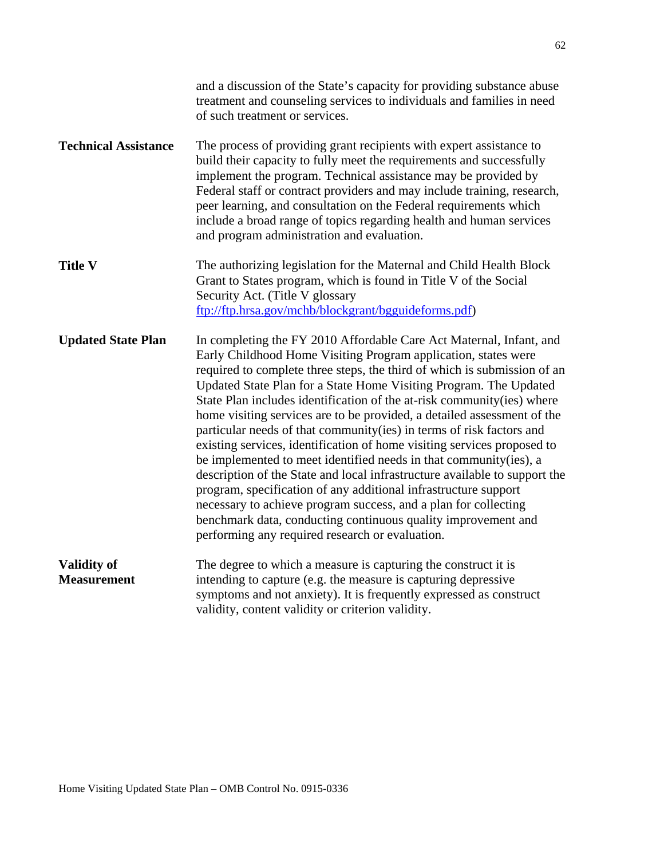|                                          | and a discussion of the State's capacity for providing substance abuse<br>treatment and counseling services to individuals and families in need<br>of such treatment or services.                                                                                                                                                                                                                                                                                                                                                                                                                                                                                                                                                                                                                                                                                                                                                                                                                            |
|------------------------------------------|--------------------------------------------------------------------------------------------------------------------------------------------------------------------------------------------------------------------------------------------------------------------------------------------------------------------------------------------------------------------------------------------------------------------------------------------------------------------------------------------------------------------------------------------------------------------------------------------------------------------------------------------------------------------------------------------------------------------------------------------------------------------------------------------------------------------------------------------------------------------------------------------------------------------------------------------------------------------------------------------------------------|
| <b>Technical Assistance</b>              | The process of providing grant recipients with expert assistance to<br>build their capacity to fully meet the requirements and successfully<br>implement the program. Technical assistance may be provided by<br>Federal staff or contract providers and may include training, research,<br>peer learning, and consultation on the Federal requirements which<br>include a broad range of topics regarding health and human services<br>and program administration and evaluation.                                                                                                                                                                                                                                                                                                                                                                                                                                                                                                                           |
| <b>Title V</b>                           | The authorizing legislation for the Maternal and Child Health Block<br>Grant to States program, which is found in Title V of the Social<br>Security Act. (Title V glossary<br>ftp://ftp.hrsa.gov/mchb/blockgrant/bgguideforms.pdf)                                                                                                                                                                                                                                                                                                                                                                                                                                                                                                                                                                                                                                                                                                                                                                           |
| <b>Updated State Plan</b>                | In completing the FY 2010 Affordable Care Act Maternal, Infant, and<br>Early Childhood Home Visiting Program application, states were<br>required to complete three steps, the third of which is submission of an<br>Updated State Plan for a State Home Visiting Program. The Updated<br>State Plan includes identification of the at-risk community (ies) where<br>home visiting services are to be provided, a detailed assessment of the<br>particular needs of that community(ies) in terms of risk factors and<br>existing services, identification of home visiting services proposed to<br>be implemented to meet identified needs in that community(ies), a<br>description of the State and local infrastructure available to support the<br>program, specification of any additional infrastructure support<br>necessary to achieve program success, and a plan for collecting<br>benchmark data, conducting continuous quality improvement and<br>performing any required research or evaluation. |
| <b>Validity of</b><br><b>Measurement</b> | The degree to which a measure is capturing the construct it is<br>intending to capture (e.g. the measure is capturing depressive<br>symptoms and not anxiety). It is frequently expressed as construct<br>validity, content validity or criterion validity.                                                                                                                                                                                                                                                                                                                                                                                                                                                                                                                                                                                                                                                                                                                                                  |